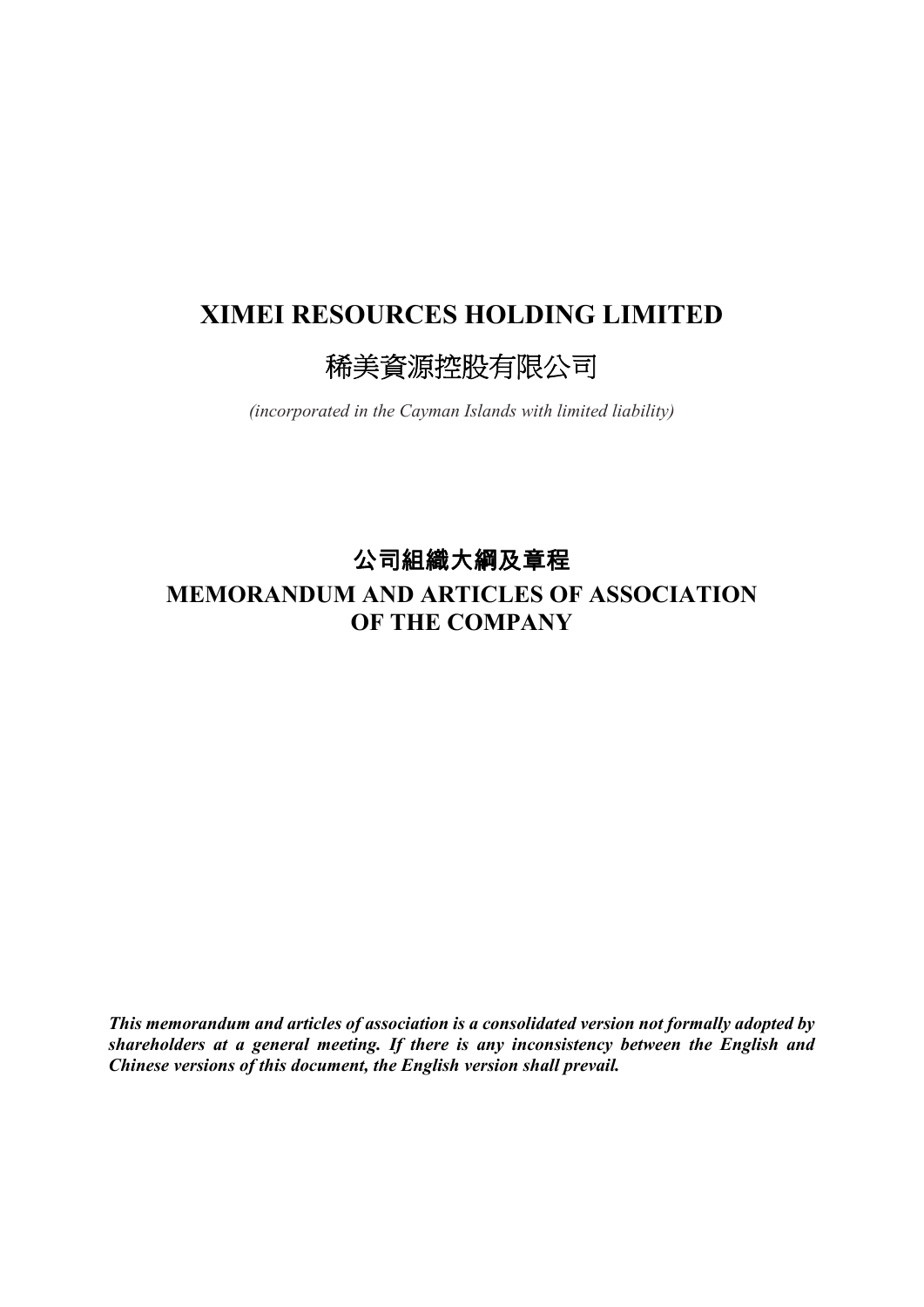# **XIMEI RESOURCES HOLDING LIMITED**

# 稀美資源控股有限公司

*(incorporated in the Cayman Islands with limited liability)*

公司組織大綱及章程

# **MEMORANDUM AND ARTICLES OF ASSOCIATION OF THE COMPANY**

*This memorandum and articles of association is a consolidated version not formally adopted by shareholders at a general meeting. If there is any inconsistency between the English and Chinese versions of this document, the English version shall prevail.*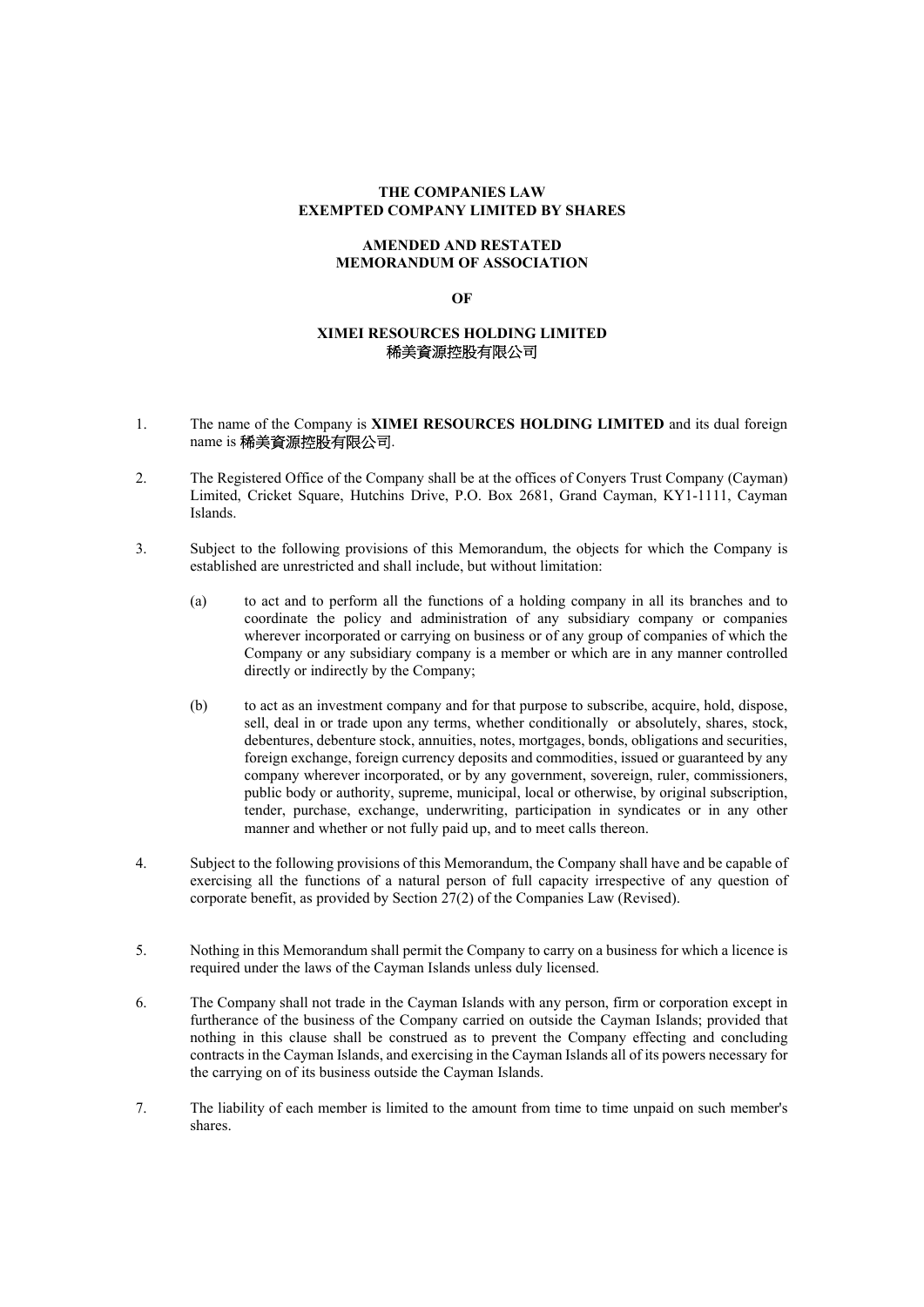#### **THE COMPANIES LAW EXEMPTED COMPANY LIMITED BY SHARES**

#### **AMENDED AND RESTATED MEMORANDUM OF ASSOCIATION**

#### **OF**

# **XIMEI RESOURCES HOLDING LIMITED**  稀美資源控股有限公司

#### 1. The name of the Company is **XIMEI RESOURCES HOLDING LIMITED** and its dual foreign name is 稀美資源控股有限公司.

- 2. The Registered Office of the Company shall be at the offices of Conyers Trust Company (Cayman) Limited, Cricket Square, Hutchins Drive, P.O. Box 2681, Grand Cayman, KY1-1111, Cayman Islands.
- 3. Subject to the following provisions of this Memorandum, the objects for which the Company is established are unrestricted and shall include, but without limitation:
	- (a) to act and to perform all the functions of a holding company in all its branches and to coordinate the policy and administration of any subsidiary company or companies wherever incorporated or carrying on business or of any group of companies of which the Company or any subsidiary company is a member or which are in any manner controlled directly or indirectly by the Company;
	- (b) to act as an investment company and for that purpose to subscribe, acquire, hold, dispose, sell, deal in or trade upon any terms, whether conditionally or absolutely, shares, stock, debentures, debenture stock, annuities, notes, mortgages, bonds, obligations and securities, foreign exchange, foreign currency deposits and commodities, issued or guaranteed by any company wherever incorporated, or by any government, sovereign, ruler, commissioners, public body or authority, supreme, municipal, local or otherwise, by original subscription, tender, purchase, exchange, underwriting, participation in syndicates or in any other manner and whether or not fully paid up, and to meet calls thereon.
- 4. Subject to the following provisions of this Memorandum, the Company shall have and be capable of exercising all the functions of a natural person of full capacity irrespective of any question of corporate benefit, as provided by Section 27(2) of the Companies Law (Revised).
- 5. Nothing in this Memorandum shall permit the Company to carry on a business for which a licence is required under the laws of the Cayman Islands unless duly licensed.
- 6. The Company shall not trade in the Cayman Islands with any person, firm or corporation except in furtherance of the business of the Company carried on outside the Cayman Islands; provided that nothing in this clause shall be construed as to prevent the Company effecting and concluding contracts in the Cayman Islands, and exercising in the Cayman Islands all of its powers necessary for the carrying on of its business outside the Cayman Islands.
- 7. The liability of each member is limited to the amount from time to time unpaid on such member's shares.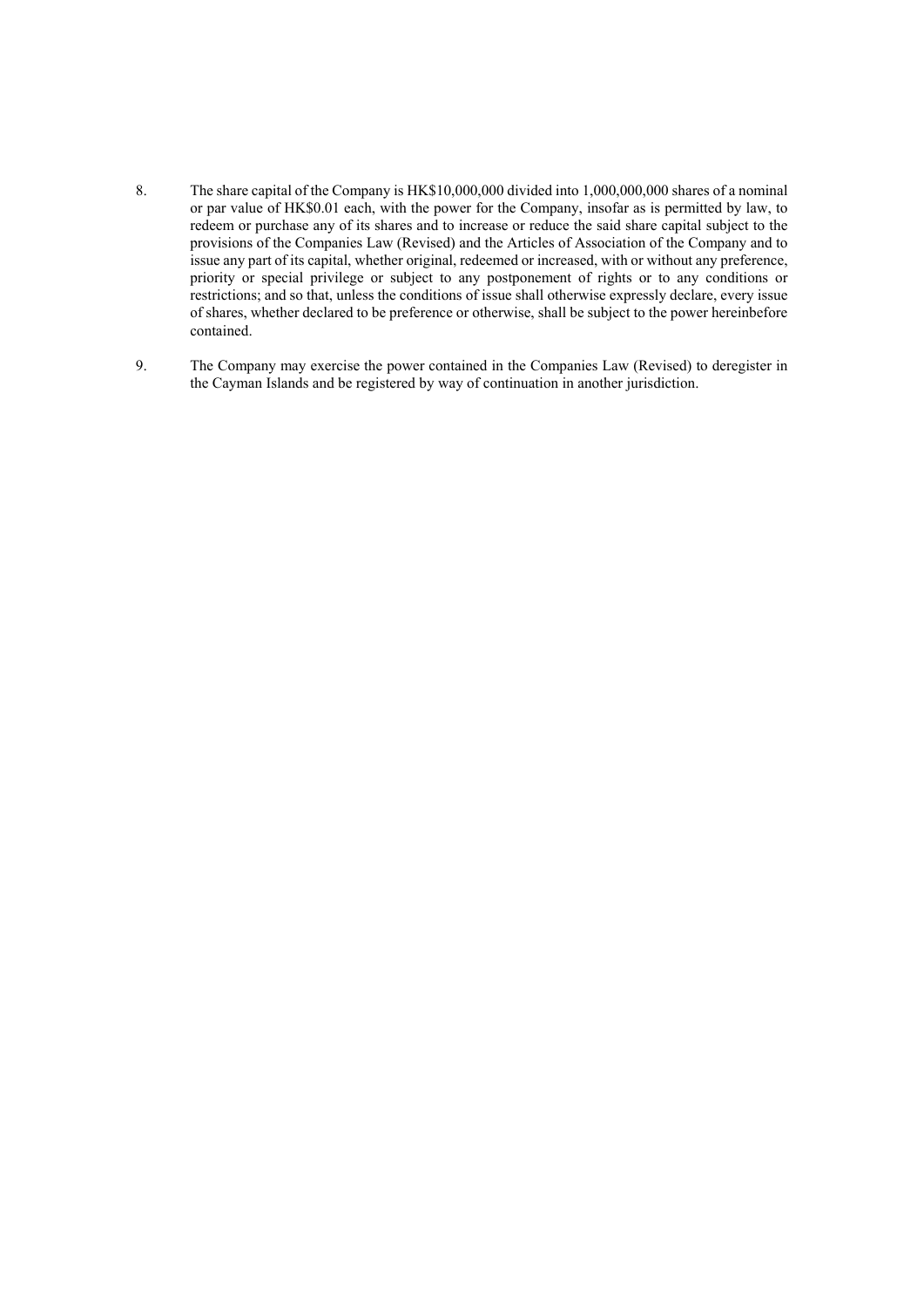- 8. The share capital of the Company is HK\$10,000,000 divided into 1,000,000,000 shares of a nominal or par value of HK\$0.01 each, with the power for the Company, insofar as is permitted by law, to redeem or purchase any of its shares and to increase or reduce the said share capital subject to the provisions of the Companies Law (Revised) and the Articles of Association of the Company and to issue any part of its capital, whether original, redeemed or increased, with or without any preference, priority or special privilege or subject to any postponement of rights or to any conditions or restrictions; and so that, unless the conditions of issue shall otherwise expressly declare, every issue of shares, whether declared to be preference or otherwise, shall be subject to the power hereinbefore contained.
- 9. The Company may exercise the power contained in the Companies Law (Revised) to deregister in the Cayman Islands and be registered by way of continuation in another jurisdiction.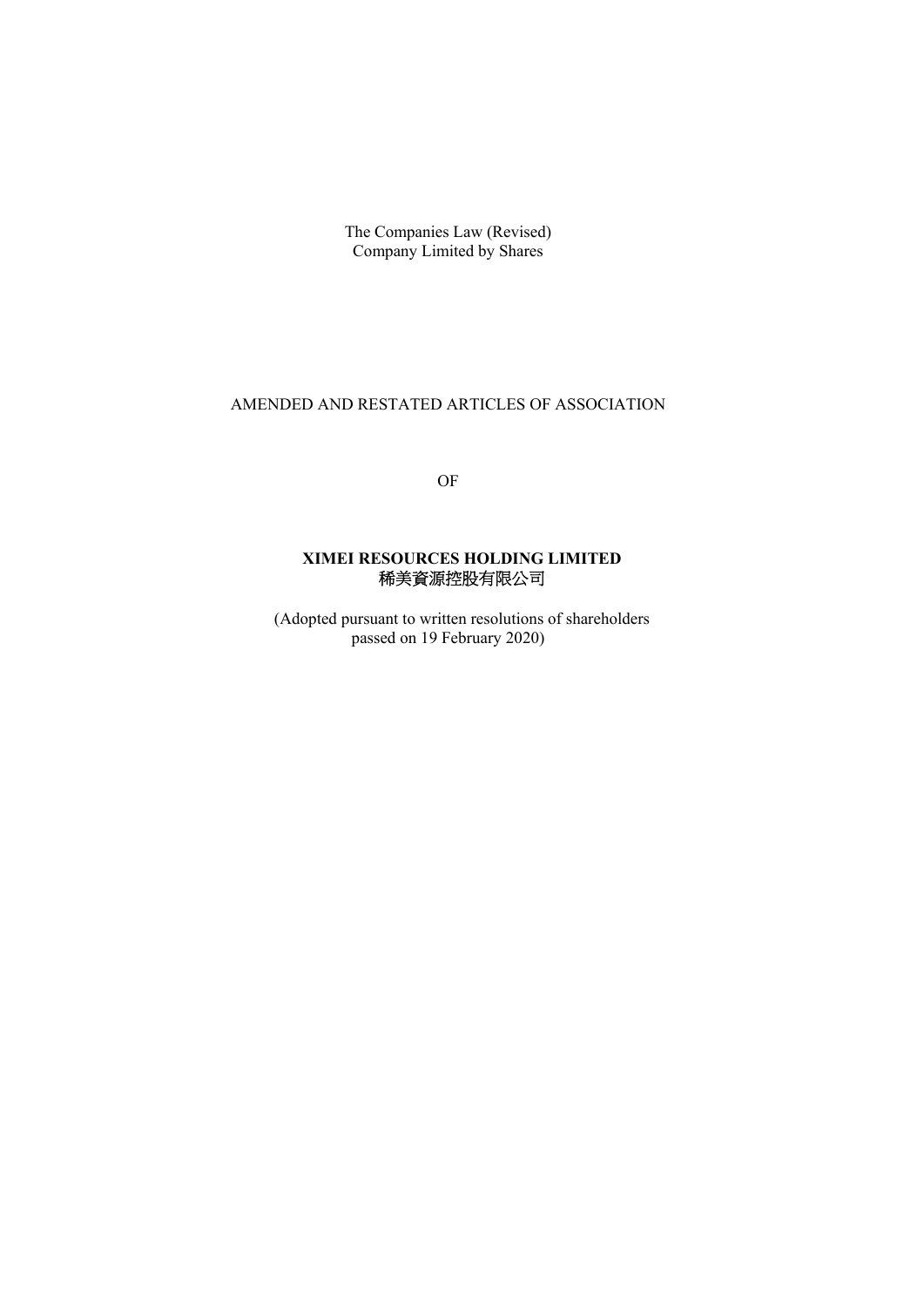The Companies Law (Revised) Company Limited by Shares

# AMENDED AND RESTATED ARTICLES OF ASSOCIATION

OF

# **XIMEI RESOURCES HOLDING LIMITED**  稀美資源控股有限公司

(Adopted pursuant to written resolutions of shareholders passed on 19 February 2020)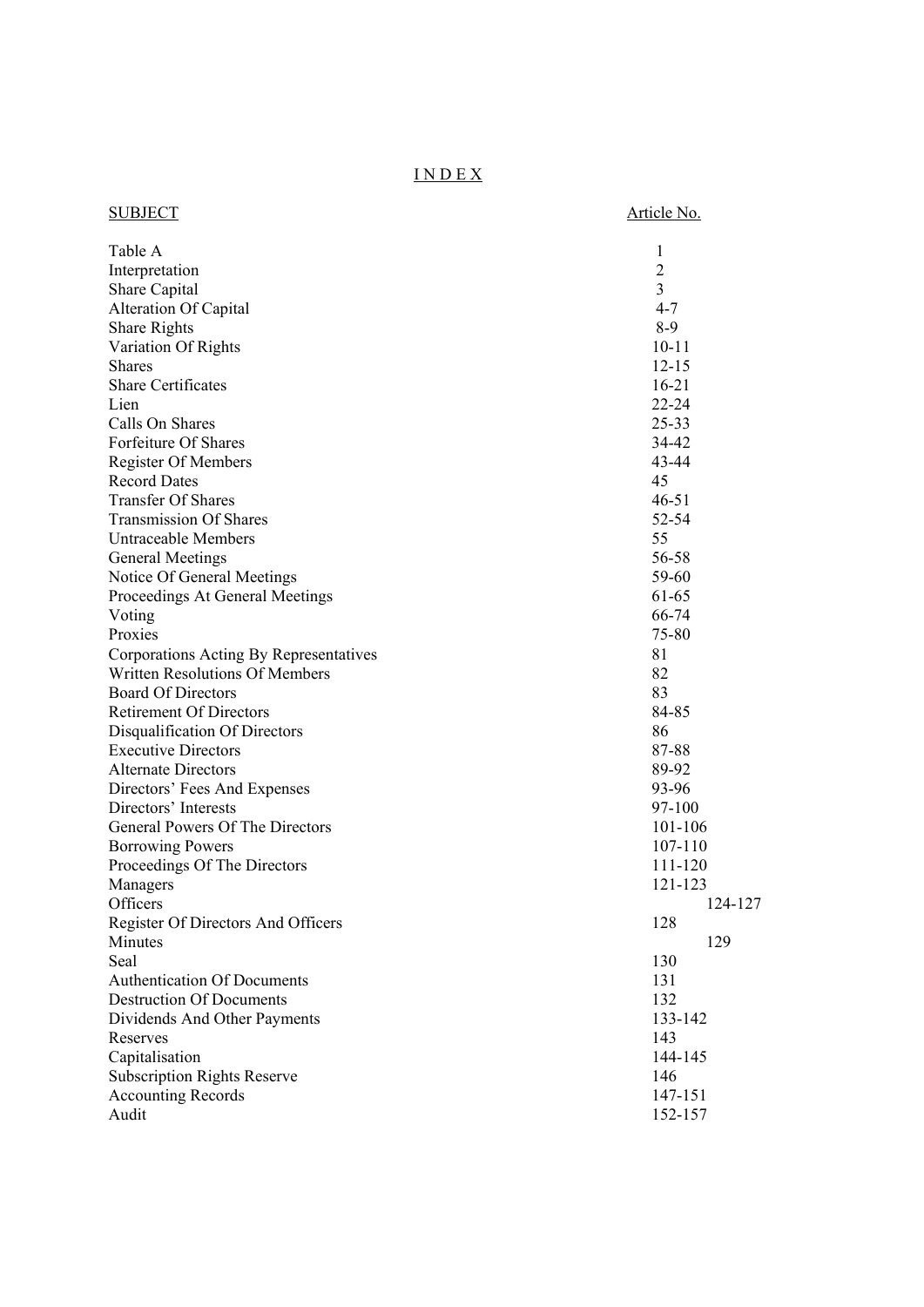# I N D E X

| <b>SUBJECT</b>                         | Article No.    |
|----------------------------------------|----------------|
| Table A                                | 1              |
| Interpretation                         | $\overline{c}$ |
| Share Capital                          | 3              |
| <b>Alteration Of Capital</b>           | $4 - 7$        |
| Share Rights                           | $8-9$          |
| Variation Of Rights                    | $10 - 11$      |
| <b>Shares</b>                          | $12 - 15$      |
| Share Certificates                     | $16 - 21$      |
| Lien                                   | $22 - 24$      |
| Calls On Shares                        | 25-33          |
| Forfeiture Of Shares                   | 34-42          |
| Register Of Members                    | 43-44          |
| <b>Record Dates</b>                    | 45             |
| <b>Transfer Of Shares</b>              | $46 - 51$      |
| <b>Transmission Of Shares</b>          | 52-54          |
| <b>Untraceable Members</b>             | 55             |
| <b>General Meetings</b>                | 56-58          |
| Notice Of General Meetings             | 59-60          |
| Proceedings At General Meetings        | 61-65          |
| Voting                                 | 66-74          |
| Proxies                                | 75-80          |
| Corporations Acting By Representatives | 81             |
| <b>Written Resolutions Of Members</b>  | 82             |
| <b>Board Of Directors</b>              | 83             |
| <b>Retirement Of Directors</b>         | 84-85          |
| Disqualification Of Directors          | 86             |
| <b>Executive Directors</b>             | 87-88          |
| <b>Alternate Directors</b>             | 89-92          |
| Directors' Fees And Expenses           | 93-96          |
| Directors' Interests                   | 97-100         |
| General Powers Of The Directors        | 101-106        |
| <b>Borrowing Powers</b>                | 107-110        |
| Proceedings Of The Directors           | 111-120        |
| Managers                               | 121-123        |
| Officers                               | 124-127        |
| Register Of Directors And Officers     | 128            |
| Minutes                                | 129            |
| Seal                                   | 130            |
| <b>Authentication Of Documents</b>     | 131            |
| <b>Destruction Of Documents</b>        | 132            |
| Dividends And Other Payments           | 133-142        |
| Reserves                               | 143            |
| Capitalisation                         | 144-145        |
| <b>Subscription Rights Reserve</b>     | 146            |
| <b>Accounting Records</b>              | 147-151        |
| Audit                                  | 152-157        |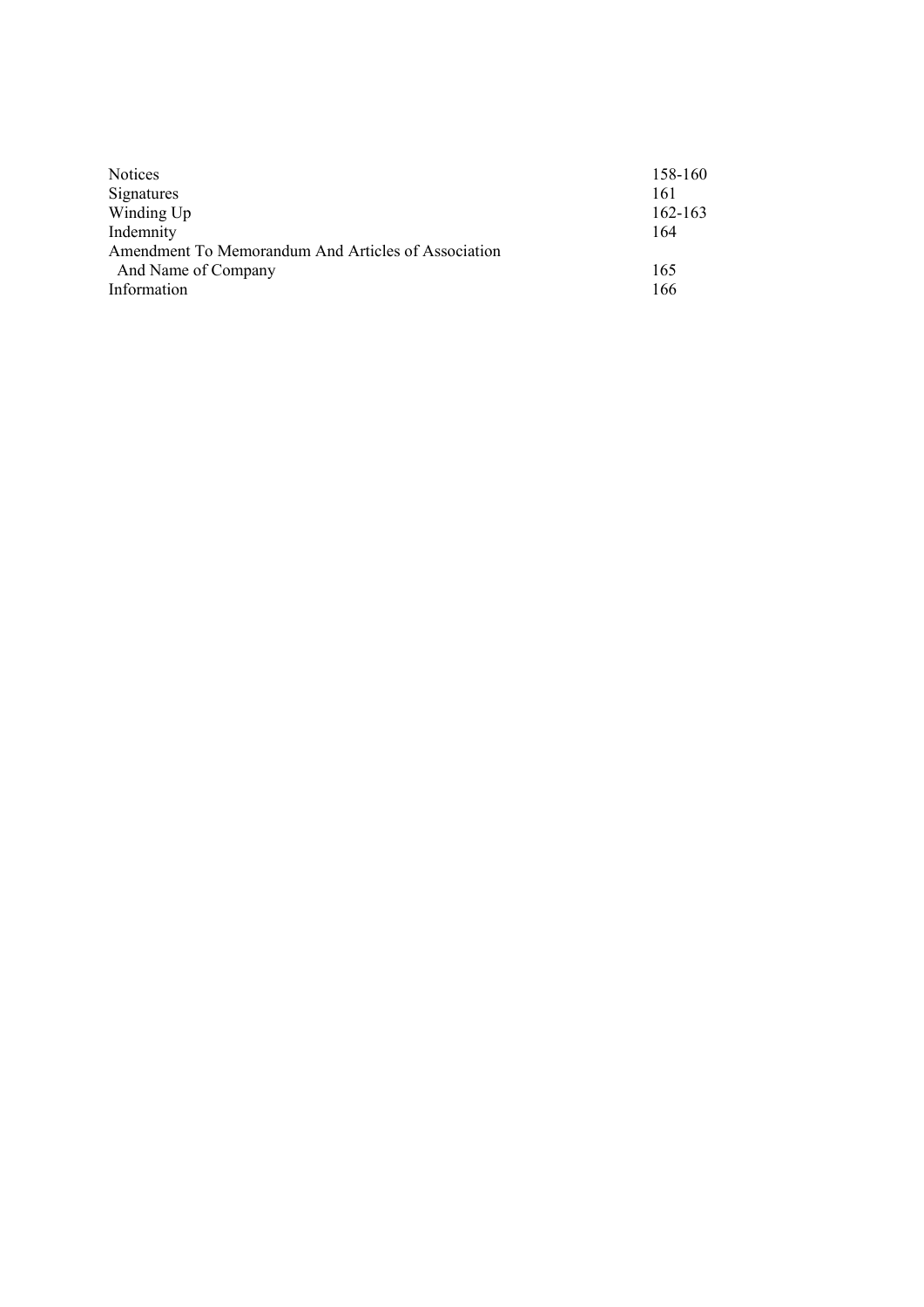| <b>Notices</b>                                      | 158-160     |
|-----------------------------------------------------|-------------|
| Signatures                                          | 161         |
| Winding Up                                          | $162 - 163$ |
| Indemnity                                           | 164         |
| Amendment To Memorandum And Articles of Association |             |
| And Name of Company                                 | 165         |
| Information                                         | 166         |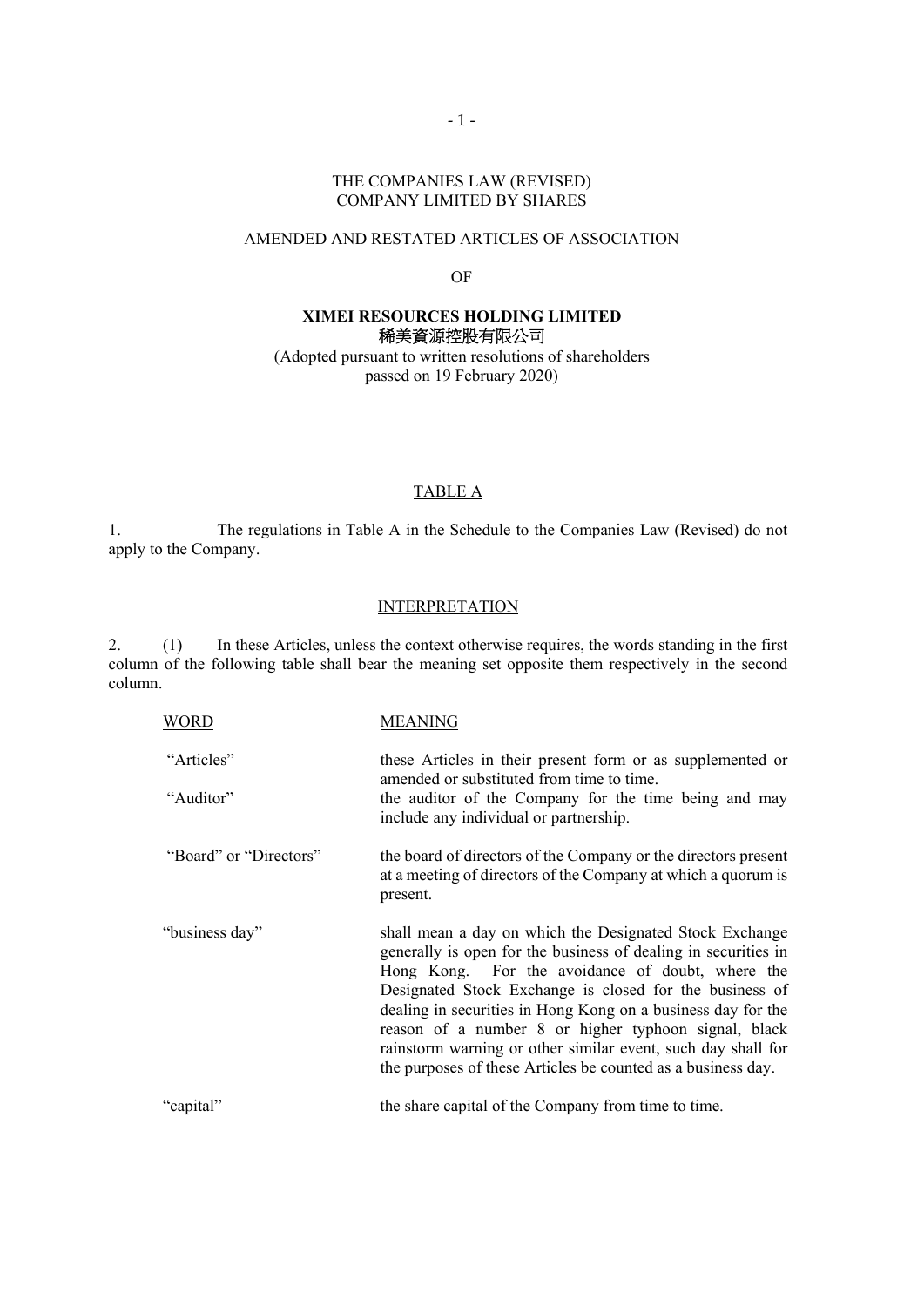# THE COMPANIES LAW (REVISED) COMPANY LIMITED BY SHARES

# AMENDED AND RESTATED ARTICLES OF ASSOCIATION

#### OF

# **XIMEI RESOURCES HOLDING LIMITED**  稀美資源控股有限公司

(Adopted pursuant to written resolutions of shareholders passed on 19 February 2020)

# TABLE A

1. The regulations in Table A in the Schedule to the Companies Law (Revised) do not apply to the Company.

# **INTERPRETATION**

2. (1) In these Articles, unless the context otherwise requires, the words standing in the first column of the following table shall bear the meaning set opposite them respectively in the second column.

| WORD                    | <b>MEANING</b>                                                                                                                                                                                                                                                                                                                                                                                                                                                                                   |
|-------------------------|--------------------------------------------------------------------------------------------------------------------------------------------------------------------------------------------------------------------------------------------------------------------------------------------------------------------------------------------------------------------------------------------------------------------------------------------------------------------------------------------------|
| "Articles"<br>"Auditor" | these Articles in their present form or as supplemented or<br>amended or substituted from time to time.<br>the auditor of the Company for the time being and may<br>include any individual or partnership.                                                                                                                                                                                                                                                                                       |
| "Board" or "Directors"  | the board of directors of the Company or the directors present<br>at a meeting of directors of the Company at which a quorum is<br>present.                                                                                                                                                                                                                                                                                                                                                      |
| "business day"          | shall mean a day on which the Designated Stock Exchange<br>generally is open for the business of dealing in securities in<br>Hong Kong. For the avoidance of doubt, where the<br>Designated Stock Exchange is closed for the business of<br>dealing in securities in Hong Kong on a business day for the<br>reason of a number 8 or higher typhoon signal, black<br>rainstorm warning or other similar event, such day shall for<br>the purposes of these Articles be counted as a business day. |
| "capital"               | the share capital of the Company from time to time.                                                                                                                                                                                                                                                                                                                                                                                                                                              |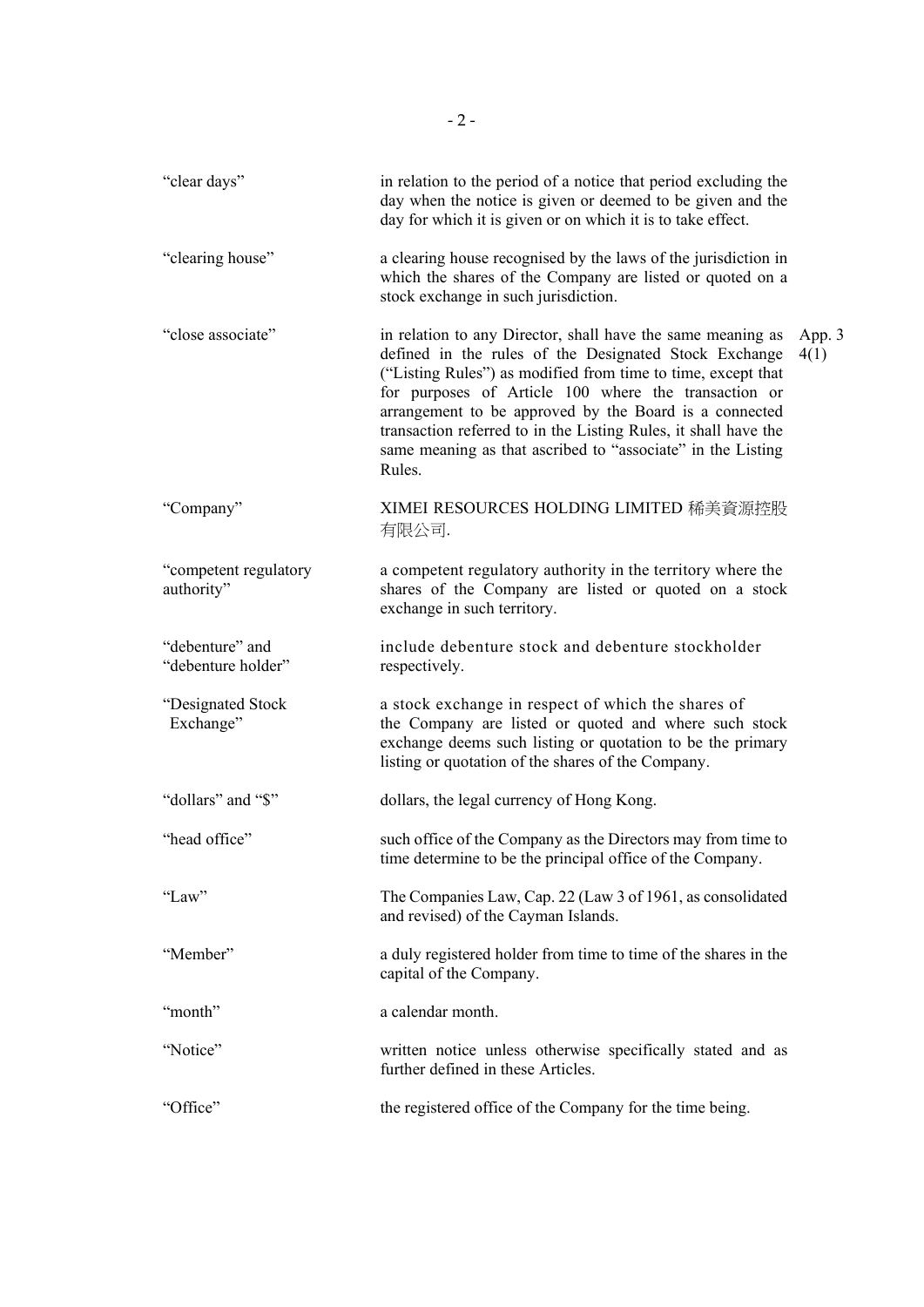| "clear days"                          | in relation to the period of a notice that period excluding the<br>day when the notice is given or deemed to be given and the<br>day for which it is given or on which it is to take effect.                                                                                                                                                                                                                                                       |                |
|---------------------------------------|----------------------------------------------------------------------------------------------------------------------------------------------------------------------------------------------------------------------------------------------------------------------------------------------------------------------------------------------------------------------------------------------------------------------------------------------------|----------------|
| "clearing house"                      | a clearing house recognised by the laws of the jurisdiction in<br>which the shares of the Company are listed or quoted on a<br>stock exchange in such jurisdiction.                                                                                                                                                                                                                                                                                |                |
| "close associate"                     | in relation to any Director, shall have the same meaning as<br>defined in the rules of the Designated Stock Exchange<br>("Listing Rules") as modified from time to time, except that<br>for purposes of Article 100 where the transaction or<br>arrangement to be approved by the Board is a connected<br>transaction referred to in the Listing Rules, it shall have the<br>same meaning as that ascribed to "associate" in the Listing<br>Rules. | App. 3<br>4(1) |
| "Company"                             | XIMEI RESOURCES HOLDING LIMITED 稀美資源控股<br>有限公司.                                                                                                                                                                                                                                                                                                                                                                                                    |                |
| "competent regulatory<br>authority"   | a competent regulatory authority in the territory where the<br>shares of the Company are listed or quoted on a stock<br>exchange in such territory.                                                                                                                                                                                                                                                                                                |                |
| "debenture" and<br>"debenture holder" | include debenture stock and debenture stockholder<br>respectively.                                                                                                                                                                                                                                                                                                                                                                                 |                |
| "Designated Stock<br>Exchange"        | a stock exchange in respect of which the shares of<br>the Company are listed or quoted and where such stock<br>exchange deems such listing or quotation to be the primary<br>listing or quotation of the shares of the Company.                                                                                                                                                                                                                    |                |
| "dollars" and "\$"                    | dollars, the legal currency of Hong Kong.                                                                                                                                                                                                                                                                                                                                                                                                          |                |
| "head office"                         | such office of the Company as the Directors may from time to<br>time determine to be the principal office of the Company.                                                                                                                                                                                                                                                                                                                          |                |
| "Law"                                 | The Companies Law, Cap. 22 (Law 3 of 1961, as consolidated<br>and revised) of the Cayman Islands.                                                                                                                                                                                                                                                                                                                                                  |                |
| "Member"                              | a duly registered holder from time to time of the shares in the<br>capital of the Company.                                                                                                                                                                                                                                                                                                                                                         |                |
| "month"                               | a calendar month.                                                                                                                                                                                                                                                                                                                                                                                                                                  |                |
| "Notice"                              | written notice unless otherwise specifically stated and as<br>further defined in these Articles.                                                                                                                                                                                                                                                                                                                                                   |                |
| "Office"                              | the registered office of the Company for the time being.                                                                                                                                                                                                                                                                                                                                                                                           |                |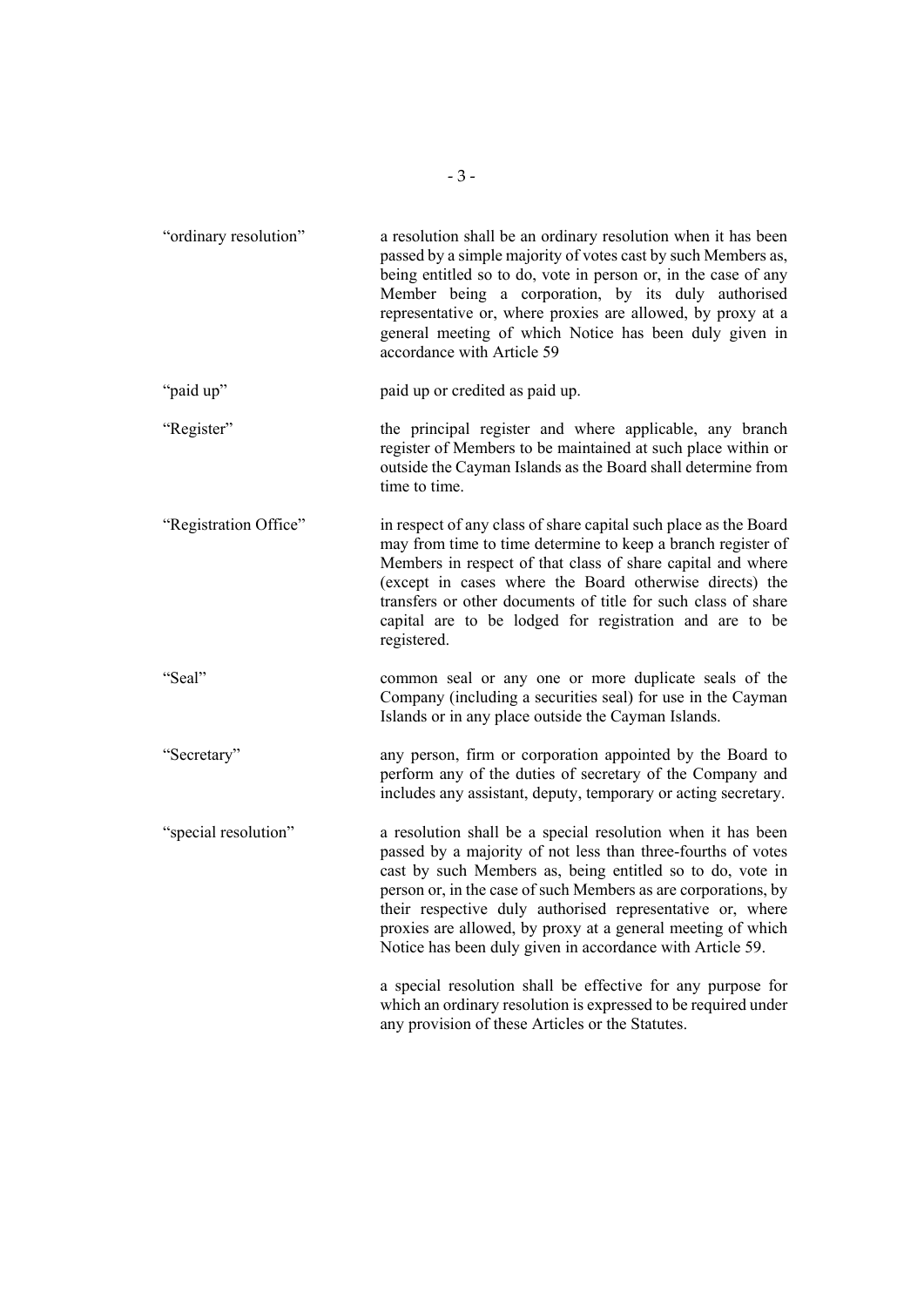| "ordinary resolution" | a resolution shall be an ordinary resolution when it has been<br>passed by a simple majority of votes cast by such Members as,<br>being entitled so to do, vote in person or, in the case of any<br>Member being a corporation, by its duly authorised<br>representative or, where proxies are allowed, by proxy at a<br>general meeting of which Notice has been duly given in<br>accordance with Article 59                                                                                                      |
|-----------------------|--------------------------------------------------------------------------------------------------------------------------------------------------------------------------------------------------------------------------------------------------------------------------------------------------------------------------------------------------------------------------------------------------------------------------------------------------------------------------------------------------------------------|
| "paid up"             | paid up or credited as paid up.                                                                                                                                                                                                                                                                                                                                                                                                                                                                                    |
| "Register"            | the principal register and where applicable, any branch<br>register of Members to be maintained at such place within or<br>outside the Cayman Islands as the Board shall determine from<br>time to time.                                                                                                                                                                                                                                                                                                           |
| "Registration Office" | in respect of any class of share capital such place as the Board<br>may from time to time determine to keep a branch register of<br>Members in respect of that class of share capital and where<br>(except in cases where the Board otherwise directs) the<br>transfers or other documents of title for such class of share<br>capital are to be lodged for registration and are to be<br>registered.                                                                                                              |
| "Seal"                | common seal or any one or more duplicate seals of the<br>Company (including a securities seal) for use in the Cayman<br>Islands or in any place outside the Cayman Islands.                                                                                                                                                                                                                                                                                                                                        |
| "Secretary"           | any person, firm or corporation appointed by the Board to<br>perform any of the duties of secretary of the Company and<br>includes any assistant, deputy, temporary or acting secretary.                                                                                                                                                                                                                                                                                                                           |
| "special resolution"  | a resolution shall be a special resolution when it has been<br>passed by a majority of not less than three-fourths of votes<br>cast by such Members as, being entitled so to do, vote in<br>person or, in the case of such Members as are corporations, by<br>their respective duly authorised representative or, where<br>proxies are allowed, by proxy at a general meeting of which<br>Notice has been duly given in accordance with Article 59.<br>a special resolution shall be effective for any purpose for |
|                       | which an ordinary resolution is expressed to be required under<br>any provision of these Articles or the Statutes.                                                                                                                                                                                                                                                                                                                                                                                                 |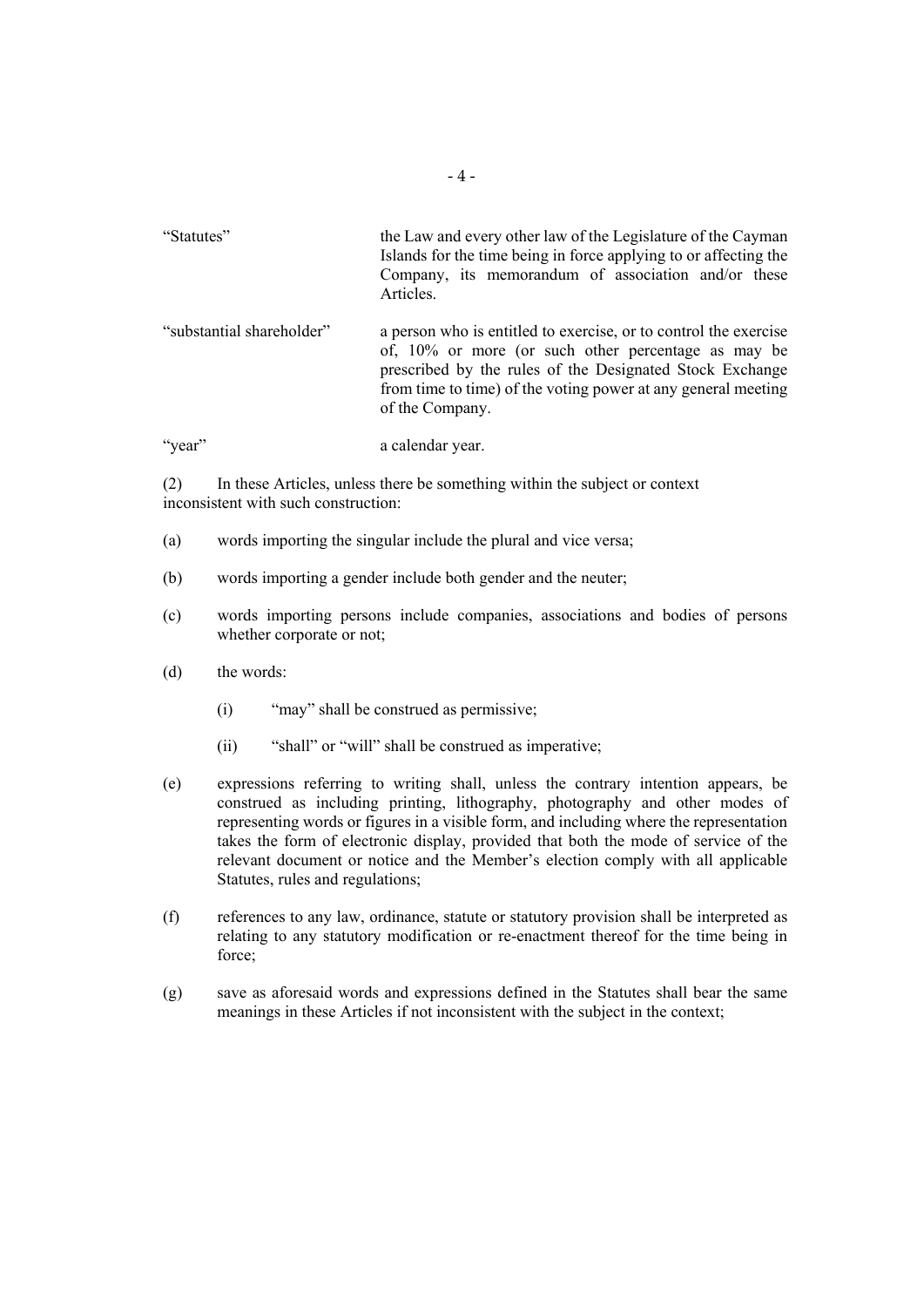| "Statutes"                | the Law and every other law of the Legislature of the Cayman<br>Islands for the time being in force applying to or affecting the<br>Company, its memorandum of association and/or these<br>Articles.                                                                    |
|---------------------------|-------------------------------------------------------------------------------------------------------------------------------------------------------------------------------------------------------------------------------------------------------------------------|
| "substantial shareholder" | a person who is entitled to exercise, or to control the exercise<br>of, 10% or more (or such other percentage as may be<br>prescribed by the rules of the Designated Stock Exchange<br>from time to time) of the voting power at any general meeting<br>of the Company. |
| 'year''                   | a calendar year.                                                                                                                                                                                                                                                        |

(2) In these Articles, unless there be something within the subject or context inconsistent with such construction:

- (a) words importing the singular include the plural and vice versa;
- (b) words importing a gender include both gender and the neuter;
- (c) words importing persons include companies, associations and bodies of persons whether corporate or not;
- (d) the words:
	- (i) "may" shall be construed as permissive;
	- (ii) "shall" or "will" shall be construed as imperative;
- (e) expressions referring to writing shall, unless the contrary intention appears, be construed as including printing, lithography, photography and other modes of representing words or figures in a visible form, and including where the representation takes the form of electronic display, provided that both the mode of service of the relevant document or notice and the Member's election comply with all applicable Statutes, rules and regulations;
- (f) references to any law, ordinance, statute or statutory provision shall be interpreted as relating to any statutory modification or re-enactment thereof for the time being in force;
- (g) save as aforesaid words and expressions defined in the Statutes shall bear the same meanings in these Articles if not inconsistent with the subject in the context;

‐ 4 ‐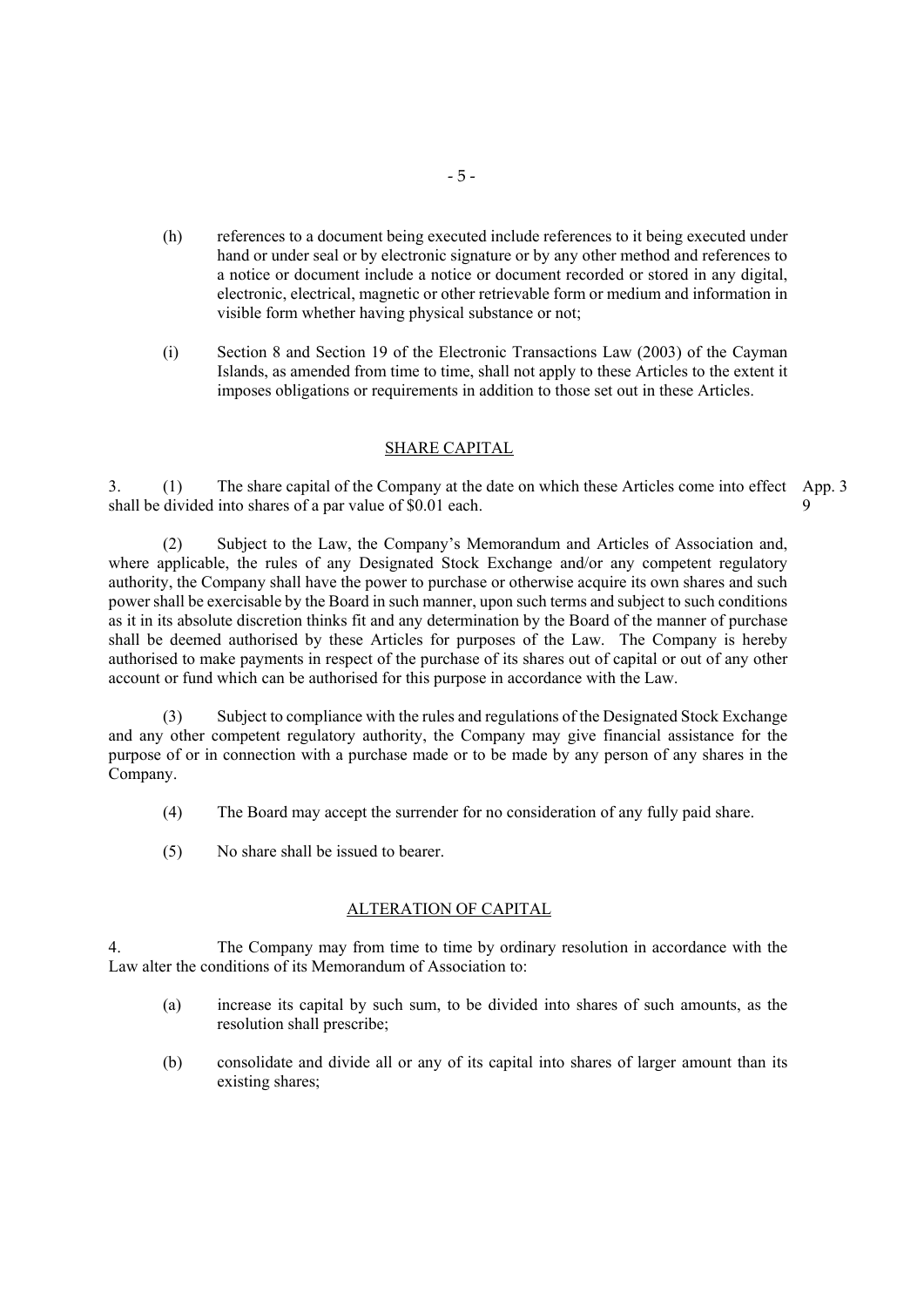- (h) references to a document being executed include references to it being executed under hand or under seal or by electronic signature or by any other method and references to a notice or document include a notice or document recorded or stored in any digital, electronic, electrical, magnetic or other retrievable form or medium and information in visible form whether having physical substance or not;
- (i) Section 8 and Section 19 of the Electronic Transactions Law (2003) of the Cayman Islands, as amended from time to time, shall not apply to these Articles to the extent it imposes obligations or requirements in addition to those set out in these Articles.

# SHARE CAPITAL

3. (1) The share capital of the Company at the date on which these Articles come into effect App. 3 shall be divided into shares of a par value of \$0.01 each. 9

(2) Subject to the Law, the Company's Memorandum and Articles of Association and, where applicable, the rules of any Designated Stock Exchange and/or any competent regulatory authority, the Company shall have the power to purchase or otherwise acquire its own shares and such power shall be exercisable by the Board in such manner, upon such terms and subject to such conditions as it in its absolute discretion thinks fit and any determination by the Board of the manner of purchase shall be deemed authorised by these Articles for purposes of the Law. The Company is hereby authorised to make payments in respect of the purchase of its shares out of capital or out of any other account or fund which can be authorised for this purpose in accordance with the Law.

(3) Subject to compliance with the rules and regulations of the Designated Stock Exchange and any other competent regulatory authority, the Company may give financial assistance for the purpose of or in connection with a purchase made or to be made by any person of any shares in the Company.

- (4) The Board may accept the surrender for no consideration of any fully paid share.
- (5) No share shall be issued to bearer.

# ALTERATION OF CAPITAL

4. The Company may from time to time by ordinary resolution in accordance with the Law alter the conditions of its Memorandum of Association to:

- (a) increase its capital by such sum, to be divided into shares of such amounts, as the resolution shall prescribe;
- (b) consolidate and divide all or any of its capital into shares of larger amount than its existing shares;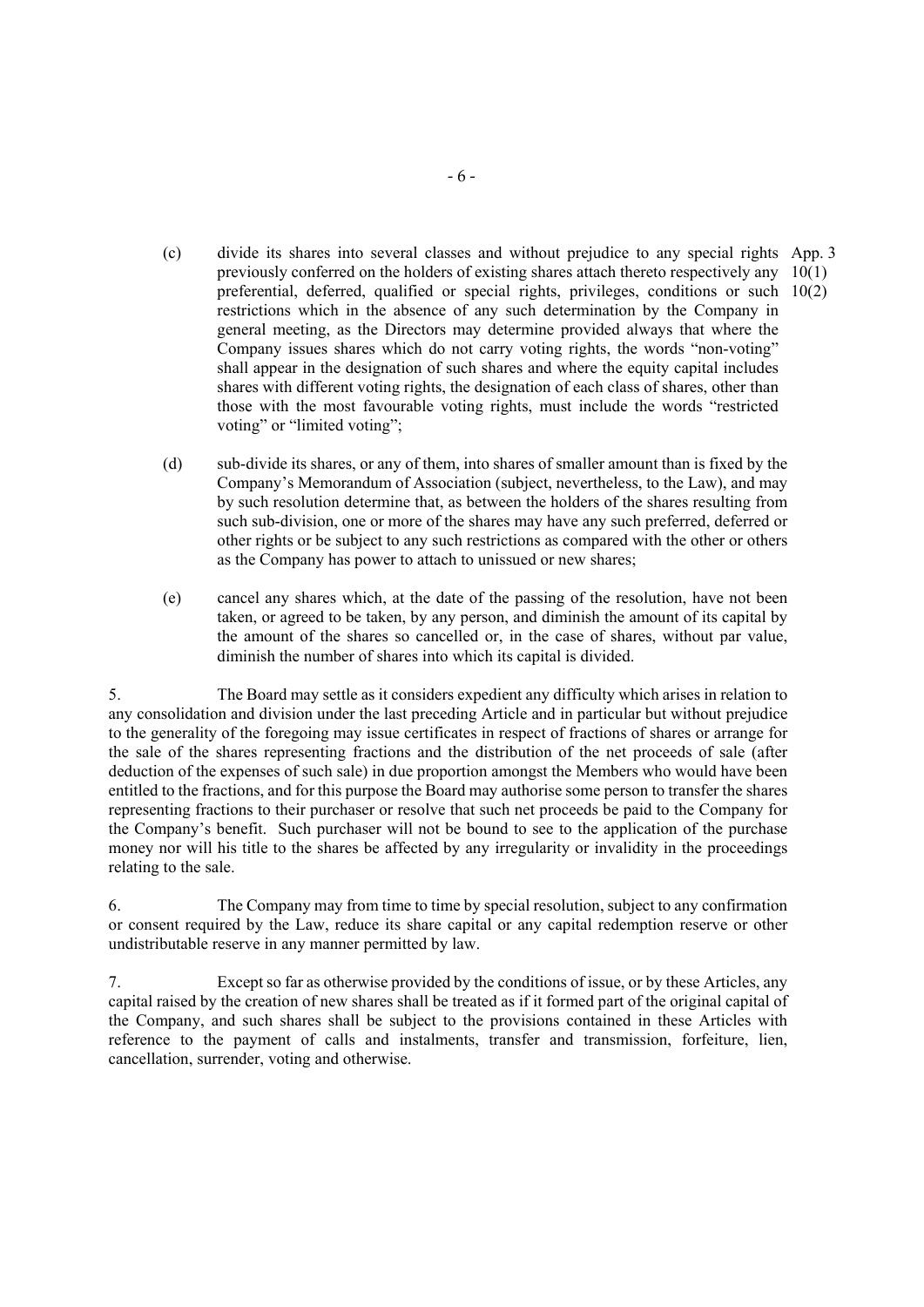- (c) divide its shares into several classes and without prejudice to any special rights App. 3 previously conferred on the holders of existing shares attach thereto respectively any 10(1) preferential, deferred, qualified or special rights, privileges, conditions or such 10(2) restrictions which in the absence of any such determination by the Company in general meeting, as the Directors may determine provided always that where the Company issues shares which do not carry voting rights, the words "non-voting" shall appear in the designation of such shares and where the equity capital includes shares with different voting rights, the designation of each class of shares, other than those with the most favourable voting rights, must include the words "restricted voting" or "limited voting";
- (d) sub-divide its shares, or any of them, into shares of smaller amount than is fixed by the Company's Memorandum of Association (subject, nevertheless, to the Law), and may by such resolution determine that, as between the holders of the shares resulting from such sub-division, one or more of the shares may have any such preferred, deferred or other rights or be subject to any such restrictions as compared with the other or others as the Company has power to attach to unissued or new shares;
- (e) cancel any shares which, at the date of the passing of the resolution, have not been taken, or agreed to be taken, by any person, and diminish the amount of its capital by the amount of the shares so cancelled or, in the case of shares, without par value, diminish the number of shares into which its capital is divided.

5. The Board may settle as it considers expedient any difficulty which arises in relation to any consolidation and division under the last preceding Article and in particular but without prejudice to the generality of the foregoing may issue certificates in respect of fractions of shares or arrange for the sale of the shares representing fractions and the distribution of the net proceeds of sale (after deduction of the expenses of such sale) in due proportion amongst the Members who would have been entitled to the fractions, and for this purpose the Board may authorise some person to transfer the shares representing fractions to their purchaser or resolve that such net proceeds be paid to the Company for the Company's benefit. Such purchaser will not be bound to see to the application of the purchase money nor will his title to the shares be affected by any irregularity or invalidity in the proceedings relating to the sale.

6. The Company may from time to time by special resolution, subject to any confirmation or consent required by the Law, reduce its share capital or any capital redemption reserve or other undistributable reserve in any manner permitted by law.

7. Except so far as otherwise provided by the conditions of issue, or by these Articles, any capital raised by the creation of new shares shall be treated as if it formed part of the original capital of the Company, and such shares shall be subject to the provisions contained in these Articles with reference to the payment of calls and instalments, transfer and transmission, forfeiture, lien, cancellation, surrender, voting and otherwise.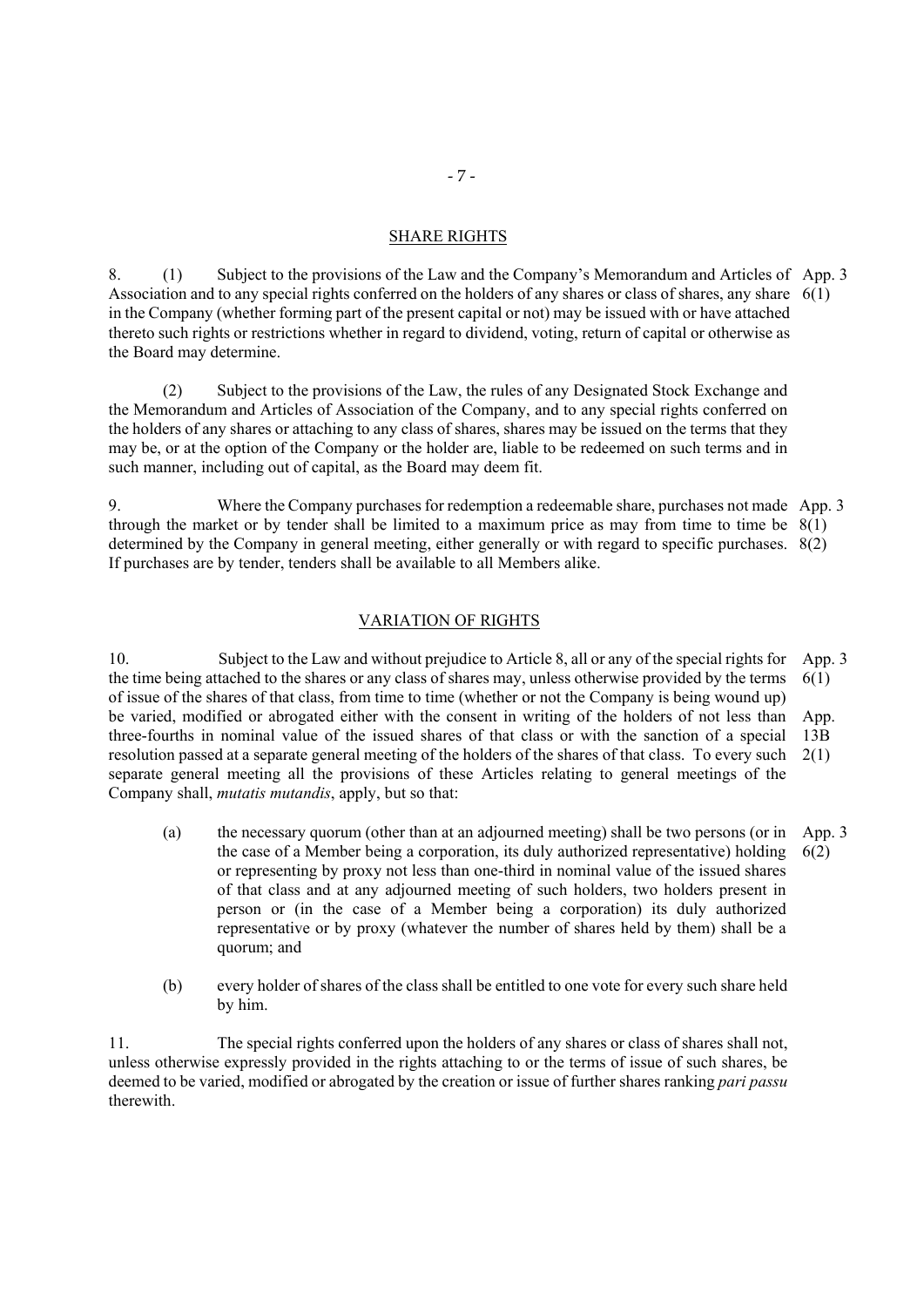#### SHARE RIGHTS

8. (1) Subject to the provisions of the Law and the Company's Memorandum and Articles of App. 3 Association and to any special rights conferred on the holders of any shares or class of shares, any share 6(1) in the Company (whether forming part of the present capital or not) may be issued with or have attached thereto such rights or restrictions whether in regard to dividend, voting, return of capital or otherwise as the Board may determine.

(2) Subject to the provisions of the Law, the rules of any Designated Stock Exchange and the Memorandum and Articles of Association of the Company, and to any special rights conferred on the holders of any shares or attaching to any class of shares, shares may be issued on the terms that they may be, or at the option of the Company or the holder are, liable to be redeemed on such terms and in such manner, including out of capital, as the Board may deem fit.

9. Where the Company purchases for redemption a redeemable share, purchases not made App. 3 through the market or by tender shall be limited to a maximum price as may from time to time be 8(1) determined by the Company in general meeting, either generally or with regard to specific purchases. 8(2) If purchases are by tender, tenders shall be available to all Members alike.

# VARIATION OF RIGHTS

10. Subject to the Law and without prejudice to Article 8, all or any of the special rights for the time being attached to the shares or any class of shares may, unless otherwise provided by the terms of issue of the shares of that class, from time to time (whether or not the Company is being wound up) be varied, modified or abrogated either with the consent in writing of the holders of not less than three-fourths in nominal value of the issued shares of that class or with the sanction of a special resolution passed at a separate general meeting of the holders of the shares of that class. To every such 2(1) separate general meeting all the provisions of these Articles relating to general meetings of the Company shall, *mutatis mutandis*, apply, but so that: App. 3 6(1) App. 13B

- (a) the necessary quorum (other than at an adjourned meeting) shall be two persons (or in the case of a Member being a corporation, its duly authorized representative) holding or representing by proxy not less than one-third in nominal value of the issued shares of that class and at any adjourned meeting of such holders, two holders present in person or (in the case of a Member being a corporation) its duly authorized representative or by proxy (whatever the number of shares held by them) shall be a quorum; and App. 3 6(2)
- (b) every holder of shares of the class shall be entitled to one vote for every such share held by him.

11. The special rights conferred upon the holders of any shares or class of shares shall not, unless otherwise expressly provided in the rights attaching to or the terms of issue of such shares, be deemed to be varied, modified or abrogated by the creation or issue of further shares ranking *pari passu* therewith.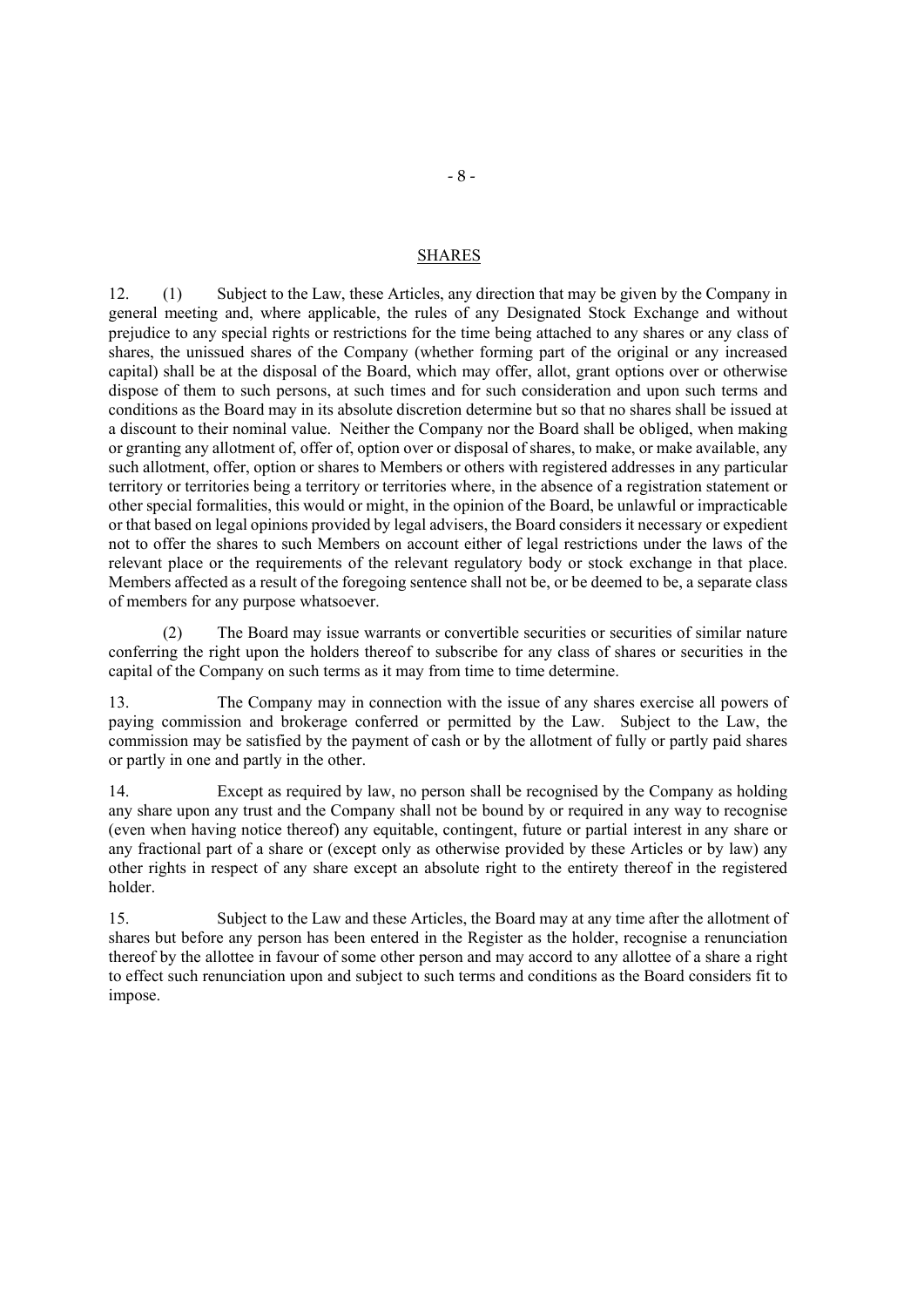#### SHARES

12. (1) Subject to the Law, these Articles, any direction that may be given by the Company in general meeting and, where applicable, the rules of any Designated Stock Exchange and without prejudice to any special rights or restrictions for the time being attached to any shares or any class of shares, the unissued shares of the Company (whether forming part of the original or any increased capital) shall be at the disposal of the Board, which may offer, allot, grant options over or otherwise dispose of them to such persons, at such times and for such consideration and upon such terms and conditions as the Board may in its absolute discretion determine but so that no shares shall be issued at a discount to their nominal value. Neither the Company nor the Board shall be obliged, when making or granting any allotment of, offer of, option over or disposal of shares, to make, or make available, any such allotment, offer, option or shares to Members or others with registered addresses in any particular territory or territories being a territory or territories where, in the absence of a registration statement or other special formalities, this would or might, in the opinion of the Board, be unlawful or impracticable or that based on legal opinions provided by legal advisers, the Board considers it necessary or expedient not to offer the shares to such Members on account either of legal restrictions under the laws of the relevant place or the requirements of the relevant regulatory body or stock exchange in that place. Members affected as a result of the foregoing sentence shall not be, or be deemed to be, a separate class of members for any purpose whatsoever.

(2) The Board may issue warrants or convertible securities or securities of similar nature conferring the right upon the holders thereof to subscribe for any class of shares or securities in the capital of the Company on such terms as it may from time to time determine.

13. The Company may in connection with the issue of any shares exercise all powers of paying commission and brokerage conferred or permitted by the Law. Subject to the Law, the commission may be satisfied by the payment of cash or by the allotment of fully or partly paid shares or partly in one and partly in the other.

14. Except as required by law, no person shall be recognised by the Company as holding any share upon any trust and the Company shall not be bound by or required in any way to recognise (even when having notice thereof) any equitable, contingent, future or partial interest in any share or any fractional part of a share or (except only as otherwise provided by these Articles or by law) any other rights in respect of any share except an absolute right to the entirety thereof in the registered holder.

15. Subject to the Law and these Articles, the Board may at any time after the allotment of shares but before any person has been entered in the Register as the holder, recognise a renunciation thereof by the allottee in favour of some other person and may accord to any allottee of a share a right to effect such renunciation upon and subject to such terms and conditions as the Board considers fit to impose.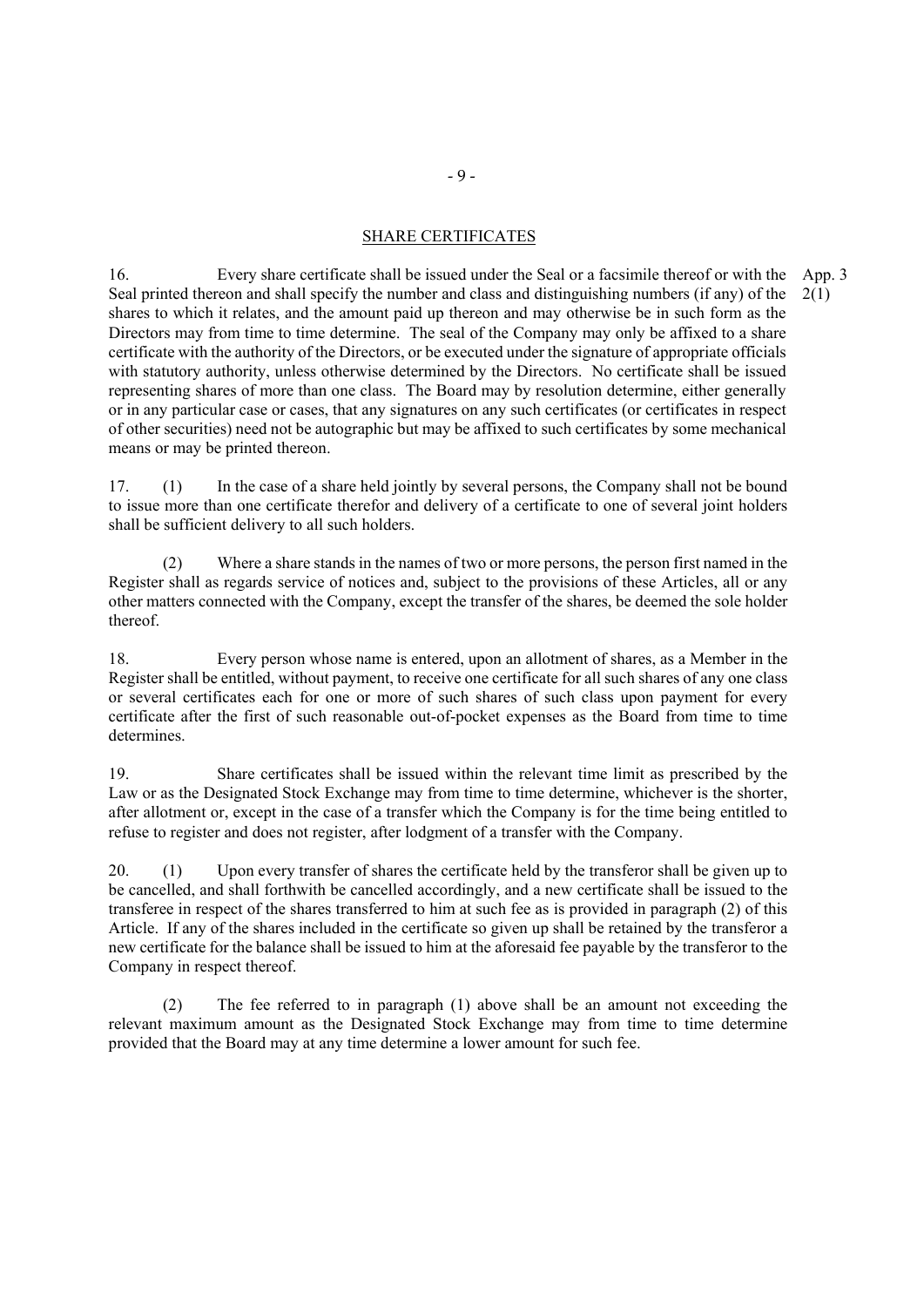# SHARE CERTIFICATES

16. Every share certificate shall be issued under the Seal or a facsimile thereof or with the App. 3 Seal printed thereon and shall specify the number and class and distinguishing numbers (if any) of the shares to which it relates, and the amount paid up thereon and may otherwise be in such form as the Directors may from time to time determine. The seal of the Company may only be affixed to a share certificate with the authority of the Directors, or be executed under the signature of appropriate officials with statutory authority, unless otherwise determined by the Directors. No certificate shall be issued representing shares of more than one class. The Board may by resolution determine, either generally or in any particular case or cases, that any signatures on any such certificates (or certificates in respect of other securities) need not be autographic but may be affixed to such certificates by some mechanical means or may be printed thereon. 2(1)

17. (1) In the case of a share held jointly by several persons, the Company shall not be bound to issue more than one certificate therefor and delivery of a certificate to one of several joint holders shall be sufficient delivery to all such holders.

(2) Where a share stands in the names of two or more persons, the person first named in the Register shall as regards service of notices and, subject to the provisions of these Articles, all or any other matters connected with the Company, except the transfer of the shares, be deemed the sole holder thereof.

18. Every person whose name is entered, upon an allotment of shares, as a Member in the Register shall be entitled, without payment, to receive one certificate for all such shares of any one class or several certificates each for one or more of such shares of such class upon payment for every certificate after the first of such reasonable out-of-pocket expenses as the Board from time to time determines.

19. Share certificates shall be issued within the relevant time limit as prescribed by the Law or as the Designated Stock Exchange may from time to time determine, whichever is the shorter, after allotment or, except in the case of a transfer which the Company is for the time being entitled to refuse to register and does not register, after lodgment of a transfer with the Company.

20. (1) Upon every transfer of shares the certificate held by the transferor shall be given up to be cancelled, and shall forthwith be cancelled accordingly, and a new certificate shall be issued to the transferee in respect of the shares transferred to him at such fee as is provided in paragraph (2) of this Article. If any of the shares included in the certificate so given up shall be retained by the transferor a new certificate for the balance shall be issued to him at the aforesaid fee payable by the transferor to the Company in respect thereof.

(2) The fee referred to in paragraph (1) above shall be an amount not exceeding the relevant maximum amount as the Designated Stock Exchange may from time to time determine provided that the Board may at any time determine a lower amount for such fee.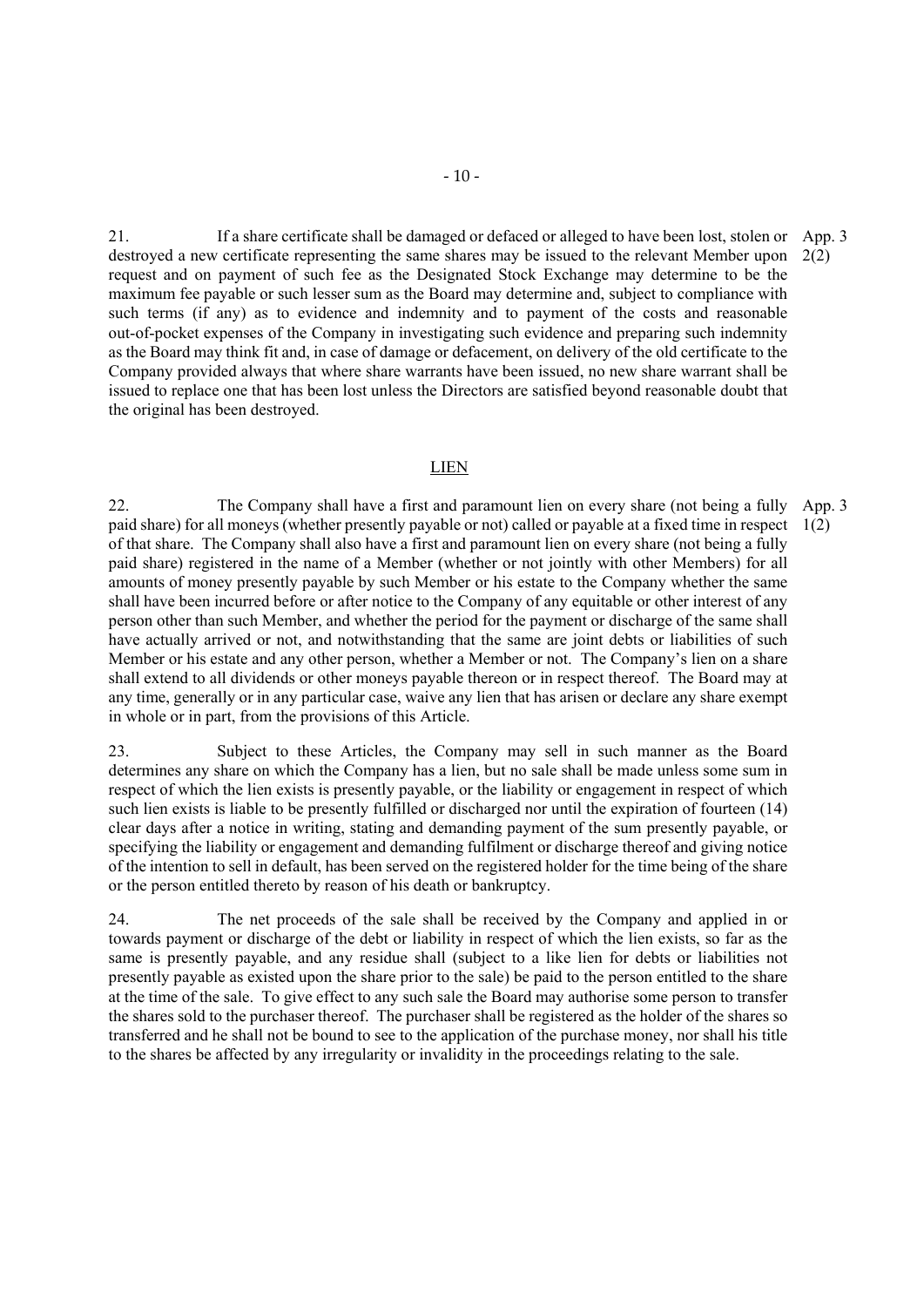21. If a share certificate shall be damaged or defaced or alleged to have been lost, stolen or App. 3 destroyed a new certificate representing the same shares may be issued to the relevant Member upon 2(2) request and on payment of such fee as the Designated Stock Exchange may determine to be the maximum fee payable or such lesser sum as the Board may determine and, subject to compliance with such terms (if any) as to evidence and indemnity and to payment of the costs and reasonable out-of-pocket expenses of the Company in investigating such evidence and preparing such indemnity as the Board may think fit and, in case of damage or defacement, on delivery of the old certificate to the Company provided always that where share warrants have been issued, no new share warrant shall be issued to replace one that has been lost unless the Directors are satisfied beyond reasonable doubt that the original has been destroyed.

## LIEN

22. The Company shall have a first and paramount lien on every share (not being a fully paid share) for all moneys (whether presently payable or not) called or payable at a fixed time in respect 1(2) of that share. The Company shall also have a first and paramount lien on every share (not being a fully paid share) registered in the name of a Member (whether or not jointly with other Members) for all amounts of money presently payable by such Member or his estate to the Company whether the same shall have been incurred before or after notice to the Company of any equitable or other interest of any person other than such Member, and whether the period for the payment or discharge of the same shall have actually arrived or not, and notwithstanding that the same are joint debts or liabilities of such Member or his estate and any other person, whether a Member or not. The Company's lien on a share shall extend to all dividends or other moneys payable thereon or in respect thereof. The Board may at any time, generally or in any particular case, waive any lien that has arisen or declare any share exempt in whole or in part, from the provisions of this Article. App. 3

23. Subject to these Articles, the Company may sell in such manner as the Board determines any share on which the Company has a lien, but no sale shall be made unless some sum in respect of which the lien exists is presently payable, or the liability or engagement in respect of which such lien exists is liable to be presently fulfilled or discharged nor until the expiration of fourteen (14) clear days after a notice in writing, stating and demanding payment of the sum presently payable, or specifying the liability or engagement and demanding fulfilment or discharge thereof and giving notice of the intention to sell in default, has been served on the registered holder for the time being of the share or the person entitled thereto by reason of his death or bankruptcy.

24. The net proceeds of the sale shall be received by the Company and applied in or towards payment or discharge of the debt or liability in respect of which the lien exists, so far as the same is presently payable, and any residue shall (subject to a like lien for debts or liabilities not presently payable as existed upon the share prior to the sale) be paid to the person entitled to the share at the time of the sale. To give effect to any such sale the Board may authorise some person to transfer the shares sold to the purchaser thereof. The purchaser shall be registered as the holder of the shares so transferred and he shall not be bound to see to the application of the purchase money, nor shall his title to the shares be affected by any irregularity or invalidity in the proceedings relating to the sale.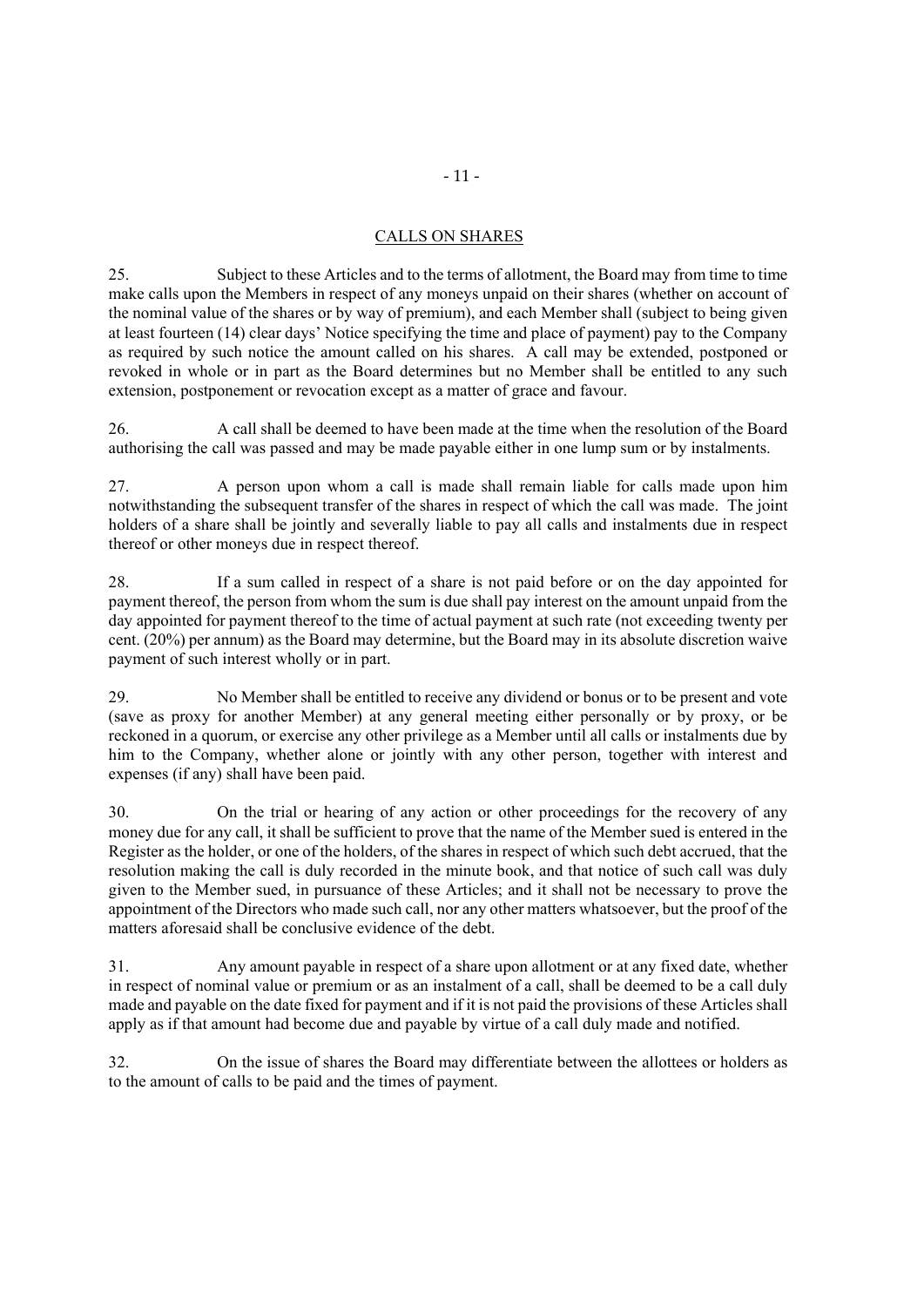# CALLS ON SHARES

25. Subject to these Articles and to the terms of allotment, the Board may from time to time make calls upon the Members in respect of any moneys unpaid on their shares (whether on account of the nominal value of the shares or by way of premium), and each Member shall (subject to being given at least fourteen (14) clear days' Notice specifying the time and place of payment) pay to the Company as required by such notice the amount called on his shares. A call may be extended, postponed or revoked in whole or in part as the Board determines but no Member shall be entitled to any such extension, postponement or revocation except as a matter of grace and favour.

26. A call shall be deemed to have been made at the time when the resolution of the Board authorising the call was passed and may be made payable either in one lump sum or by instalments.

27. A person upon whom a call is made shall remain liable for calls made upon him notwithstanding the subsequent transfer of the shares in respect of which the call was made. The joint holders of a share shall be jointly and severally liable to pay all calls and instalments due in respect thereof or other moneys due in respect thereof.

28. If a sum called in respect of a share is not paid before or on the day appointed for payment thereof, the person from whom the sum is due shall pay interest on the amount unpaid from the day appointed for payment thereof to the time of actual payment at such rate (not exceeding twenty per cent. (20%) per annum) as the Board may determine, but the Board may in its absolute discretion waive payment of such interest wholly or in part.

29. No Member shall be entitled to receive any dividend or bonus or to be present and vote (save as proxy for another Member) at any general meeting either personally or by proxy, or be reckoned in a quorum, or exercise any other privilege as a Member until all calls or instalments due by him to the Company, whether alone or jointly with any other person, together with interest and expenses (if any) shall have been paid.

30. On the trial or hearing of any action or other proceedings for the recovery of any money due for any call, it shall be sufficient to prove that the name of the Member sued is entered in the Register as the holder, or one of the holders, of the shares in respect of which such debt accrued, that the resolution making the call is duly recorded in the minute book, and that notice of such call was duly given to the Member sued, in pursuance of these Articles; and it shall not be necessary to prove the appointment of the Directors who made such call, nor any other matters whatsoever, but the proof of the matters aforesaid shall be conclusive evidence of the debt.

31. Any amount payable in respect of a share upon allotment or at any fixed date, whether in respect of nominal value or premium or as an instalment of a call, shall be deemed to be a call duly made and payable on the date fixed for payment and if it is not paid the provisions of these Articles shall apply as if that amount had become due and payable by virtue of a call duly made and notified.

32. On the issue of shares the Board may differentiate between the allottees or holders as to the amount of calls to be paid and the times of payment.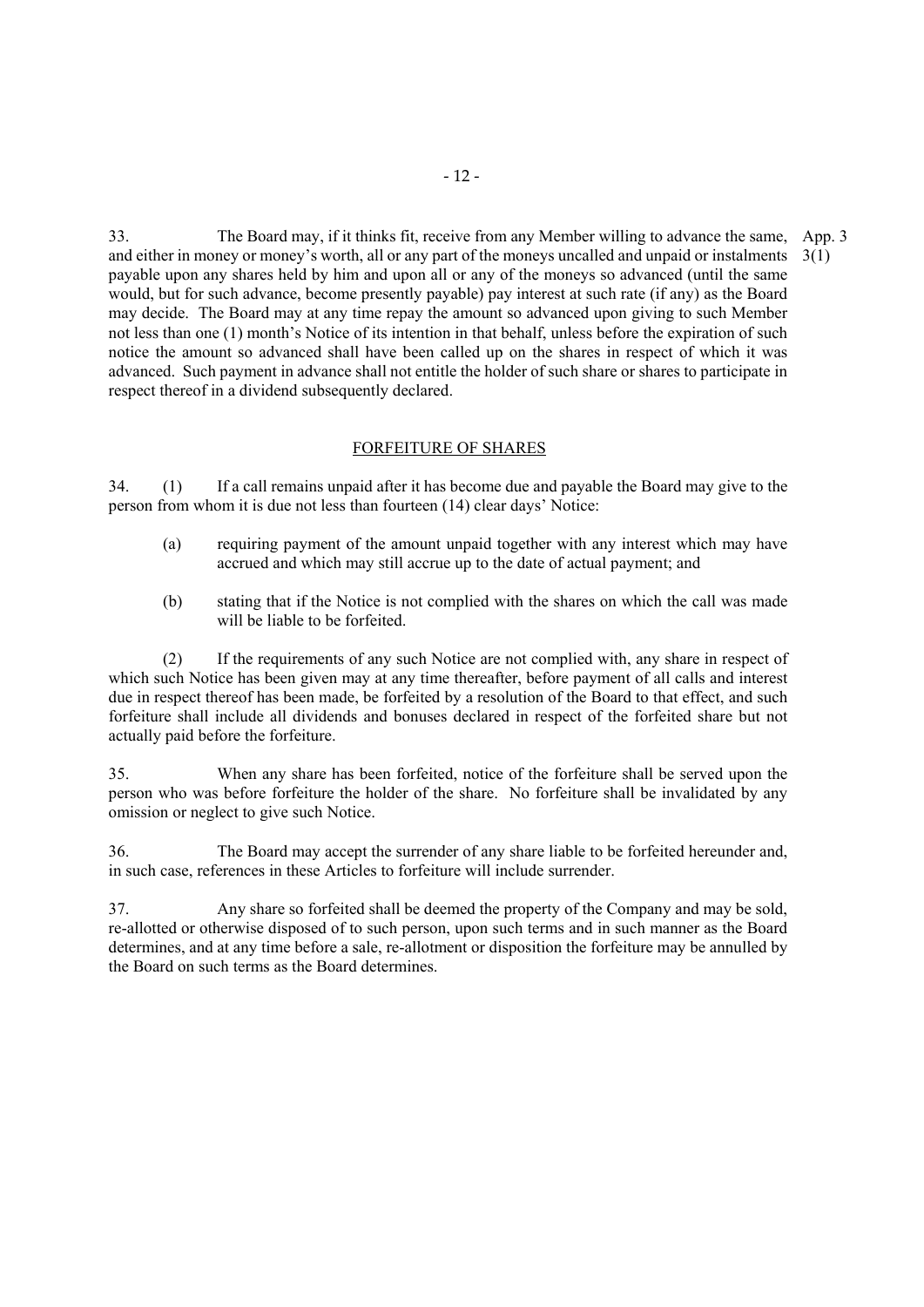33. The Board may, if it thinks fit, receive from any Member willing to advance the same, App. 3 and either in money or money's worth, all or any part of the moneys uncalled and unpaid or instalments 3(1) payable upon any shares held by him and upon all or any of the moneys so advanced (until the same would, but for such advance, become presently payable) pay interest at such rate (if any) as the Board may decide. The Board may at any time repay the amount so advanced upon giving to such Member not less than one (1) month's Notice of its intention in that behalf, unless before the expiration of such notice the amount so advanced shall have been called up on the shares in respect of which it was advanced. Such payment in advance shall not entitle the holder of such share or shares to participate in respect thereof in a dividend subsequently declared.

# FORFEITURE OF SHARES

34. (1) If a call remains unpaid after it has become due and payable the Board may give to the person from whom it is due not less than fourteen (14) clear days' Notice:

- (a) requiring payment of the amount unpaid together with any interest which may have accrued and which may still accrue up to the date of actual payment; and
- (b) stating that if the Notice is not complied with the shares on which the call was made will be liable to be forfeited.

(2) If the requirements of any such Notice are not complied with, any share in respect of which such Notice has been given may at any time thereafter, before payment of all calls and interest due in respect thereof has been made, be forfeited by a resolution of the Board to that effect, and such forfeiture shall include all dividends and bonuses declared in respect of the forfeited share but not actually paid before the forfeiture.

35. When any share has been forfeited, notice of the forfeiture shall be served upon the person who was before forfeiture the holder of the share. No forfeiture shall be invalidated by any omission or neglect to give such Notice.

36. The Board may accept the surrender of any share liable to be forfeited hereunder and, in such case, references in these Articles to forfeiture will include surrender.

37. Any share so forfeited shall be deemed the property of the Company and may be sold, re-allotted or otherwise disposed of to such person, upon such terms and in such manner as the Board determines, and at any time before a sale, re-allotment or disposition the forfeiture may be annulled by the Board on such terms as the Board determines.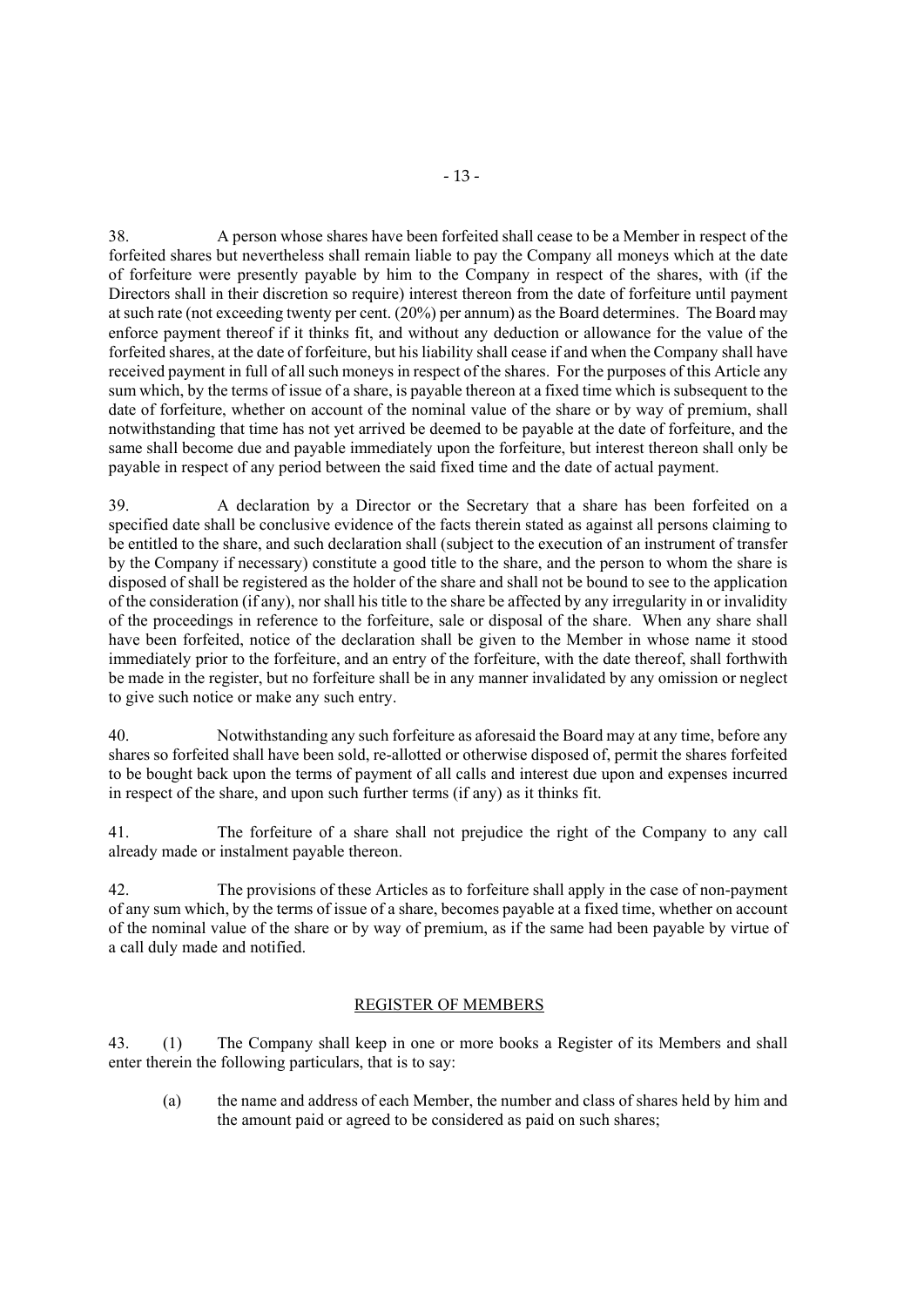38. A person whose shares have been forfeited shall cease to be a Member in respect of the forfeited shares but nevertheless shall remain liable to pay the Company all moneys which at the date of forfeiture were presently payable by him to the Company in respect of the shares, with (if the Directors shall in their discretion so require) interest thereon from the date of forfeiture until payment at such rate (not exceeding twenty per cent. (20%) per annum) as the Board determines. The Board may enforce payment thereof if it thinks fit, and without any deduction or allowance for the value of the forfeited shares, at the date of forfeiture, but his liability shall cease if and when the Company shall have received payment in full of all such moneys in respect of the shares. For the purposes of this Article any sum which, by the terms of issue of a share, is payable thereon at a fixed time which is subsequent to the date of forfeiture, whether on account of the nominal value of the share or by way of premium, shall notwithstanding that time has not yet arrived be deemed to be payable at the date of forfeiture, and the same shall become due and payable immediately upon the forfeiture, but interest thereon shall only be payable in respect of any period between the said fixed time and the date of actual payment.

39. A declaration by a Director or the Secretary that a share has been forfeited on a specified date shall be conclusive evidence of the facts therein stated as against all persons claiming to be entitled to the share, and such declaration shall (subject to the execution of an instrument of transfer by the Company if necessary) constitute a good title to the share, and the person to whom the share is disposed of shall be registered as the holder of the share and shall not be bound to see to the application of the consideration (if any), nor shall his title to the share be affected by any irregularity in or invalidity of the proceedings in reference to the forfeiture, sale or disposal of the share. When any share shall have been forfeited, notice of the declaration shall be given to the Member in whose name it stood immediately prior to the forfeiture, and an entry of the forfeiture, with the date thereof, shall forthwith be made in the register, but no forfeiture shall be in any manner invalidated by any omission or neglect to give such notice or make any such entry.

40. Notwithstanding any such forfeiture as aforesaid the Board may at any time, before any shares so forfeited shall have been sold, re-allotted or otherwise disposed of, permit the shares forfeited to be bought back upon the terms of payment of all calls and interest due upon and expenses incurred in respect of the share, and upon such further terms (if any) as it thinks fit.

41. The forfeiture of a share shall not prejudice the right of the Company to any call already made or instalment payable thereon.

42. The provisions of these Articles as to forfeiture shall apply in the case of non-payment of any sum which, by the terms of issue of a share, becomes payable at a fixed time, whether on account of the nominal value of the share or by way of premium, as if the same had been payable by virtue of a call duly made and notified.

#### REGISTER OF MEMBERS

43. (1) The Company shall keep in one or more books a Register of its Members and shall enter therein the following particulars, that is to say:

(a) the name and address of each Member, the number and class of shares held by him and the amount paid or agreed to be considered as paid on such shares;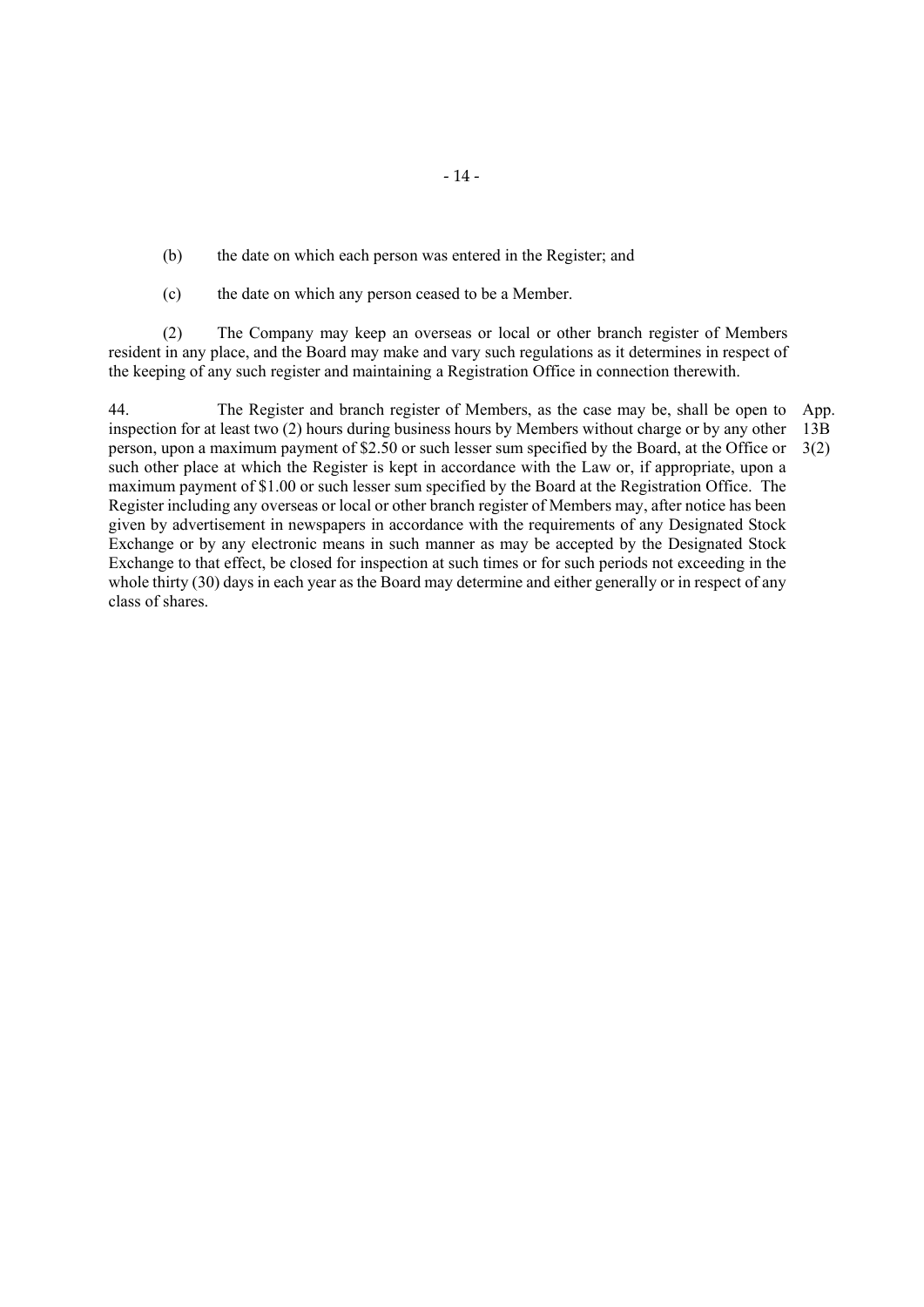(b) the date on which each person was entered in the Register; and

(c) the date on which any person ceased to be a Member.

(2) The Company may keep an overseas or local or other branch register of Members resident in any place, and the Board may make and vary such regulations as it determines in respect of the keeping of any such register and maintaining a Registration Office in connection therewith.

44. The Register and branch register of Members, as the case may be, shall be open to inspection for at least two (2) hours during business hours by Members without charge or by any other person, upon a maximum payment of \$2.50 or such lesser sum specified by the Board, at the Office or such other place at which the Register is kept in accordance with the Law or, if appropriate, upon a maximum payment of \$1.00 or such lesser sum specified by the Board at the Registration Office. The Register including any overseas or local or other branch register of Members may, after notice has been given by advertisement in newspapers in accordance with the requirements of any Designated Stock Exchange or by any electronic means in such manner as may be accepted by the Designated Stock Exchange to that effect, be closed for inspection at such times or for such periods not exceeding in the whole thirty (30) days in each year as the Board may determine and either generally or in respect of any class of shares. App. 13B 3(2)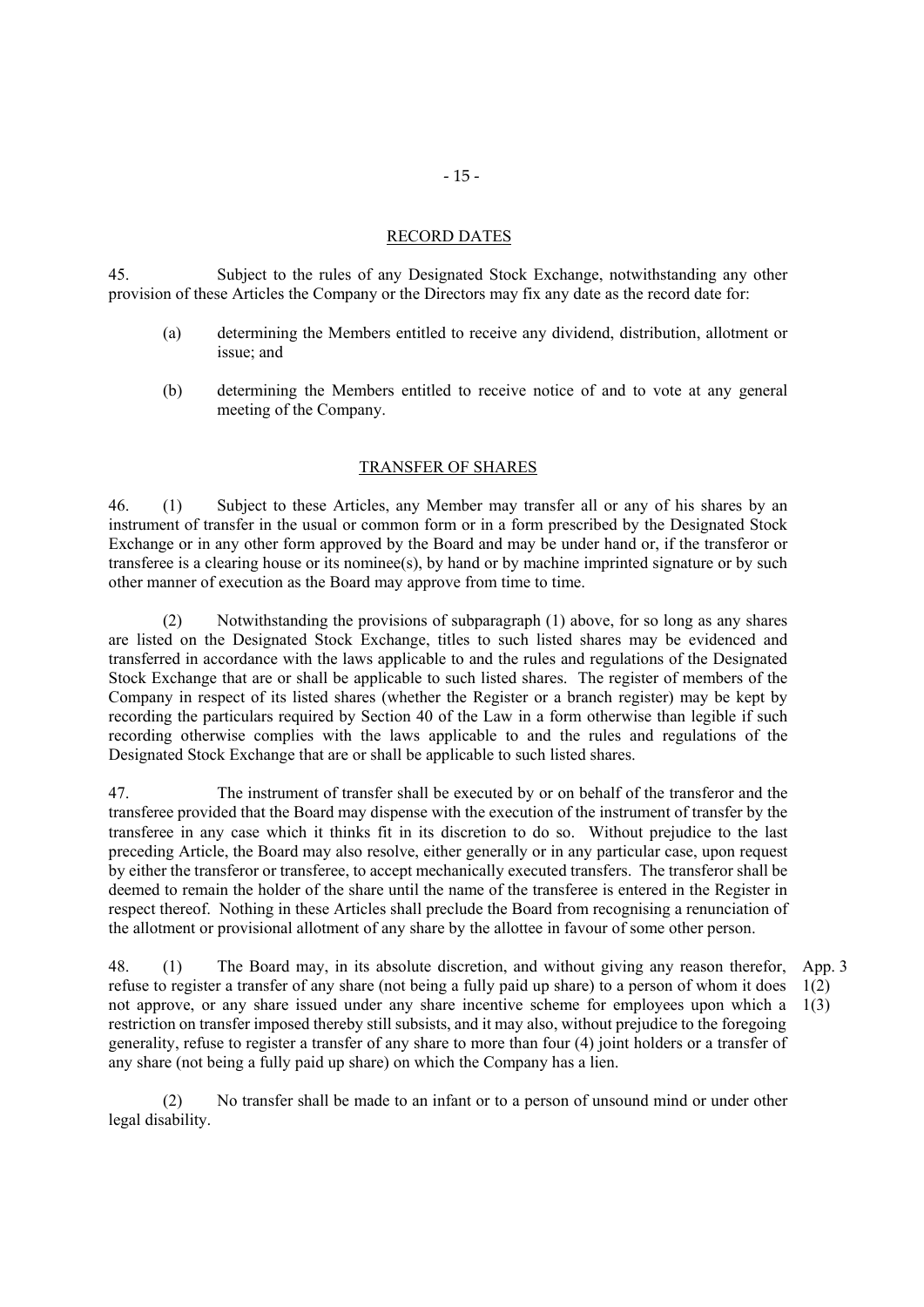#### RECORD DATES

45. Subject to the rules of any Designated Stock Exchange, notwithstanding any other provision of these Articles the Company or the Directors may fix any date as the record date for:

- (a) determining the Members entitled to receive any dividend, distribution, allotment or issue; and
- (b) determining the Members entitled to receive notice of and to vote at any general meeting of the Company.

#### TRANSFER OF SHARES

46. (1) Subject to these Articles, any Member may transfer all or any of his shares by an instrument of transfer in the usual or common form or in a form prescribed by the Designated Stock Exchange or in any other form approved by the Board and may be under hand or, if the transferor or transferee is a clearing house or its nominee(s), by hand or by machine imprinted signature or by such other manner of execution as the Board may approve from time to time.

 (2) Notwithstanding the provisions of subparagraph (1) above, for so long as any shares are listed on the Designated Stock Exchange, titles to such listed shares may be evidenced and transferred in accordance with the laws applicable to and the rules and regulations of the Designated Stock Exchange that are or shall be applicable to such listed shares. The register of members of the Company in respect of its listed shares (whether the Register or a branch register) may be kept by recording the particulars required by Section 40 of the Law in a form otherwise than legible if such recording otherwise complies with the laws applicable to and the rules and regulations of the Designated Stock Exchange that are or shall be applicable to such listed shares.

47. The instrument of transfer shall be executed by or on behalf of the transferor and the transferee provided that the Board may dispense with the execution of the instrument of transfer by the transferee in any case which it thinks fit in its discretion to do so. Without prejudice to the last preceding Article, the Board may also resolve, either generally or in any particular case, upon request by either the transferor or transferee, to accept mechanically executed transfers. The transferor shall be deemed to remain the holder of the share until the name of the transferee is entered in the Register in respect thereof. Nothing in these Articles shall preclude the Board from recognising a renunciation of the allotment or provisional allotment of any share by the allottee in favour of some other person.

48. (1) The Board may, in its absolute discretion, and without giving any reason therefor, refuse to register a transfer of any share (not being a fully paid up share) to a person of whom it does not approve, or any share issued under any share incentive scheme for employees upon which a restriction on transfer imposed thereby still subsists, and it may also, without prejudice to the foregoing generality, refuse to register a transfer of any share to more than four (4) joint holders or a transfer of any share (not being a fully paid up share) on which the Company has a lien. App. 3 1(2) 1(3)

(2) No transfer shall be made to an infant or to a person of unsound mind or under other legal disability.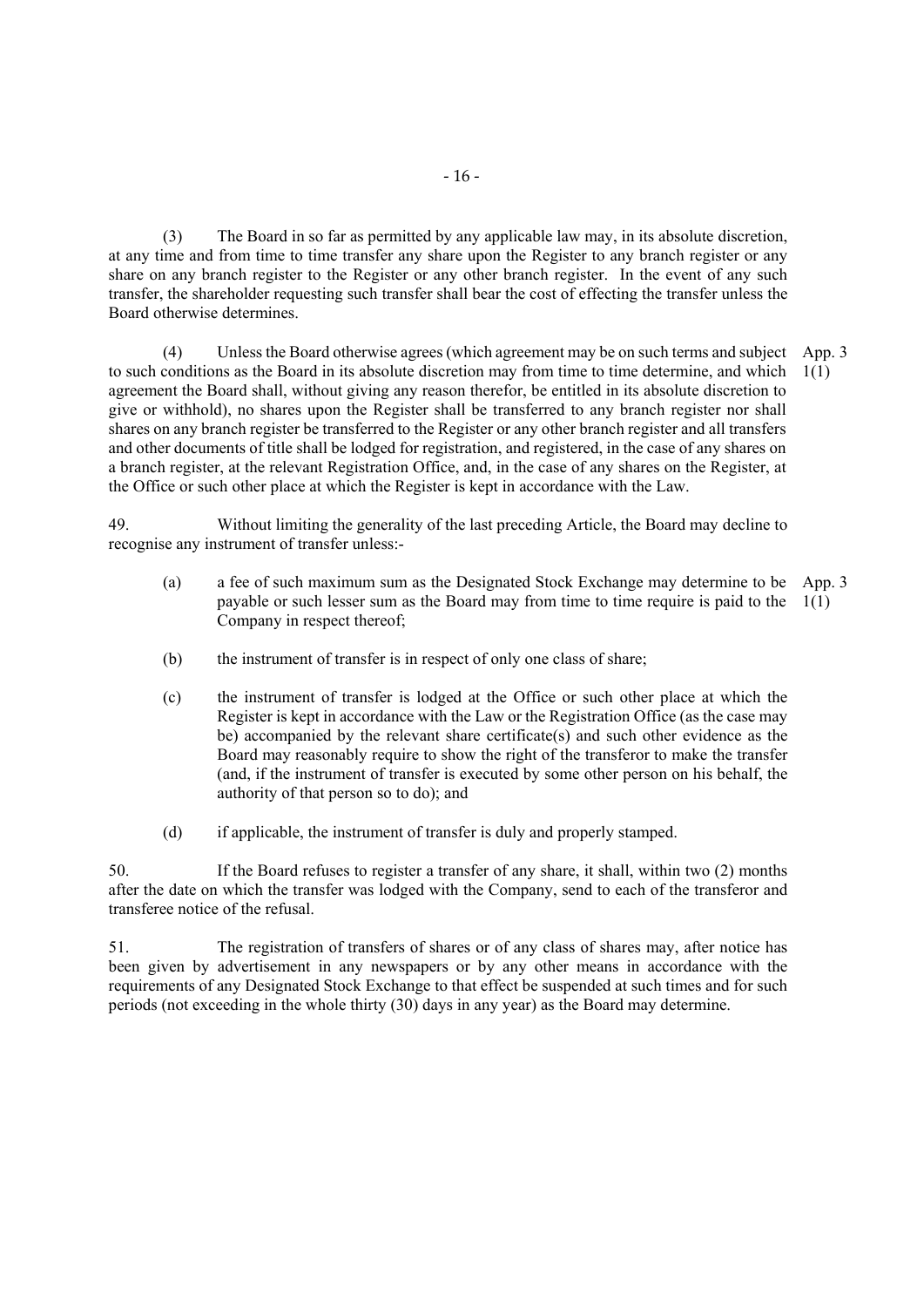(3) The Board in so far as permitted by any applicable law may, in its absolute discretion, at any time and from time to time transfer any share upon the Register to any branch register or any share on any branch register to the Register or any other branch register. In the event of any such transfer, the shareholder requesting such transfer shall bear the cost of effecting the transfer unless the Board otherwise determines.

(4) Unless the Board otherwise agrees (which agreement may be on such terms and subject App. 3 to such conditions as the Board in its absolute discretion may from time to time determine, and which agreement the Board shall, without giving any reason therefor, be entitled in its absolute discretion to give or withhold), no shares upon the Register shall be transferred to any branch register nor shall shares on any branch register be transferred to the Register or any other branch register and all transfers and other documents of title shall be lodged for registration, and registered, in the case of any shares on a branch register, at the relevant Registration Office, and, in the case of any shares on the Register, at the Office or such other place at which the Register is kept in accordance with the Law. 1(1)

49. Without limiting the generality of the last preceding Article, the Board may decline to recognise any instrument of transfer unless:-

- (a) a fee of such maximum sum as the Designated Stock Exchange may determine to be App. 3 payable or such lesser sum as the Board may from time to time require is paid to the 1(1) Company in respect thereof;
- (b) the instrument of transfer is in respect of only one class of share;
- (c) the instrument of transfer is lodged at the Office or such other place at which the Register is kept in accordance with the Law or the Registration Office (as the case may be) accompanied by the relevant share certificate(s) and such other evidence as the Board may reasonably require to show the right of the transferor to make the transfer (and, if the instrument of transfer is executed by some other person on his behalf, the authority of that person so to do); and
- (d) if applicable, the instrument of transfer is duly and properly stamped.

50. If the Board refuses to register a transfer of any share, it shall, within two (2) months after the date on which the transfer was lodged with the Company, send to each of the transferor and transferee notice of the refusal.

51. The registration of transfers of shares or of any class of shares may, after notice has been given by advertisement in any newspapers or by any other means in accordance with the requirements of any Designated Stock Exchange to that effect be suspended at such times and for such periods (not exceeding in the whole thirty (30) days in any year) as the Board may determine.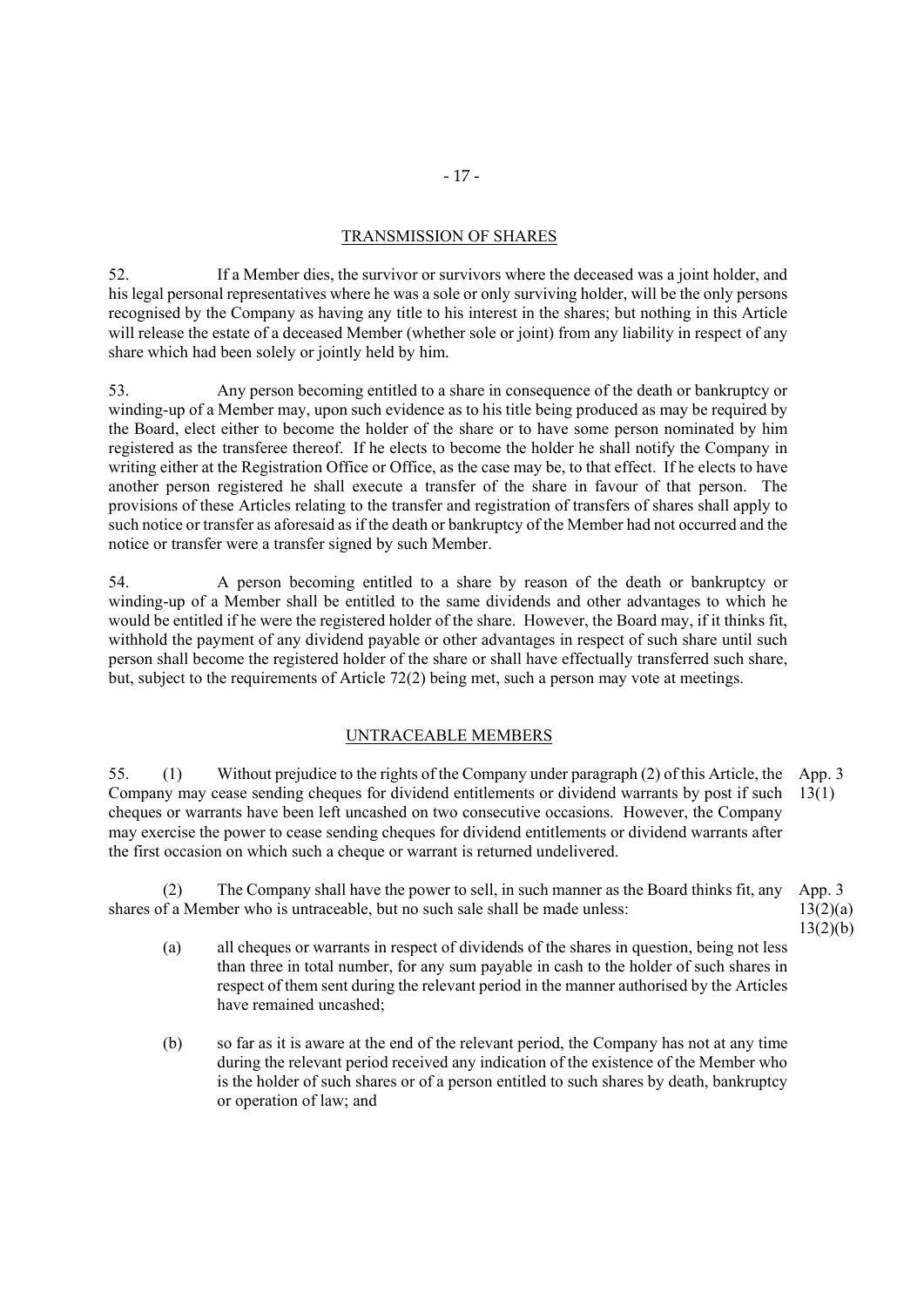# TRANSMISSION OF SHARES

52. If a Member dies, the survivor or survivors where the deceased was a joint holder, and his legal personal representatives where he was a sole or only surviving holder, will be the only persons recognised by the Company as having any title to his interest in the shares; but nothing in this Article will release the estate of a deceased Member (whether sole or joint) from any liability in respect of any share which had been solely or jointly held by him.

53. Any person becoming entitled to a share in consequence of the death or bankruptcy or winding-up of a Member may, upon such evidence as to his title being produced as may be required by the Board, elect either to become the holder of the share or to have some person nominated by him registered as the transferee thereof. If he elects to become the holder he shall notify the Company in writing either at the Registration Office or Office, as the case may be, to that effect. If he elects to have another person registered he shall execute a transfer of the share in favour of that person. The provisions of these Articles relating to the transfer and registration of transfers of shares shall apply to such notice or transfer as aforesaid as if the death or bankruptcy of the Member had not occurred and the notice or transfer were a transfer signed by such Member.

54. A person becoming entitled to a share by reason of the death or bankruptcy or winding-up of a Member shall be entitled to the same dividends and other advantages to which he would be entitled if he were the registered holder of the share. However, the Board may, if it thinks fit, withhold the payment of any dividend payable or other advantages in respect of such share until such person shall become the registered holder of the share or shall have effectually transferred such share, but, subject to the requirements of Article 72(2) being met, such a person may vote at meetings.

# UNTRACEABLE MEMBERS

55. (1) Without prejudice to the rights of the Company under paragraph (2) of this Article, the App. 3 Company may cease sending cheques for dividend entitlements or dividend warrants by post if such 13(1) cheques or warrants have been left uncashed on two consecutive occasions. However, the Company may exercise the power to cease sending cheques for dividend entitlements or dividend warrants after the first occasion on which such a cheque or warrant is returned undelivered.

(2) The Company shall have the power to sell, in such manner as the Board thinks fit, any shares of a Member who is untraceable, but no such sale shall be made unless: App. 3  $13(2)(a)$ 

- 13(2)(b)
- (a) all cheques or warrants in respect of dividends of the shares in question, being not less than three in total number, for any sum payable in cash to the holder of such shares in respect of them sent during the relevant period in the manner authorised by the Articles have remained uncashed;
- (b) so far as it is aware at the end of the relevant period, the Company has not at any time during the relevant period received any indication of the existence of the Member who is the holder of such shares or of a person entitled to such shares by death, bankruptcy or operation of law; and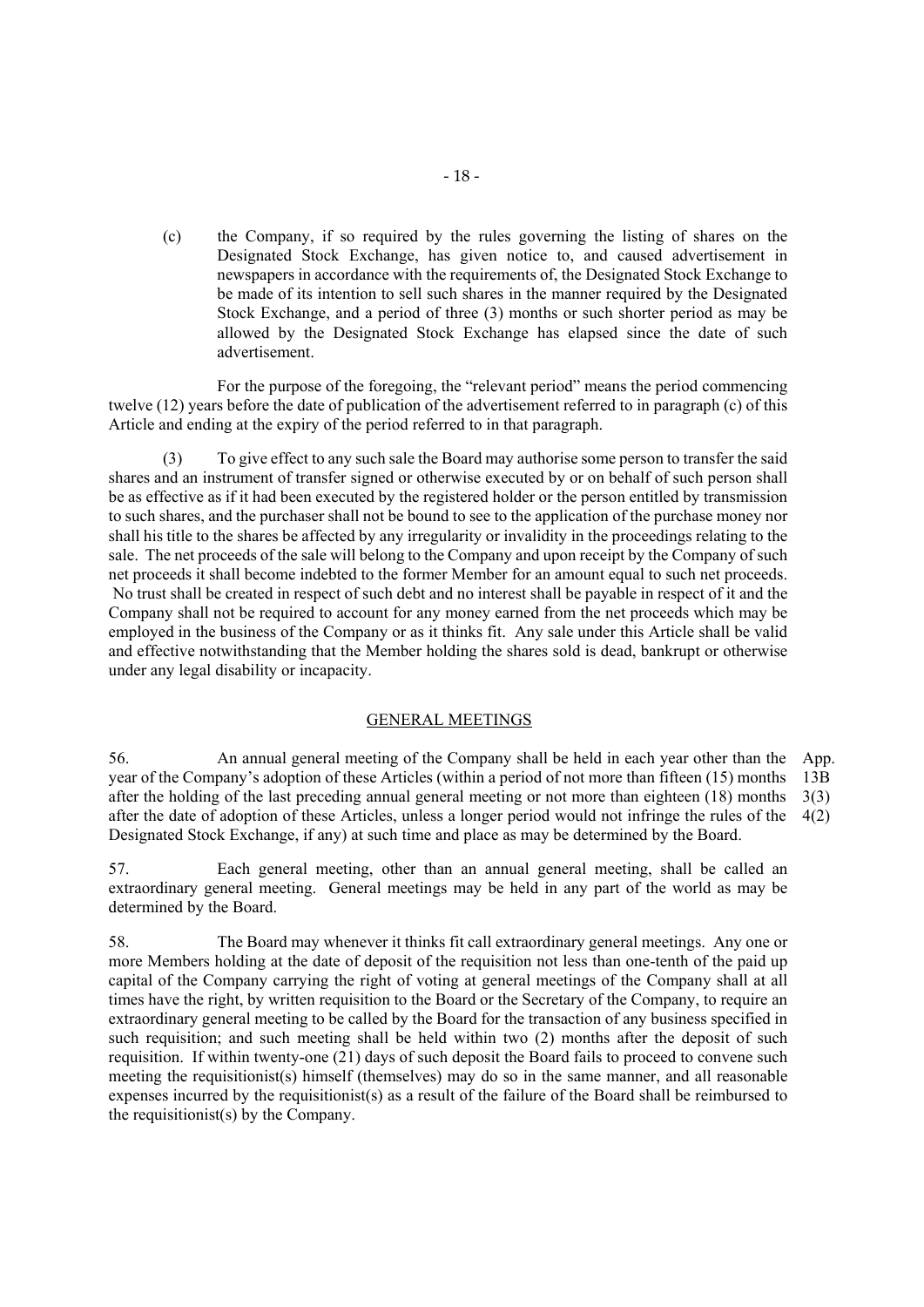(c) the Company, if so required by the rules governing the listing of shares on the Designated Stock Exchange, has given notice to, and caused advertisement in newspapers in accordance with the requirements of, the Designated Stock Exchange to be made of its intention to sell such shares in the manner required by the Designated Stock Exchange, and a period of three (3) months or such shorter period as may be allowed by the Designated Stock Exchange has elapsed since the date of such advertisement.

For the purpose of the foregoing, the "relevant period" means the period commencing twelve (12) years before the date of publication of the advertisement referred to in paragraph (c) of this Article and ending at the expiry of the period referred to in that paragraph.

(3) To give effect to any such sale the Board may authorise some person to transfer the said shares and an instrument of transfer signed or otherwise executed by or on behalf of such person shall be as effective as if it had been executed by the registered holder or the person entitled by transmission to such shares, and the purchaser shall not be bound to see to the application of the purchase money nor shall his title to the shares be affected by any irregularity or invalidity in the proceedings relating to the sale. The net proceeds of the sale will belong to the Company and upon receipt by the Company of such net proceeds it shall become indebted to the former Member for an amount equal to such net proceeds. No trust shall be created in respect of such debt and no interest shall be payable in respect of it and the Company shall not be required to account for any money earned from the net proceeds which may be employed in the business of the Company or as it thinks fit. Any sale under this Article shall be valid and effective notwithstanding that the Member holding the shares sold is dead, bankrupt or otherwise under any legal disability or incapacity.

#### GENERAL MEETINGS

56. An annual general meeting of the Company shall be held in each year other than the App. year of the Company's adoption of these Articles (within a period of not more than fifteen (15) months after the holding of the last preceding annual general meeting or not more than eighteen (18) months after the date of adoption of these Articles, unless a longer period would not infringe the rules of the Designated Stock Exchange, if any) at such time and place as may be determined by the Board. 13B 3(3) 4(2)

57. Each general meeting, other than an annual general meeting, shall be called an extraordinary general meeting. General meetings may be held in any part of the world as may be determined by the Board.

58. The Board may whenever it thinks fit call extraordinary general meetings. Any one or more Members holding at the date of deposit of the requisition not less than one-tenth of the paid up capital of the Company carrying the right of voting at general meetings of the Company shall at all times have the right, by written requisition to the Board or the Secretary of the Company, to require an extraordinary general meeting to be called by the Board for the transaction of any business specified in such requisition; and such meeting shall be held within two (2) months after the deposit of such requisition. If within twenty-one (21) days of such deposit the Board fails to proceed to convene such meeting the requisitionist(s) himself (themselves) may do so in the same manner, and all reasonable expenses incurred by the requisitionist(s) as a result of the failure of the Board shall be reimbursed to the requisitionist(s) by the Company.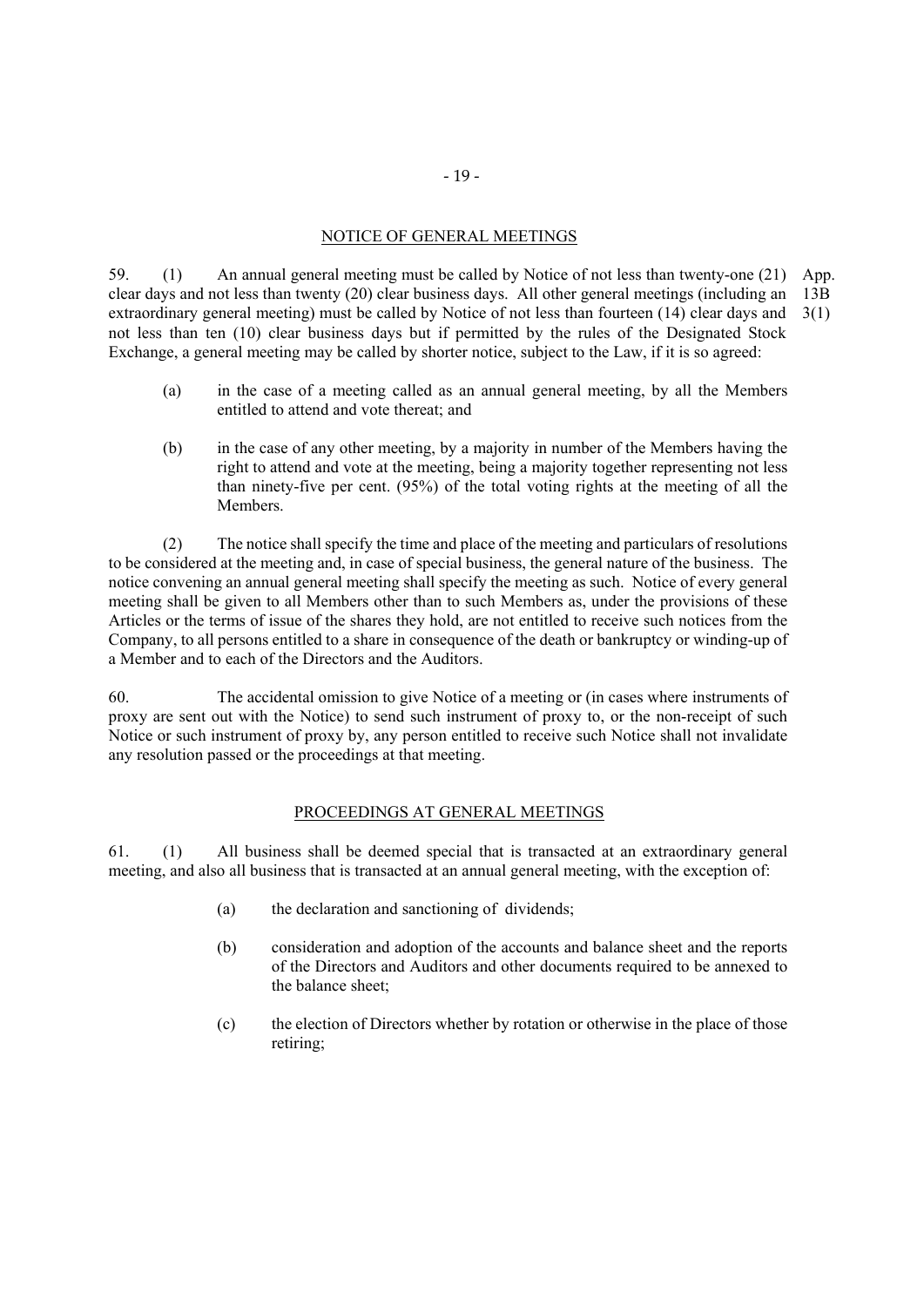# NOTICE OF GENERAL MEETINGS

59. (1) An annual general meeting must be called by Notice of not less than twenty-one (21) App. clear days and not less than twenty (20) clear business days. All other general meetings (including an extraordinary general meeting) must be called by Notice of not less than fourteen (14) clear days and not less than ten (10) clear business days but if permitted by the rules of the Designated Stock Exchange, a general meeting may be called by shorter notice, subject to the Law, if it is so agreed: 13B 3(1)

- (a) in the case of a meeting called as an annual general meeting, by all the Members entitled to attend and vote thereat; and
- (b) in the case of any other meeting, by a majority in number of the Members having the right to attend and vote at the meeting, being a majority together representing not less than ninety-five per cent. (95%) of the total voting rights at the meeting of all the Members.

(2) The notice shall specify the time and place of the meeting and particulars of resolutions to be considered at the meeting and, in case of special business, the general nature of the business. The notice convening an annual general meeting shall specify the meeting as such. Notice of every general meeting shall be given to all Members other than to such Members as, under the provisions of these Articles or the terms of issue of the shares they hold, are not entitled to receive such notices from the Company, to all persons entitled to a share in consequence of the death or bankruptcy or winding-up of a Member and to each of the Directors and the Auditors.

60. The accidental omission to give Notice of a meeting or (in cases where instruments of proxy are sent out with the Notice) to send such instrument of proxy to, or the non-receipt of such Notice or such instrument of proxy by, any person entitled to receive such Notice shall not invalidate any resolution passed or the proceedings at that meeting.

### PROCEEDINGS AT GENERAL MEETINGS

61. (1) All business shall be deemed special that is transacted at an extraordinary general meeting, and also all business that is transacted at an annual general meeting, with the exception of:

- (a) the declaration and sanctioning of dividends;
- (b) consideration and adoption of the accounts and balance sheet and the reports of the Directors and Auditors and other documents required to be annexed to the balance sheet;
- (c) the election of Directors whether by rotation or otherwise in the place of those retiring;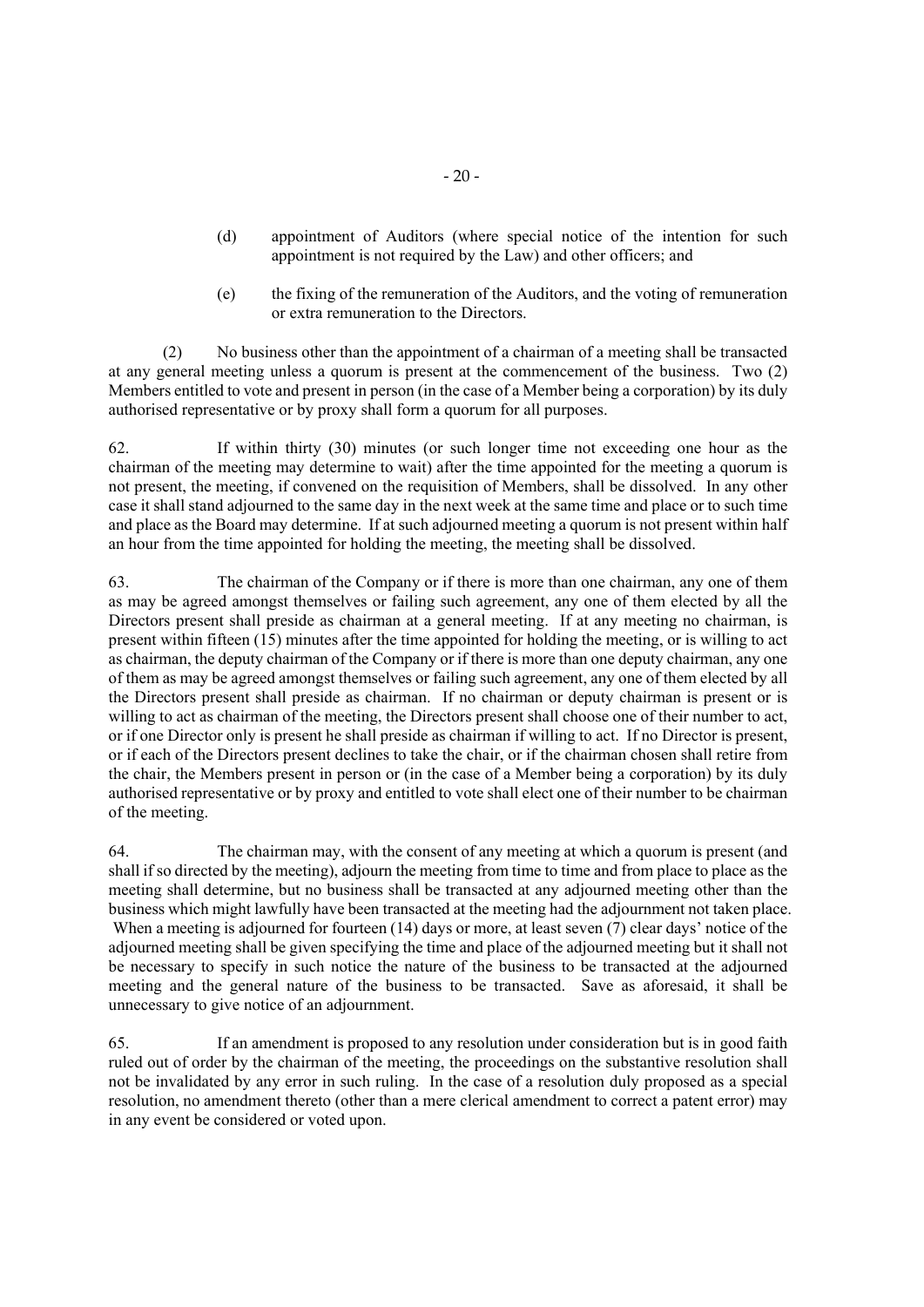- (d) appointment of Auditors (where special notice of the intention for such appointment is not required by the Law) and other officers; and
- (e) the fixing of the remuneration of the Auditors, and the voting of remuneration or extra remuneration to the Directors.

(2) No business other than the appointment of a chairman of a meeting shall be transacted at any general meeting unless a quorum is present at the commencement of the business. Two (2) Members entitled to vote and present in person (in the case of a Member being a corporation) by its duly authorised representative or by proxy shall form a quorum for all purposes.

62. If within thirty (30) minutes (or such longer time not exceeding one hour as the chairman of the meeting may determine to wait) after the time appointed for the meeting a quorum is not present, the meeting, if convened on the requisition of Members, shall be dissolved. In any other case it shall stand adjourned to the same day in the next week at the same time and place or to such time and place as the Board may determine. If at such adjourned meeting a quorum is not present within half an hour from the time appointed for holding the meeting, the meeting shall be dissolved.

63. The chairman of the Company or if there is more than one chairman, any one of them as may be agreed amongst themselves or failing such agreement, any one of them elected by all the Directors present shall preside as chairman at a general meeting. If at any meeting no chairman, is present within fifteen (15) minutes after the time appointed for holding the meeting, or is willing to act as chairman, the deputy chairman of the Company or if there is more than one deputy chairman, any one of them as may be agreed amongst themselves or failing such agreement, any one of them elected by all the Directors present shall preside as chairman. If no chairman or deputy chairman is present or is willing to act as chairman of the meeting, the Directors present shall choose one of their number to act, or if one Director only is present he shall preside as chairman if willing to act. If no Director is present, or if each of the Directors present declines to take the chair, or if the chairman chosen shall retire from the chair, the Members present in person or (in the case of a Member being a corporation) by its duly authorised representative or by proxy and entitled to vote shall elect one of their number to be chairman of the meeting.

64. The chairman may, with the consent of any meeting at which a quorum is present (and shall if so directed by the meeting), adjourn the meeting from time to time and from place to place as the meeting shall determine, but no business shall be transacted at any adjourned meeting other than the business which might lawfully have been transacted at the meeting had the adjournment not taken place. When a meeting is adjourned for fourteen (14) days or more, at least seven (7) clear days' notice of the adjourned meeting shall be given specifying the time and place of the adjourned meeting but it shall not be necessary to specify in such notice the nature of the business to be transacted at the adjourned meeting and the general nature of the business to be transacted. Save as aforesaid, it shall be unnecessary to give notice of an adjournment.

65. If an amendment is proposed to any resolution under consideration but is in good faith ruled out of order by the chairman of the meeting, the proceedings on the substantive resolution shall not be invalidated by any error in such ruling. In the case of a resolution duly proposed as a special resolution, no amendment thereto (other than a mere clerical amendment to correct a patent error) may in any event be considered or voted upon.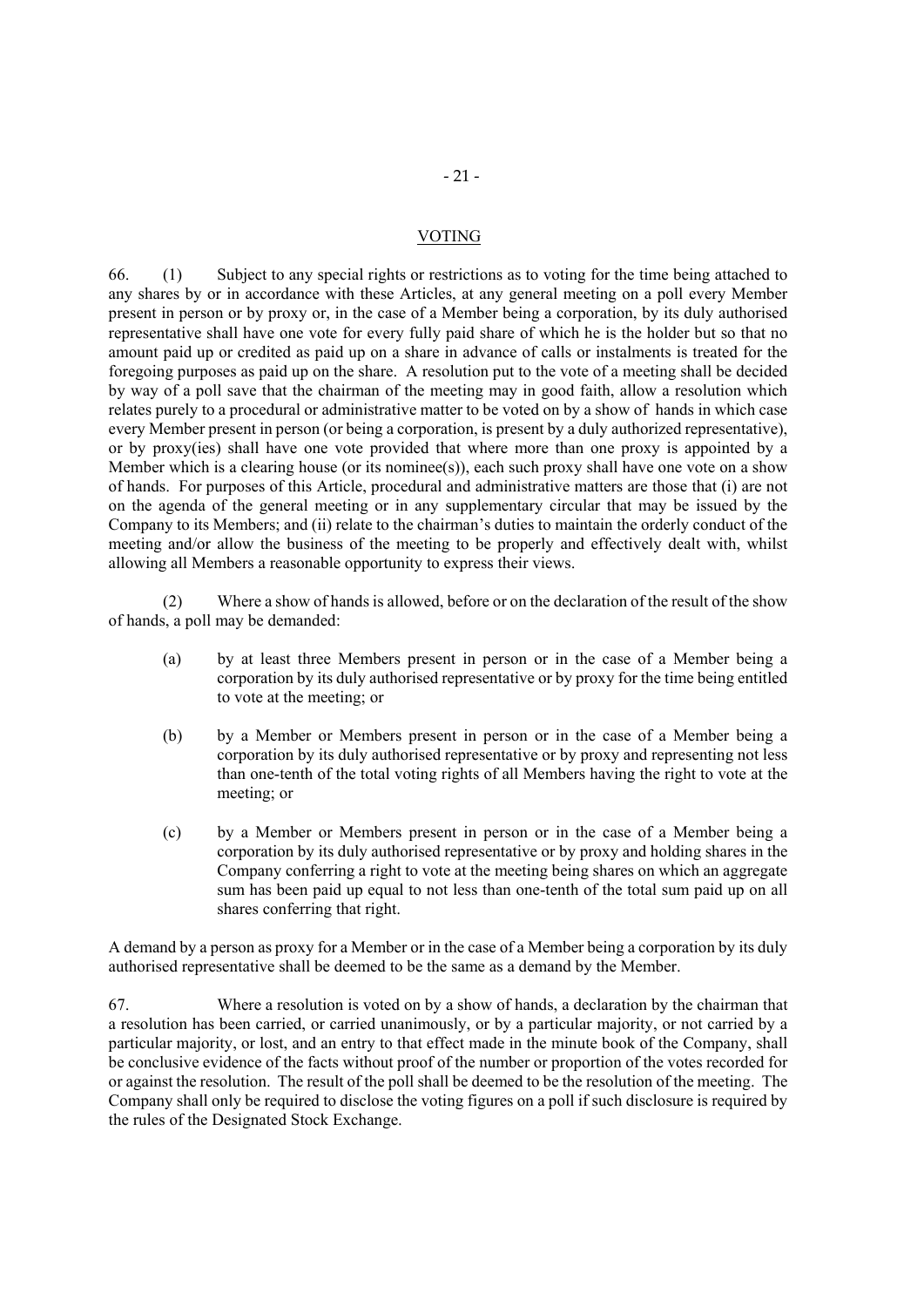#### VOTING

66. (1) Subject to any special rights or restrictions as to voting for the time being attached to any shares by or in accordance with these Articles, at any general meeting on a poll every Member present in person or by proxy or, in the case of a Member being a corporation, by its duly authorised representative shall have one vote for every fully paid share of which he is the holder but so that no amount paid up or credited as paid up on a share in advance of calls or instalments is treated for the foregoing purposes as paid up on the share. A resolution put to the vote of a meeting shall be decided by way of a poll save that the chairman of the meeting may in good faith, allow a resolution which relates purely to a procedural or administrative matter to be voted on by a show of hands in which case every Member present in person (or being a corporation, is present by a duly authorized representative), or by proxy(ies) shall have one vote provided that where more than one proxy is appointed by a Member which is a clearing house (or its nominee(s)), each such proxy shall have one vote on a show of hands. For purposes of this Article, procedural and administrative matters are those that (i) are not on the agenda of the general meeting or in any supplementary circular that may be issued by the Company to its Members; and (ii) relate to the chairman's duties to maintain the orderly conduct of the meeting and/or allow the business of the meeting to be properly and effectively dealt with, whilst allowing all Members a reasonable opportunity to express their views.

 (2) Where a show of hands is allowed, before or on the declaration of the result of the show of hands, a poll may be demanded:

- (a) by at least three Members present in person or in the case of a Member being a corporation by its duly authorised representative or by proxy for the time being entitled to vote at the meeting; or
- (b) by a Member or Members present in person or in the case of a Member being a corporation by its duly authorised representative or by proxy and representing not less than one-tenth of the total voting rights of all Members having the right to vote at the meeting; or
- (c) by a Member or Members present in person or in the case of a Member being a corporation by its duly authorised representative or by proxy and holding shares in the Company conferring a right to vote at the meeting being shares on which an aggregate sum has been paid up equal to not less than one-tenth of the total sum paid up on all shares conferring that right.

A demand by a person as proxy for a Member or in the case of a Member being a corporation by its duly authorised representative shall be deemed to be the same as a demand by the Member.

67. Where a resolution is voted on by a show of hands, a declaration by the chairman that a resolution has been carried, or carried unanimously, or by a particular majority, or not carried by a particular majority, or lost, and an entry to that effect made in the minute book of the Company, shall be conclusive evidence of the facts without proof of the number or proportion of the votes recorded for or against the resolution. The result of the poll shall be deemed to be the resolution of the meeting. The Company shall only be required to disclose the voting figures on a poll if such disclosure is required by the rules of the Designated Stock Exchange.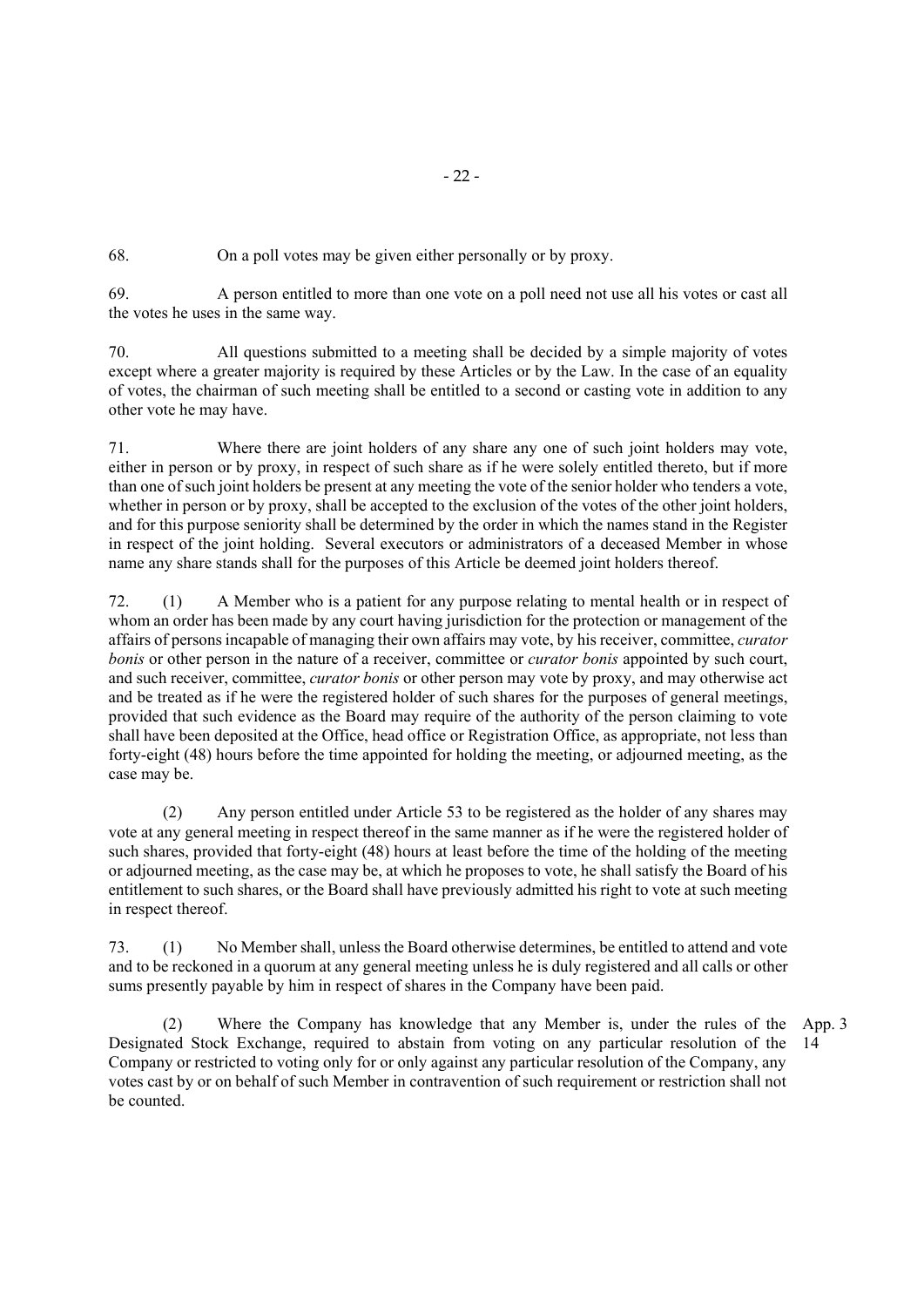68. On a poll votes may be given either personally or by proxy.

69. A person entitled to more than one vote on a poll need not use all his votes or cast all the votes he uses in the same way.

70. All questions submitted to a meeting shall be decided by a simple majority of votes except where a greater majority is required by these Articles or by the Law. In the case of an equality of votes, the chairman of such meeting shall be entitled to a second or casting vote in addition to any other vote he may have.

71. Where there are joint holders of any share any one of such joint holders may vote, either in person or by proxy, in respect of such share as if he were solely entitled thereto, but if more than one of such joint holders be present at any meeting the vote of the senior holder who tenders a vote, whether in person or by proxy, shall be accepted to the exclusion of the votes of the other joint holders, and for this purpose seniority shall be determined by the order in which the names stand in the Register in respect of the joint holding. Several executors or administrators of a deceased Member in whose name any share stands shall for the purposes of this Article be deemed joint holders thereof.

72. (1) A Member who is a patient for any purpose relating to mental health or in respect of whom an order has been made by any court having jurisdiction for the protection or management of the affairs of persons incapable of managing their own affairs may vote, by his receiver, committee, *curator bonis* or other person in the nature of a receiver, committee or *curator bonis* appointed by such court, and such receiver, committee, *curator bonis* or other person may vote by proxy, and may otherwise act and be treated as if he were the registered holder of such shares for the purposes of general meetings, provided that such evidence as the Board may require of the authority of the person claiming to vote shall have been deposited at the Office, head office or Registration Office, as appropriate, not less than forty-eight (48) hours before the time appointed for holding the meeting, or adjourned meeting, as the case may be.

(2) Any person entitled under Article 53 to be registered as the holder of any shares may vote at any general meeting in respect thereof in the same manner as if he were the registered holder of such shares, provided that forty-eight (48) hours at least before the time of the holding of the meeting or adjourned meeting, as the case may be, at which he proposes to vote, he shall satisfy the Board of his entitlement to such shares, or the Board shall have previously admitted his right to vote at such meeting in respect thereof.

73. (1) No Member shall, unless the Board otherwise determines, be entitled to attend and vote and to be reckoned in a quorum at any general meeting unless he is duly registered and all calls or other sums presently payable by him in respect of shares in the Company have been paid.

 (2) Where the Company has knowledge that any Member is, under the rules of the App. 3 Designated Stock Exchange, required to abstain from voting on any particular resolution of the 14 Company or restricted to voting only for or only against any particular resolution of the Company, any votes cast by or on behalf of such Member in contravention of such requirement or restriction shall not be counted.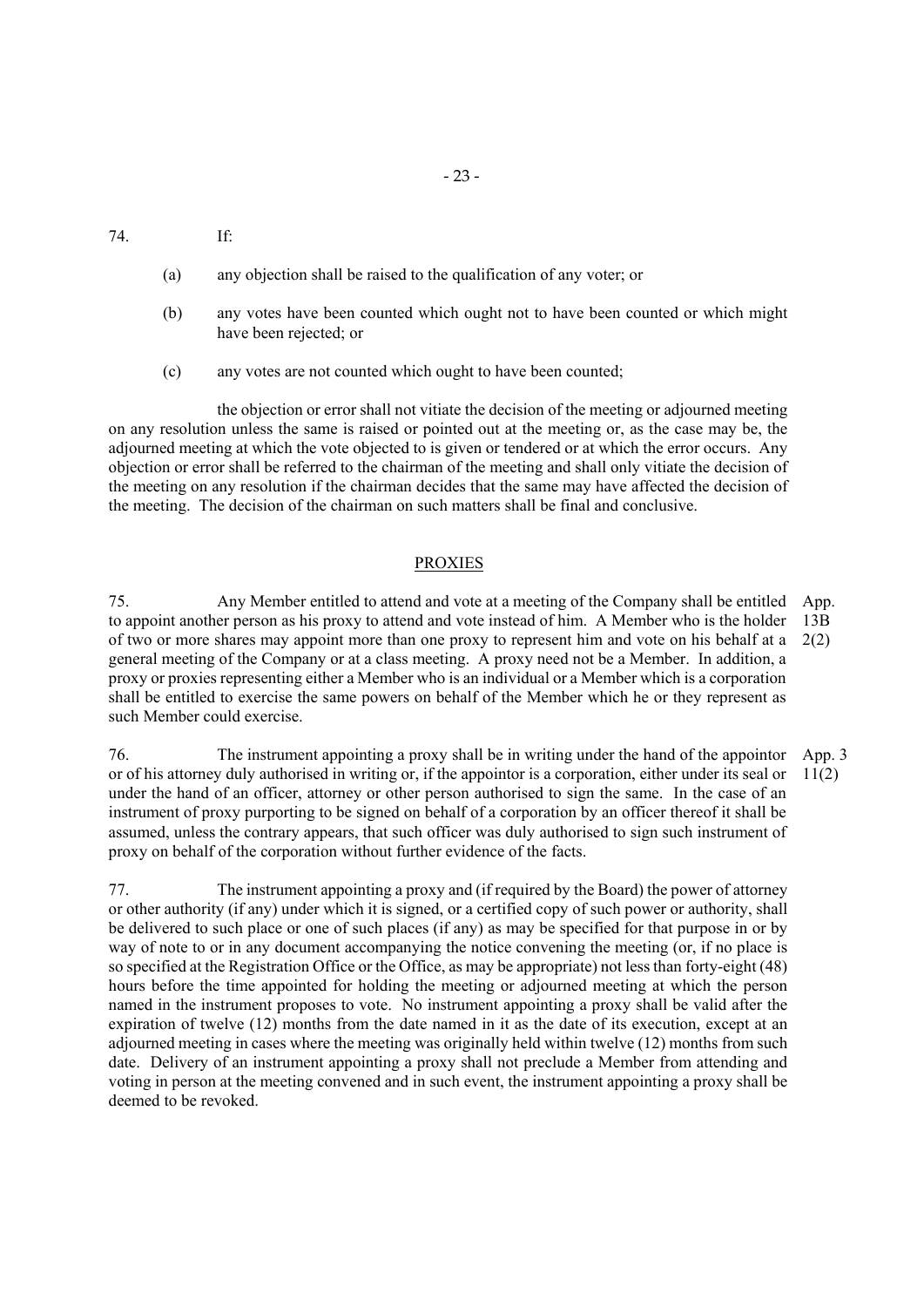74. If:

- (a) any objection shall be raised to the qualification of any voter; or
- (b) any votes have been counted which ought not to have been counted or which might have been rejected; or
- (c) any votes are not counted which ought to have been counted;

the objection or error shall not vitiate the decision of the meeting or adjourned meeting on any resolution unless the same is raised or pointed out at the meeting or, as the case may be, the adjourned meeting at which the vote objected to is given or tendered or at which the error occurs. Any objection or error shall be referred to the chairman of the meeting and shall only vitiate the decision of the meeting on any resolution if the chairman decides that the same may have affected the decision of the meeting. The decision of the chairman on such matters shall be final and conclusive.

#### PROXIES

75. Any Member entitled to attend and vote at a meeting of the Company shall be entitled to appoint another person as his proxy to attend and vote instead of him. A Member who is the holder of two or more shares may appoint more than one proxy to represent him and vote on his behalf at a general meeting of the Company or at a class meeting. A proxy need not be a Member. In addition, a proxy or proxies representing either a Member who is an individual or a Member which is a corporation shall be entitled to exercise the same powers on behalf of the Member which he or they represent as such Member could exercise. App. 13B 2(2)

76. The instrument appointing a proxy shall be in writing under the hand of the appointor or of his attorney duly authorised in writing or, if the appointor is a corporation, either under its seal or under the hand of an officer, attorney or other person authorised to sign the same. In the case of an instrument of proxy purporting to be signed on behalf of a corporation by an officer thereof it shall be assumed, unless the contrary appears, that such officer was duly authorised to sign such instrument of proxy on behalf of the corporation without further evidence of the facts. App. 3  $11(2)$ 

77. The instrument appointing a proxy and (if required by the Board) the power of attorney or other authority (if any) under which it is signed, or a certified copy of such power or authority, shall be delivered to such place or one of such places (if any) as may be specified for that purpose in or by way of note to or in any document accompanying the notice convening the meeting (or, if no place is so specified at the Registration Office or the Office, as may be appropriate) not less than forty-eight (48) hours before the time appointed for holding the meeting or adjourned meeting at which the person named in the instrument proposes to vote. No instrument appointing a proxy shall be valid after the expiration of twelve (12) months from the date named in it as the date of its execution, except at an adjourned meeting in cases where the meeting was originally held within twelve (12) months from such date. Delivery of an instrument appointing a proxy shall not preclude a Member from attending and voting in person at the meeting convened and in such event, the instrument appointing a proxy shall be deemed to be revoked.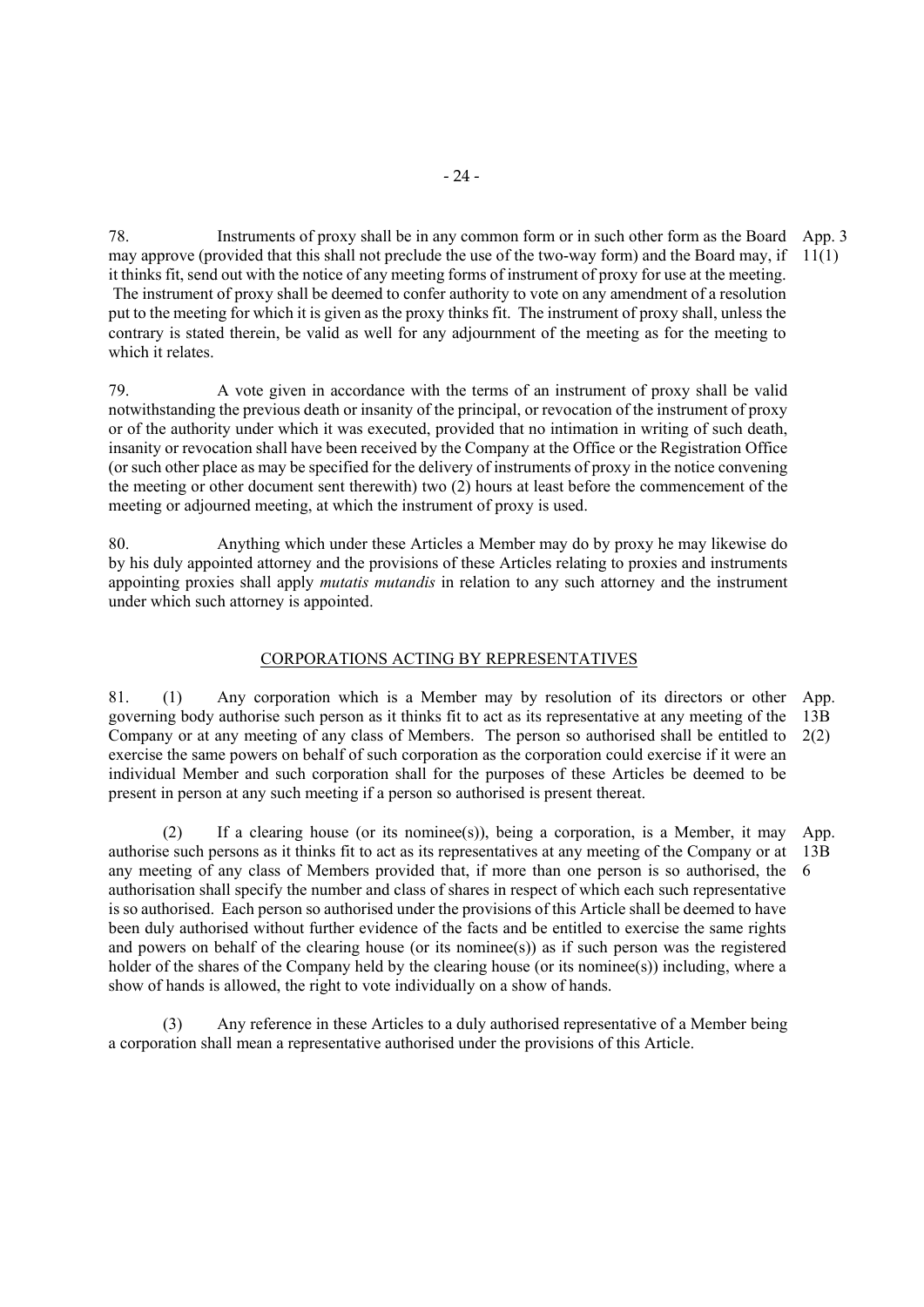78. Instruments of proxy shall be in any common form or in such other form as the Board App. 3 may approve (provided that this shall not preclude the use of the two-way form) and the Board may, if 11(1) it thinks fit, send out with the notice of any meeting forms of instrument of proxy for use at the meeting. The instrument of proxy shall be deemed to confer authority to vote on any amendment of a resolution put to the meeting for which it is given as the proxy thinks fit. The instrument of proxy shall, unless the contrary is stated therein, be valid as well for any adjournment of the meeting as for the meeting to which it relates.

79. A vote given in accordance with the terms of an instrument of proxy shall be valid notwithstanding the previous death or insanity of the principal, or revocation of the instrument of proxy or of the authority under which it was executed, provided that no intimation in writing of such death, insanity or revocation shall have been received by the Company at the Office or the Registration Office (or such other place as may be specified for the delivery of instruments of proxy in the notice convening the meeting or other document sent therewith) two (2) hours at least before the commencement of the meeting or adjourned meeting, at which the instrument of proxy is used.

80. Anything which under these Articles a Member may do by proxy he may likewise do by his duly appointed attorney and the provisions of these Articles relating to proxies and instruments appointing proxies shall apply *mutatis mutandis* in relation to any such attorney and the instrument under which such attorney is appointed.

#### CORPORATIONS ACTING BY REPRESENTATIVES

81. (1) Any corporation which is a Member may by resolution of its directors or other App. governing body authorise such person as it thinks fit to act as its representative at any meeting of the Company or at any meeting of any class of Members. The person so authorised shall be entitled to  $2(2)$ exercise the same powers on behalf of such corporation as the corporation could exercise if it were an individual Member and such corporation shall for the purposes of these Articles be deemed to be present in person at any such meeting if a person so authorised is present thereat. 13B

(2) If a clearing house (or its nominee(s)), being a corporation, is a Member, it may authorise such persons as it thinks fit to act as its representatives at any meeting of the Company or at any meeting of any class of Members provided that, if more than one person is so authorised, the authorisation shall specify the number and class of shares in respect of which each such representative is so authorised. Each person so authorised under the provisions of this Article shall be deemed to have been duly authorised without further evidence of the facts and be entitled to exercise the same rights and powers on behalf of the clearing house (or its nominee(s)) as if such person was the registered holder of the shares of the Company held by the clearing house (or its nominee(s)) including, where a show of hands is allowed, the right to vote individually on a show of hands. App. 13B 6

(3) Any reference in these Articles to a duly authorised representative of a Member being a corporation shall mean a representative authorised under the provisions of this Article.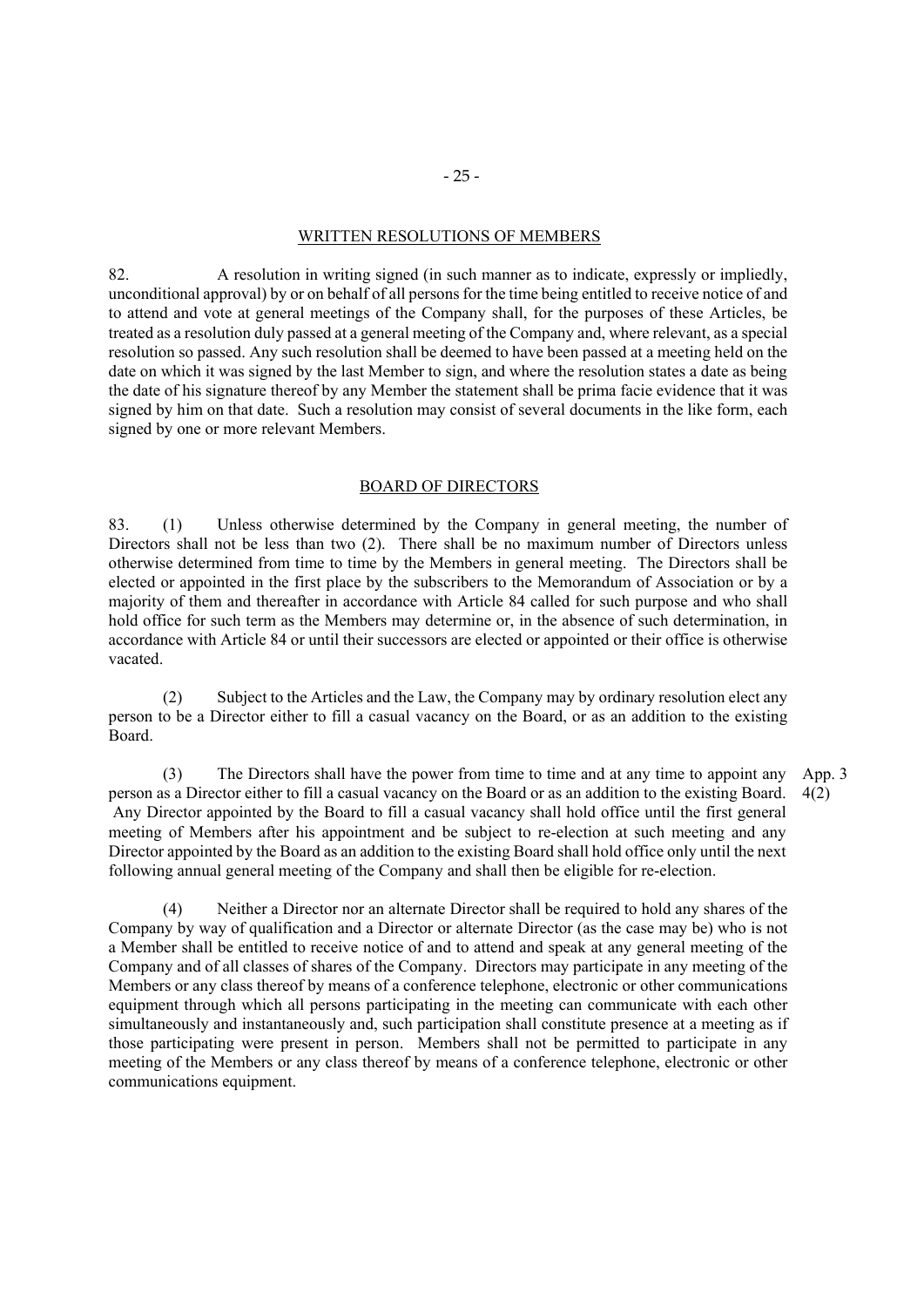#### WRITTEN RESOLUTIONS OF MEMBERS

82. A resolution in writing signed (in such manner as to indicate, expressly or impliedly, unconditional approval) by or on behalf of all persons for the time being entitled to receive notice of and to attend and vote at general meetings of the Company shall, for the purposes of these Articles, be treated as a resolution duly passed at a general meeting of the Company and, where relevant, as a special resolution so passed. Any such resolution shall be deemed to have been passed at a meeting held on the date on which it was signed by the last Member to sign, and where the resolution states a date as being the date of his signature thereof by any Member the statement shall be prima facie evidence that it was signed by him on that date. Such a resolution may consist of several documents in the like form, each signed by one or more relevant Members.

#### BOARD OF DIRECTORS

83. (1) Unless otherwise determined by the Company in general meeting, the number of Directors shall not be less than two (2). There shall be no maximum number of Directors unless otherwise determined from time to time by the Members in general meeting. The Directors shall be elected or appointed in the first place by the subscribers to the Memorandum of Association or by a majority of them and thereafter in accordance with Article 84 called for such purpose and who shall hold office for such term as the Members may determine or, in the absence of such determination, in accordance with Article 84 or until their successors are elected or appointed or their office is otherwise vacated.

 (2) Subject to the Articles and the Law, the Company may by ordinary resolution elect any person to be a Director either to fill a casual vacancy on the Board, or as an addition to the existing Board.

(3) The Directors shall have the power from time to time and at any time to appoint any person as a Director either to fill a casual vacancy on the Board or as an addition to the existing Board. Any Director appointed by the Board to fill a casual vacancy shall hold office until the first general meeting of Members after his appointment and be subject to re-election at such meeting and any Director appointed by the Board as an addition to the existing Board shall hold office only until the next following annual general meeting of the Company and shall then be eligible for re-election. App. 3 4(2)

(4) Neither a Director nor an alternate Director shall be required to hold any shares of the Company by way of qualification and a Director or alternate Director (as the case may be) who is not a Member shall be entitled to receive notice of and to attend and speak at any general meeting of the Company and of all classes of shares of the Company. Directors may participate in any meeting of the Members or any class thereof by means of a conference telephone, electronic or other communications equipment through which all persons participating in the meeting can communicate with each other simultaneously and instantaneously and, such participation shall constitute presence at a meeting as if those participating were present in person. Members shall not be permitted to participate in any meeting of the Members or any class thereof by means of a conference telephone, electronic or other communications equipment.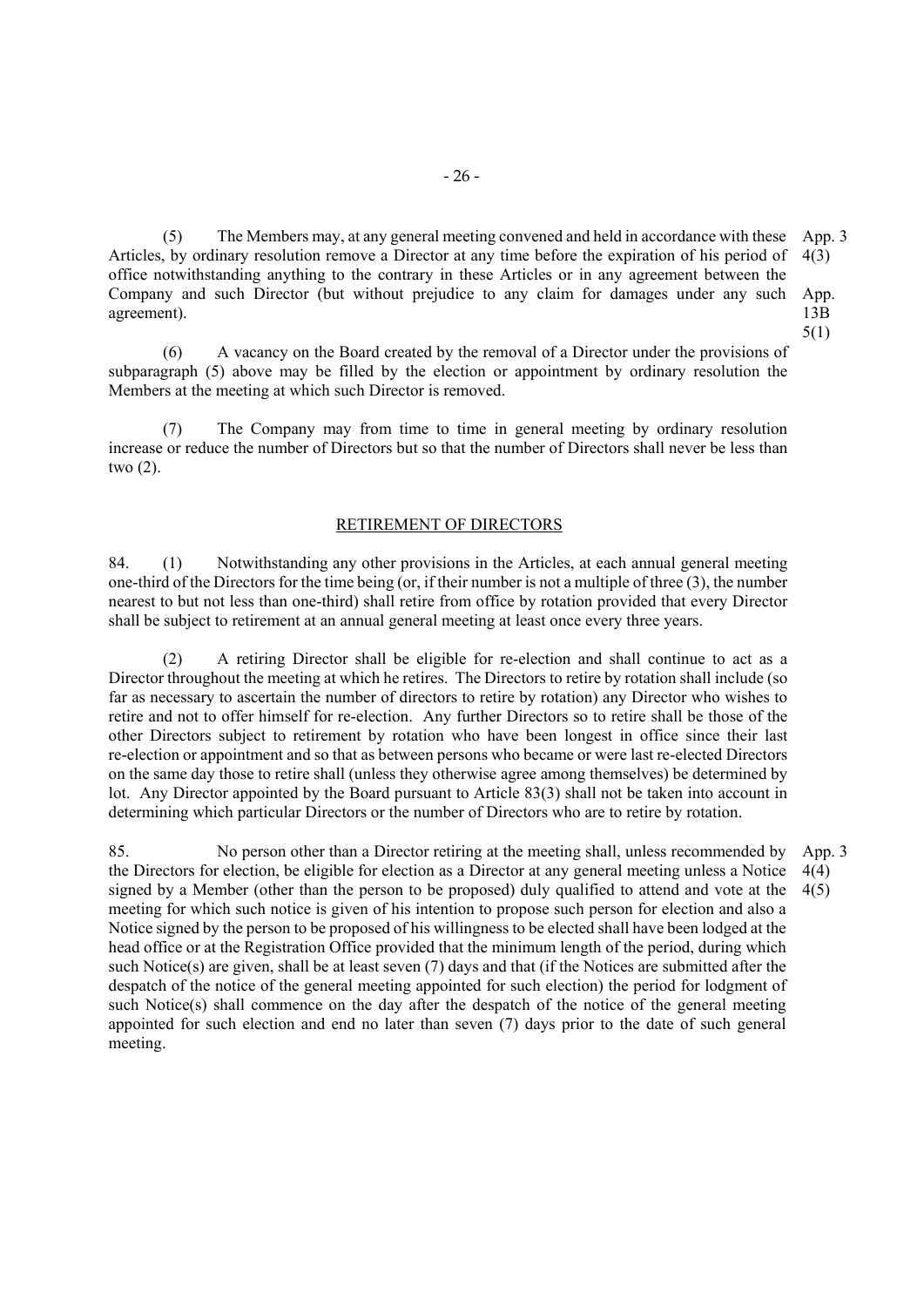(5) The Members may, at any general meeting convened and held in accordance with these App. 3 Articles, by ordinary resolution remove a Director at any time before the expiration of his period of office notwithstanding anything to the contrary in these Articles or in any agreement between the Company and such Director (but without prejudice to any claim for damages under any such App. agreement). 4(3) 13B 5(1)

(6) A vacancy on the Board created by the removal of a Director under the provisions of subparagraph (5) above may be filled by the election or appointment by ordinary resolution the Members at the meeting at which such Director is removed.

(7) The Company may from time to time in general meeting by ordinary resolution increase or reduce the number of Directors but so that the number of Directors shall never be less than two (2).

# RETIREMENT OF DIRECTORS

84. (1) Notwithstanding any other provisions in the Articles, at each annual general meeting one-third of the Directors for the time being (or, if their number is not a multiple of three (3), the number nearest to but not less than one-third) shall retire from office by rotation provided that every Director shall be subject to retirement at an annual general meeting at least once every three years.

(2) A retiring Director shall be eligible for re-election and shall continue to act as a Director throughout the meeting at which he retires. The Directors to retire by rotation shall include (so far as necessary to ascertain the number of directors to retire by rotation) any Director who wishes to retire and not to offer himself for re-election. Any further Directors so to retire shall be those of the other Directors subject to retirement by rotation who have been longest in office since their last re-election or appointment and so that as between persons who became or were last re-elected Directors on the same day those to retire shall (unless they otherwise agree among themselves) be determined by lot. Any Director appointed by the Board pursuant to Article 83(3) shall not be taken into account in determining which particular Directors or the number of Directors who are to retire by rotation.

85. No person other than a Director retiring at the meeting shall, unless recommended by the Directors for election, be eligible for election as a Director at any general meeting unless a Notice signed by a Member (other than the person to be proposed) duly qualified to attend and vote at the meeting for which such notice is given of his intention to propose such person for election and also a Notice signed by the person to be proposed of his willingness to be elected shall have been lodged at the head office or at the Registration Office provided that the minimum length of the period, during which such Notice(s) are given, shall be at least seven (7) days and that (if the Notices are submitted after the despatch of the notice of the general meeting appointed for such election) the period for lodgment of such Notice(s) shall commence on the day after the despatch of the notice of the general meeting appointed for such election and end no later than seven (7) days prior to the date of such general meeting. App. 3 4(4) 4(5)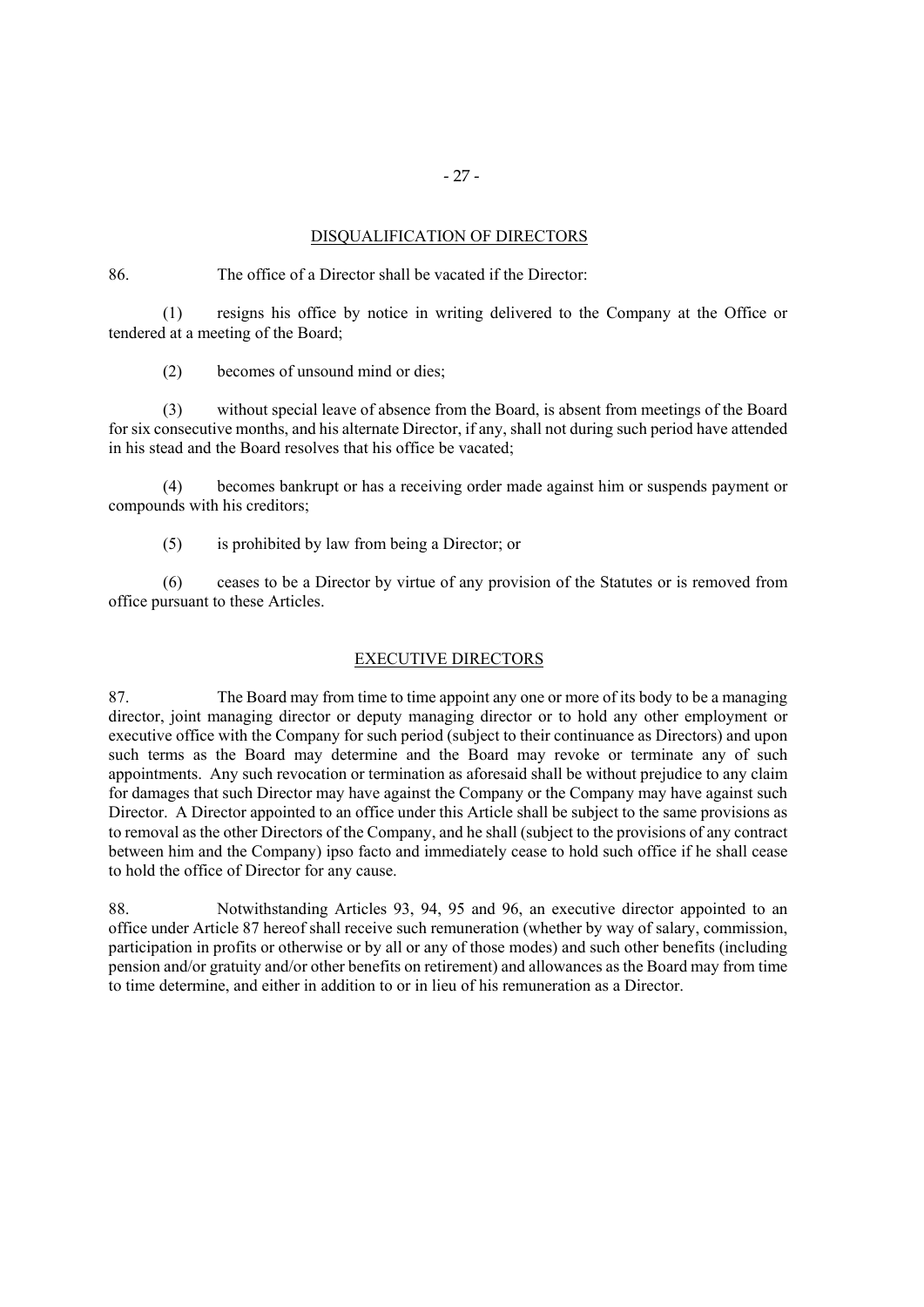#### DISQUALIFICATION OF DIRECTORS

86. The office of a Director shall be vacated if the Director:

(1) resigns his office by notice in writing delivered to the Company at the Office or tendered at a meeting of the Board;

(2) becomes of unsound mind or dies;

(3) without special leave of absence from the Board, is absent from meetings of the Board for six consecutive months, and his alternate Director, if any, shall not during such period have attended in his stead and the Board resolves that his office be vacated;

(4) becomes bankrupt or has a receiving order made against him or suspends payment or compounds with his creditors;

(5) is prohibited by law from being a Director; or

(6) ceases to be a Director by virtue of any provision of the Statutes or is removed from office pursuant to these Articles.

#### EXECUTIVE DIRECTORS

87. The Board may from time to time appoint any one or more of its body to be a managing director, joint managing director or deputy managing director or to hold any other employment or executive office with the Company for such period (subject to their continuance as Directors) and upon such terms as the Board may determine and the Board may revoke or terminate any of such appointments. Any such revocation or termination as aforesaid shall be without prejudice to any claim for damages that such Director may have against the Company or the Company may have against such Director. A Director appointed to an office under this Article shall be subject to the same provisions as to removal as the other Directors of the Company, and he shall (subject to the provisions of any contract between him and the Company) ipso facto and immediately cease to hold such office if he shall cease to hold the office of Director for any cause.

88. Notwithstanding Articles 93, 94, 95 and 96, an executive director appointed to an office under Article 87 hereof shall receive such remuneration (whether by way of salary, commission, participation in profits or otherwise or by all or any of those modes) and such other benefits (including pension and/or gratuity and/or other benefits on retirement) and allowances as the Board may from time to time determine, and either in addition to or in lieu of his remuneration as a Director.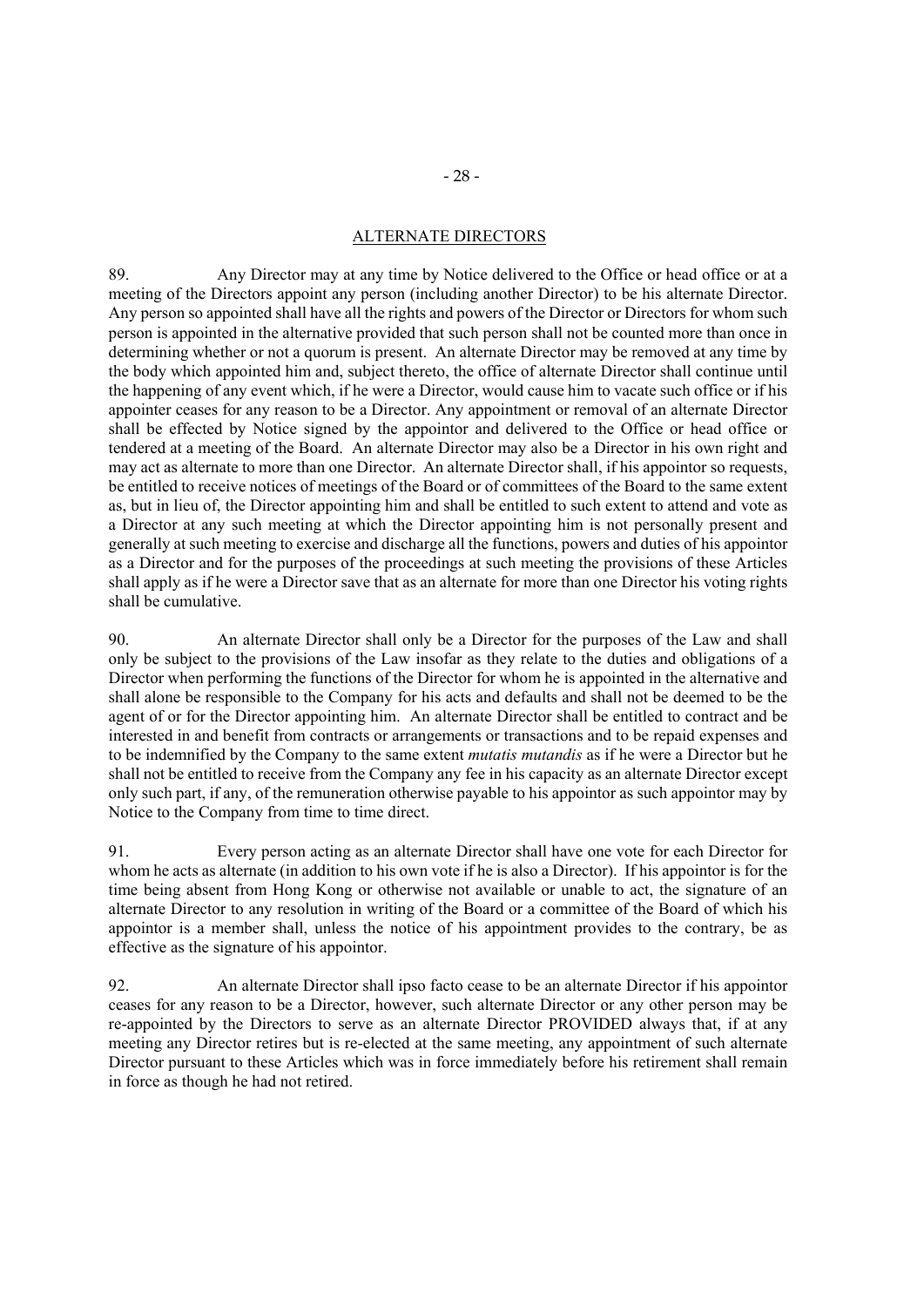# ALTERNATE DIRECTORS

89. Any Director may at any time by Notice delivered to the Office or head office or at a meeting of the Directors appoint any person (including another Director) to be his alternate Director. Any person so appointed shall have all the rights and powers of the Director or Directors for whom such person is appointed in the alternative provided that such person shall not be counted more than once in determining whether or not a quorum is present. An alternate Director may be removed at any time by the body which appointed him and, subject thereto, the office of alternate Director shall continue until the happening of any event which, if he were a Director, would cause him to vacate such office or if his appointer ceases for any reason to be a Director. Any appointment or removal of an alternate Director shall be effected by Notice signed by the appointor and delivered to the Office or head office or tendered at a meeting of the Board. An alternate Director may also be a Director in his own right and may act as alternate to more than one Director. An alternate Director shall, if his appointor so requests, be entitled to receive notices of meetings of the Board or of committees of the Board to the same extent as, but in lieu of, the Director appointing him and shall be entitled to such extent to attend and vote as a Director at any such meeting at which the Director appointing him is not personally present and generally at such meeting to exercise and discharge all the functions, powers and duties of his appointor as a Director and for the purposes of the proceedings at such meeting the provisions of these Articles shall apply as if he were a Director save that as an alternate for more than one Director his voting rights shall be cumulative.

90. An alternate Director shall only be a Director for the purposes of the Law and shall only be subject to the provisions of the Law insofar as they relate to the duties and obligations of a Director when performing the functions of the Director for whom he is appointed in the alternative and shall alone be responsible to the Company for his acts and defaults and shall not be deemed to be the agent of or for the Director appointing him. An alternate Director shall be entitled to contract and be interested in and benefit from contracts or arrangements or transactions and to be repaid expenses and to be indemnified by the Company to the same extent *mutatis mutandis* as if he were a Director but he shall not be entitled to receive from the Company any fee in his capacity as an alternate Director except only such part, if any, of the remuneration otherwise payable to his appointor as such appointor may by Notice to the Company from time to time direct.

91. Every person acting as an alternate Director shall have one vote for each Director for whom he acts as alternate (in addition to his own vote if he is also a Director). If his appointor is for the time being absent from Hong Kong or otherwise not available or unable to act, the signature of an alternate Director to any resolution in writing of the Board or a committee of the Board of which his appointor is a member shall, unless the notice of his appointment provides to the contrary, be as effective as the signature of his appointor.

92. An alternate Director shall ipso facto cease to be an alternate Director if his appointor ceases for any reason to be a Director, however, such alternate Director or any other person may be re-appointed by the Directors to serve as an alternate Director PROVIDED always that, if at any meeting any Director retires but is re-elected at the same meeting, any appointment of such alternate Director pursuant to these Articles which was in force immediately before his retirement shall remain in force as though he had not retired.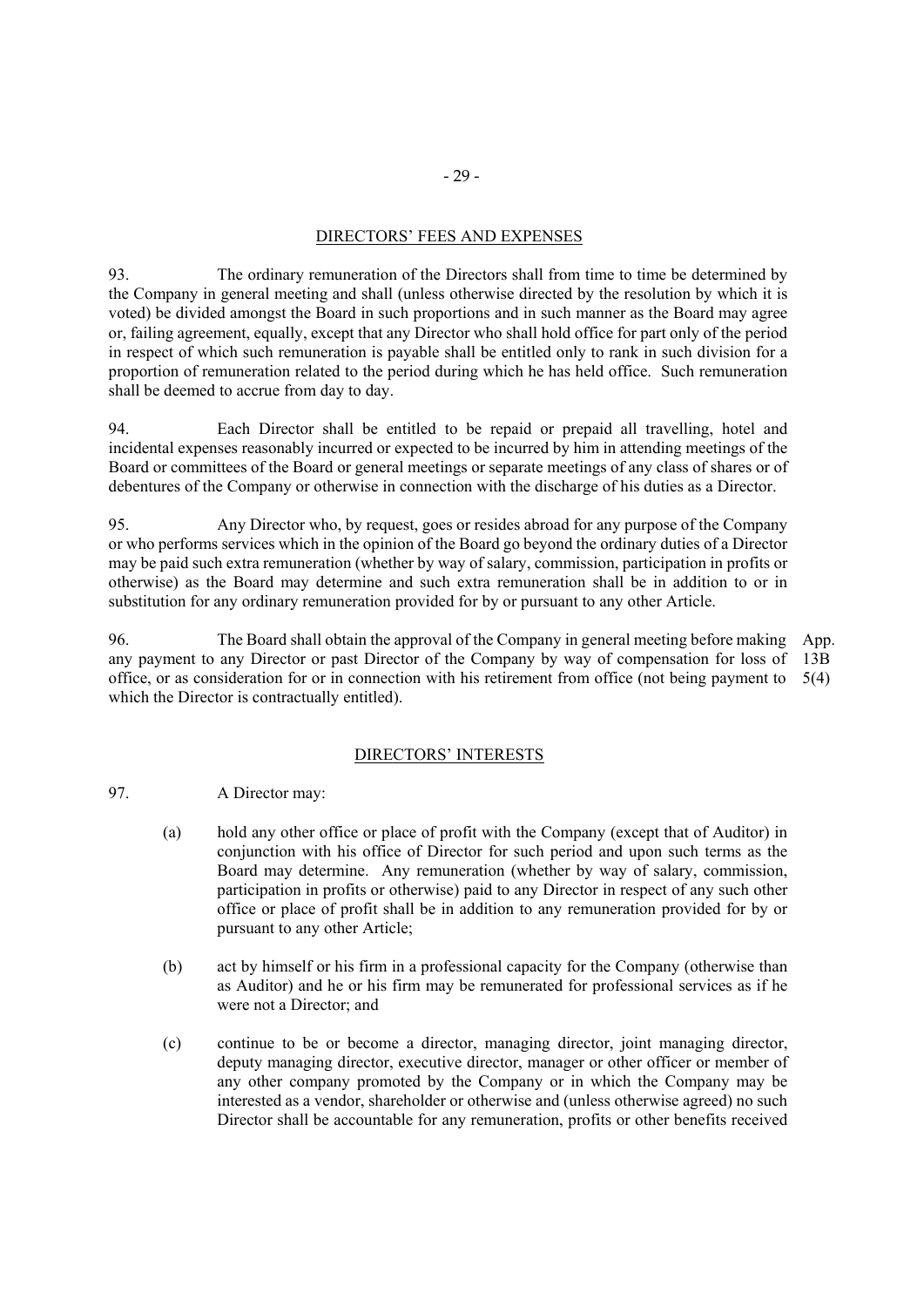# DIRECTORS' FEES AND EXPENSES

93. The ordinary remuneration of the Directors shall from time to time be determined by the Company in general meeting and shall (unless otherwise directed by the resolution by which it is voted) be divided amongst the Board in such proportions and in such manner as the Board may agree or, failing agreement, equally, except that any Director who shall hold office for part only of the period in respect of which such remuneration is payable shall be entitled only to rank in such division for a proportion of remuneration related to the period during which he has held office. Such remuneration shall be deemed to accrue from day to day.

94. Each Director shall be entitled to be repaid or prepaid all travelling, hotel and incidental expenses reasonably incurred or expected to be incurred by him in attending meetings of the Board or committees of the Board or general meetings or separate meetings of any class of shares or of debentures of the Company or otherwise in connection with the discharge of his duties as a Director.

95. Any Director who, by request, goes or resides abroad for any purpose of the Company or who performs services which in the opinion of the Board go beyond the ordinary duties of a Director may be paid such extra remuneration (whether by way of salary, commission, participation in profits or otherwise) as the Board may determine and such extra remuneration shall be in addition to or in substitution for any ordinary remuneration provided for by or pursuant to any other Article.

96. The Board shall obtain the approval of the Company in general meeting before making any payment to any Director or past Director of the Company by way of compensation for loss of office, or as consideration for or in connection with his retirement from office (not being payment to 5(4) which the Director is contractually entitled). App. 13B

#### DIRECTORS' INTERESTS

- 97. A Director may:
	- (a) hold any other office or place of profit with the Company (except that of Auditor) in conjunction with his office of Director for such period and upon such terms as the Board may determine. Any remuneration (whether by way of salary, commission, participation in profits or otherwise) paid to any Director in respect of any such other office or place of profit shall be in addition to any remuneration provided for by or pursuant to any other Article;
	- (b) act by himself or his firm in a professional capacity for the Company (otherwise than as Auditor) and he or his firm may be remunerated for professional services as if he were not a Director; and
	- (c) continue to be or become a director, managing director, joint managing director, deputy managing director, executive director, manager or other officer or member of any other company promoted by the Company or in which the Company may be interested as a vendor, shareholder or otherwise and (unless otherwise agreed) no such Director shall be accountable for any remuneration, profits or other benefits received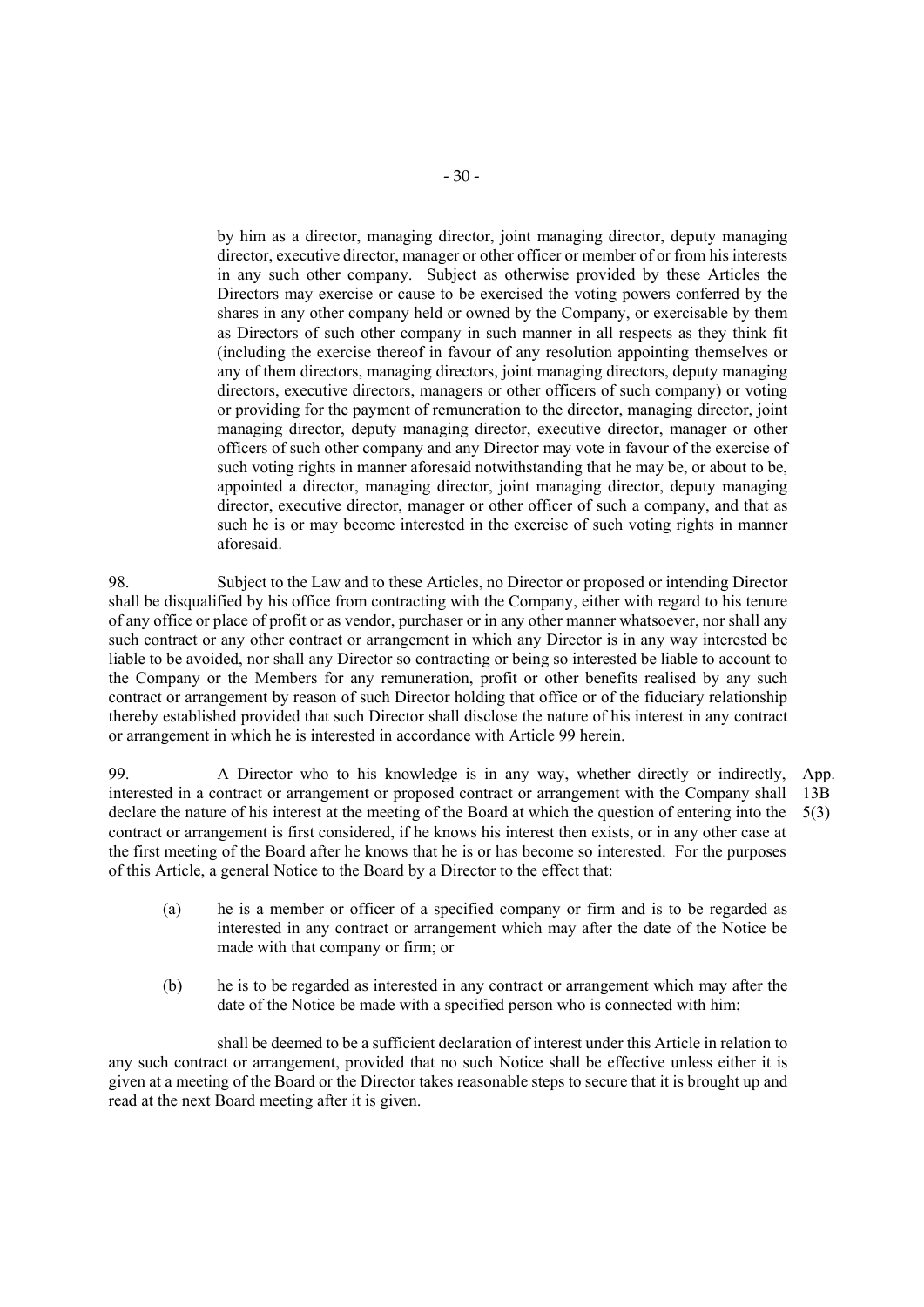by him as a director, managing director, joint managing director, deputy managing director, executive director, manager or other officer or member of or from his interests in any such other company. Subject as otherwise provided by these Articles the Directors may exercise or cause to be exercised the voting powers conferred by the shares in any other company held or owned by the Company, or exercisable by them as Directors of such other company in such manner in all respects as they think fit (including the exercise thereof in favour of any resolution appointing themselves or any of them directors, managing directors, joint managing directors, deputy managing directors, executive directors, managers or other officers of such company) or voting or providing for the payment of remuneration to the director, managing director, joint managing director, deputy managing director, executive director, manager or other officers of such other company and any Director may vote in favour of the exercise of such voting rights in manner aforesaid notwithstanding that he may be, or about to be, appointed a director, managing director, joint managing director, deputy managing director, executive director, manager or other officer of such a company, and that as such he is or may become interested in the exercise of such voting rights in manner aforesaid.

98. Subject to the Law and to these Articles, no Director or proposed or intending Director shall be disqualified by his office from contracting with the Company, either with regard to his tenure of any office or place of profit or as vendor, purchaser or in any other manner whatsoever, nor shall any such contract or any other contract or arrangement in which any Director is in any way interested be liable to be avoided, nor shall any Director so contracting or being so interested be liable to account to the Company or the Members for any remuneration, profit or other benefits realised by any such contract or arrangement by reason of such Director holding that office or of the fiduciary relationship thereby established provided that such Director shall disclose the nature of his interest in any contract or arrangement in which he is interested in accordance with Article 99 herein.

99. A Director who to his knowledge is in any way, whether directly or indirectly, interested in a contract or arrangement or proposed contract or arrangement with the Company shall declare the nature of his interest at the meeting of the Board at which the question of entering into the contract or arrangement is first considered, if he knows his interest then exists, or in any other case at the first meeting of the Board after he knows that he is or has become so interested. For the purposes of this Article, a general Notice to the Board by a Director to the effect that: App. 13B 5(3)

- (a) he is a member or officer of a specified company or firm and is to be regarded as interested in any contract or arrangement which may after the date of the Notice be made with that company or firm; or
- (b) he is to be regarded as interested in any contract or arrangement which may after the date of the Notice be made with a specified person who is connected with him;

shall be deemed to be a sufficient declaration of interest under this Article in relation to any such contract or arrangement, provided that no such Notice shall be effective unless either it is given at a meeting of the Board or the Director takes reasonable steps to secure that it is brought up and read at the next Board meeting after it is given.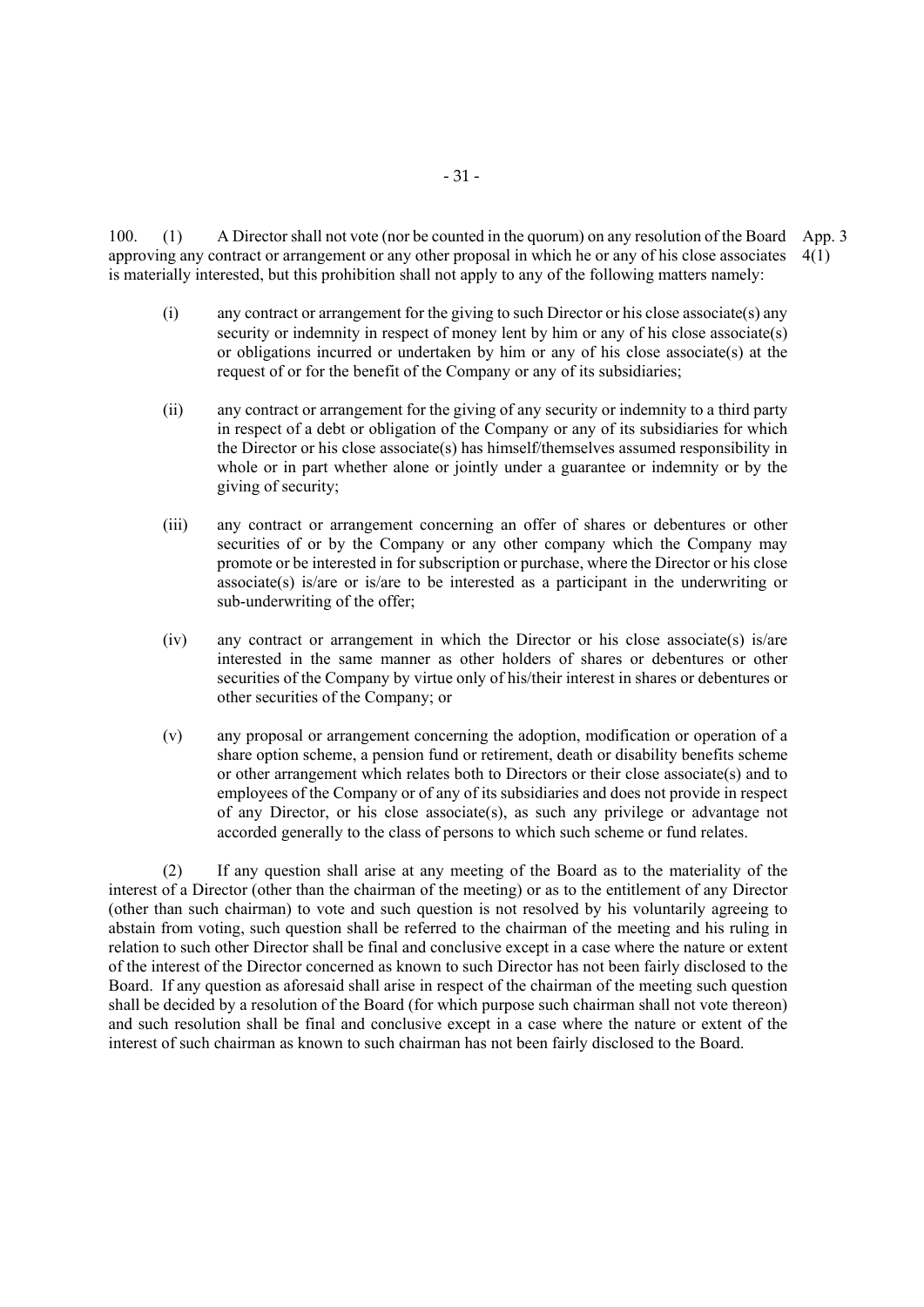100. (1) A Director shall not vote (nor be counted in the quorum) on any resolution of the Board App. 3 approving any contract or arrangement or any other proposal in which he or any of his close associates 4(1) is materially interested, but this prohibition shall not apply to any of the following matters namely:

- $(i)$  any contract or arrangement for the giving to such Director or his close associate(s) any security or indemnity in respect of money lent by him or any of his close associate(s) or obligations incurred or undertaken by him or any of his close associate(s) at the request of or for the benefit of the Company or any of its subsidiaries;
- (ii) any contract or arrangement for the giving of any security or indemnity to a third party in respect of a debt or obligation of the Company or any of its subsidiaries for which the Director or his close associate(s) has himself/themselves assumed responsibility in whole or in part whether alone or jointly under a guarantee or indemnity or by the giving of security;
- (iii) any contract or arrangement concerning an offer of shares or debentures or other securities of or by the Company or any other company which the Company may promote or be interested in for subscription or purchase, where the Director or his close associate(s) is/are or is/are to be interested as a participant in the underwriting or sub-underwriting of the offer;
- (iv) any contract or arrangement in which the Director or his close associate(s) is/are interested in the same manner as other holders of shares or debentures or other securities of the Company by virtue only of his/their interest in shares or debentures or other securities of the Company; or
- (v) any proposal or arrangement concerning the adoption, modification or operation of a share option scheme, a pension fund or retirement, death or disability benefits scheme or other arrangement which relates both to Directors or their close associate(s) and to employees of the Company or of any of its subsidiaries and does not provide in respect of any Director, or his close associate(s), as such any privilege or advantage not accorded generally to the class of persons to which such scheme or fund relates.

(2) If any question shall arise at any meeting of the Board as to the materiality of the interest of a Director (other than the chairman of the meeting) or as to the entitlement of any Director (other than such chairman) to vote and such question is not resolved by his voluntarily agreeing to abstain from voting, such question shall be referred to the chairman of the meeting and his ruling in relation to such other Director shall be final and conclusive except in a case where the nature or extent of the interest of the Director concerned as known to such Director has not been fairly disclosed to the Board. If any question as aforesaid shall arise in respect of the chairman of the meeting such question shall be decided by a resolution of the Board (for which purpose such chairman shall not vote thereon) and such resolution shall be final and conclusive except in a case where the nature or extent of the interest of such chairman as known to such chairman has not been fairly disclosed to the Board.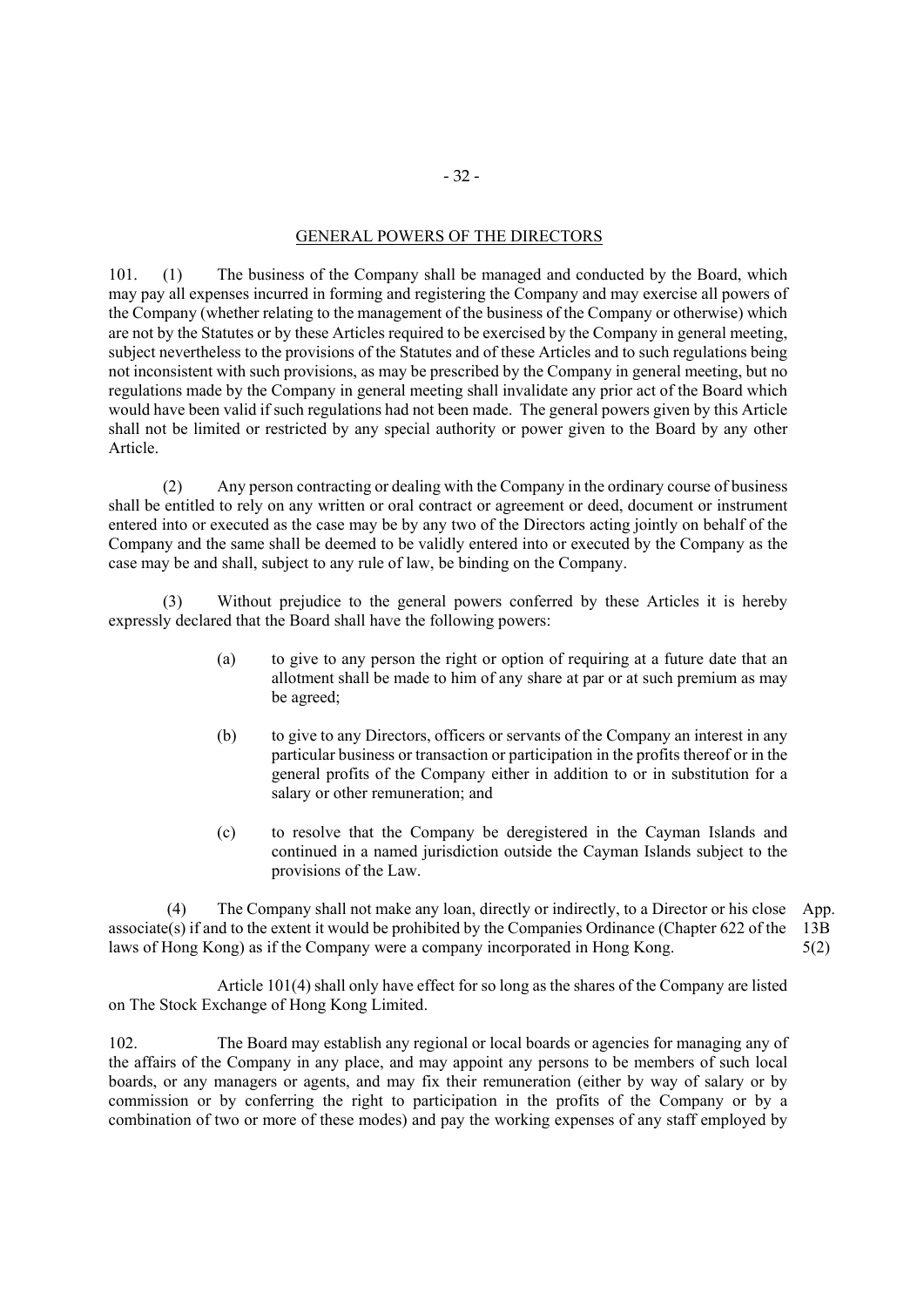# GENERAL POWERS OF THE DIRECTORS

101. (1) The business of the Company shall be managed and conducted by the Board, which may pay all expenses incurred in forming and registering the Company and may exercise all powers of the Company (whether relating to the management of the business of the Company or otherwise) which are not by the Statutes or by these Articles required to be exercised by the Company in general meeting, subject nevertheless to the provisions of the Statutes and of these Articles and to such regulations being not inconsistent with such provisions, as may be prescribed by the Company in general meeting, but no regulations made by the Company in general meeting shall invalidate any prior act of the Board which would have been valid if such regulations had not been made. The general powers given by this Article shall not be limited or restricted by any special authority or power given to the Board by any other Article.

(2) Any person contracting or dealing with the Company in the ordinary course of business shall be entitled to rely on any written or oral contract or agreement or deed, document or instrument entered into or executed as the case may be by any two of the Directors acting jointly on behalf of the Company and the same shall be deemed to be validly entered into or executed by the Company as the case may be and shall, subject to any rule of law, be binding on the Company.

(3) Without prejudice to the general powers conferred by these Articles it is hereby expressly declared that the Board shall have the following powers:

- (a) to give to any person the right or option of requiring at a future date that an allotment shall be made to him of any share at par or at such premium as may be agreed;
- (b) to give to any Directors, officers or servants of the Company an interest in any particular business or transaction or participation in the profits thereof or in the general profits of the Company either in addition to or in substitution for a salary or other remuneration; and
- (c) to resolve that the Company be deregistered in the Cayman Islands and continued in a named jurisdiction outside the Cayman Islands subject to the provisions of the Law.

 (4) The Company shall not make any loan, directly or indirectly, to a Director or his close App. associate(s) if and to the extent it would be prohibited by the Companies Ordinance (Chapter 622 of the 13B laws of Hong Kong) as if the Company were a company incorporated in Hong Kong. 5(2)

Article 101(4) shall only have effect for so long as the shares of the Company are listed on The Stock Exchange of Hong Kong Limited.

102. The Board may establish any regional or local boards or agencies for managing any of the affairs of the Company in any place, and may appoint any persons to be members of such local boards, or any managers or agents, and may fix their remuneration (either by way of salary or by commission or by conferring the right to participation in the profits of the Company or by a combination of two or more of these modes) and pay the working expenses of any staff employed by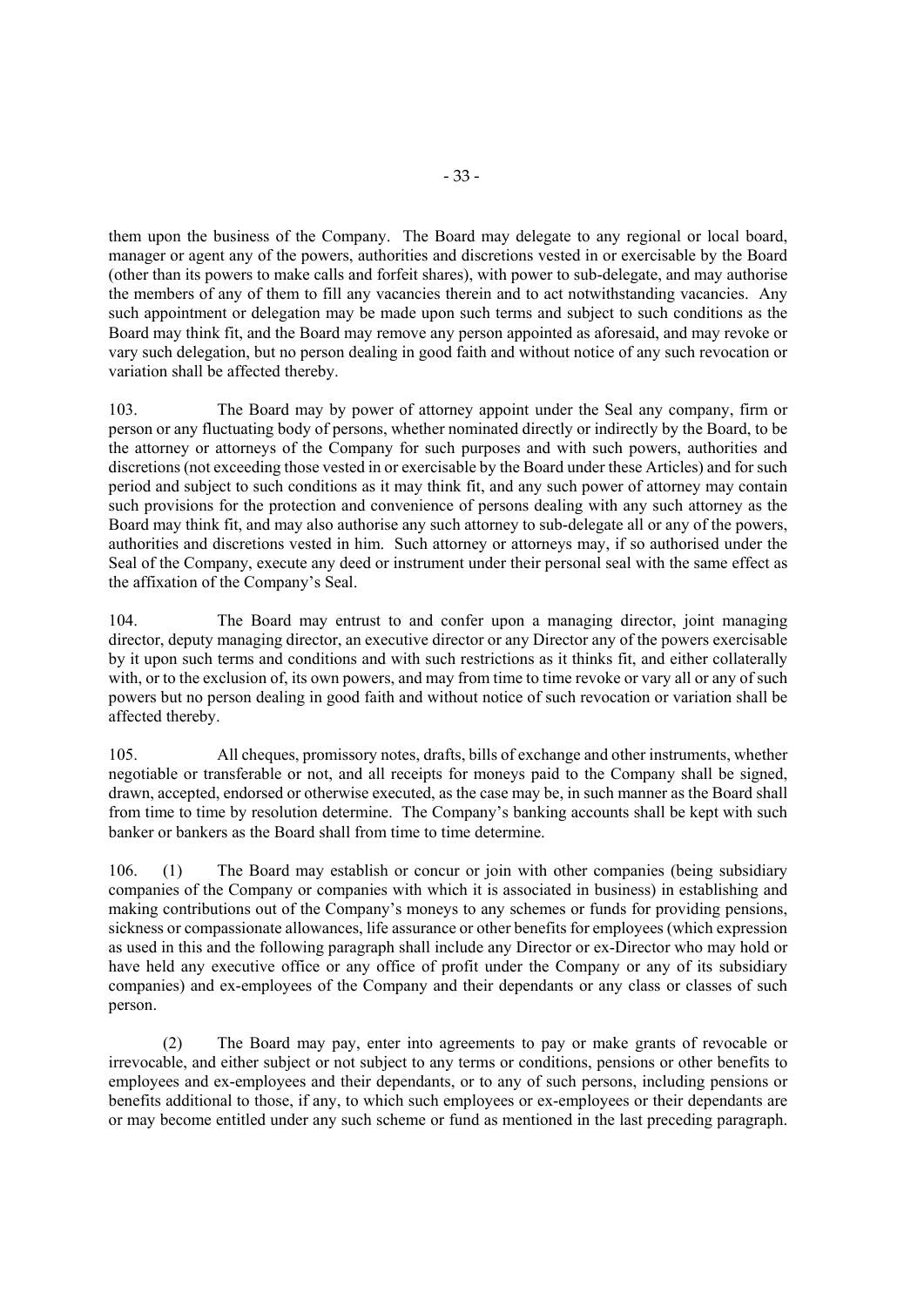them upon the business of the Company. The Board may delegate to any regional or local board, manager or agent any of the powers, authorities and discretions vested in or exercisable by the Board (other than its powers to make calls and forfeit shares), with power to sub-delegate, and may authorise the members of any of them to fill any vacancies therein and to act notwithstanding vacancies. Any such appointment or delegation may be made upon such terms and subject to such conditions as the Board may think fit, and the Board may remove any person appointed as aforesaid, and may revoke or vary such delegation, but no person dealing in good faith and without notice of any such revocation or variation shall be affected thereby.

103. The Board may by power of attorney appoint under the Seal any company, firm or person or any fluctuating body of persons, whether nominated directly or indirectly by the Board, to be the attorney or attorneys of the Company for such purposes and with such powers, authorities and discretions (not exceeding those vested in or exercisable by the Board under these Articles) and for such period and subject to such conditions as it may think fit, and any such power of attorney may contain such provisions for the protection and convenience of persons dealing with any such attorney as the Board may think fit, and may also authorise any such attorney to sub-delegate all or any of the powers, authorities and discretions vested in him. Such attorney or attorneys may, if so authorised under the Seal of the Company, execute any deed or instrument under their personal seal with the same effect as the affixation of the Company's Seal.

104. The Board may entrust to and confer upon a managing director, joint managing director, deputy managing director, an executive director or any Director any of the powers exercisable by it upon such terms and conditions and with such restrictions as it thinks fit, and either collaterally with, or to the exclusion of, its own powers, and may from time to time revoke or vary all or any of such powers but no person dealing in good faith and without notice of such revocation or variation shall be affected thereby.

105. All cheques, promissory notes, drafts, bills of exchange and other instruments, whether negotiable or transferable or not, and all receipts for moneys paid to the Company shall be signed, drawn, accepted, endorsed or otherwise executed, as the case may be, in such manner as the Board shall from time to time by resolution determine. The Company's banking accounts shall be kept with such banker or bankers as the Board shall from time to time determine.

106. (1) The Board may establish or concur or join with other companies (being subsidiary companies of the Company or companies with which it is associated in business) in establishing and making contributions out of the Company's moneys to any schemes or funds for providing pensions, sickness or compassionate allowances, life assurance or other benefits for employees (which expression as used in this and the following paragraph shall include any Director or ex-Director who may hold or have held any executive office or any office of profit under the Company or any of its subsidiary companies) and ex-employees of the Company and their dependants or any class or classes of such person.

(2) The Board may pay, enter into agreements to pay or make grants of revocable or irrevocable, and either subject or not subject to any terms or conditions, pensions or other benefits to employees and ex-employees and their dependants, or to any of such persons, including pensions or benefits additional to those, if any, to which such employees or ex-employees or their dependants are or may become entitled under any such scheme or fund as mentioned in the last preceding paragraph.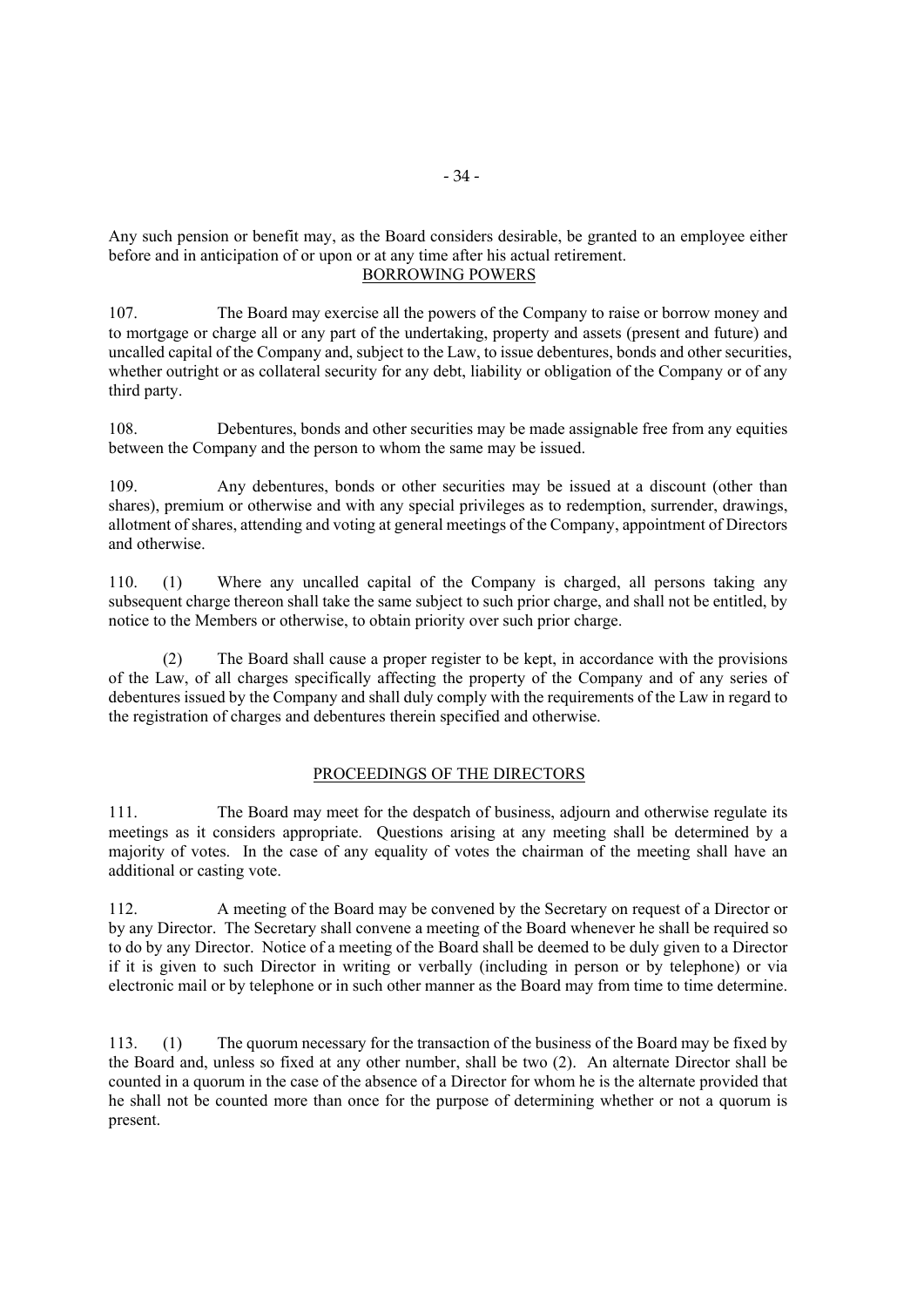Any such pension or benefit may, as the Board considers desirable, be granted to an employee either before and in anticipation of or upon or at any time after his actual retirement. BORROWING POWERS

107. The Board may exercise all the powers of the Company to raise or borrow money and to mortgage or charge all or any part of the undertaking, property and assets (present and future) and uncalled capital of the Company and, subject to the Law, to issue debentures, bonds and other securities, whether outright or as collateral security for any debt, liability or obligation of the Company or of any third party.

108. Debentures, bonds and other securities may be made assignable free from any equities between the Company and the person to whom the same may be issued.

109. Any debentures, bonds or other securities may be issued at a discount (other than shares), premium or otherwise and with any special privileges as to redemption, surrender, drawings, allotment of shares, attending and voting at general meetings of the Company, appointment of Directors and otherwise.

110. (1) Where any uncalled capital of the Company is charged, all persons taking any subsequent charge thereon shall take the same subject to such prior charge, and shall not be entitled, by notice to the Members or otherwise, to obtain priority over such prior charge.

(2) The Board shall cause a proper register to be kept, in accordance with the provisions of the Law, of all charges specifically affecting the property of the Company and of any series of debentures issued by the Company and shall duly comply with the requirements of the Law in regard to the registration of charges and debentures therein specified and otherwise.

# PROCEEDINGS OF THE DIRECTORS

111. The Board may meet for the despatch of business, adjourn and otherwise regulate its meetings as it considers appropriate. Questions arising at any meeting shall be determined by a majority of votes. In the case of any equality of votes the chairman of the meeting shall have an additional or casting vote.

112. A meeting of the Board may be convened by the Secretary on request of a Director or by any Director. The Secretary shall convene a meeting of the Board whenever he shall be required so to do by any Director. Notice of a meeting of the Board shall be deemed to be duly given to a Director if it is given to such Director in writing or verbally (including in person or by telephone) or via electronic mail or by telephone or in such other manner as the Board may from time to time determine.

113. (1) The quorum necessary for the transaction of the business of the Board may be fixed by the Board and, unless so fixed at any other number, shall be two (2). An alternate Director shall be counted in a quorum in the case of the absence of a Director for whom he is the alternate provided that he shall not be counted more than once for the purpose of determining whether or not a quorum is present.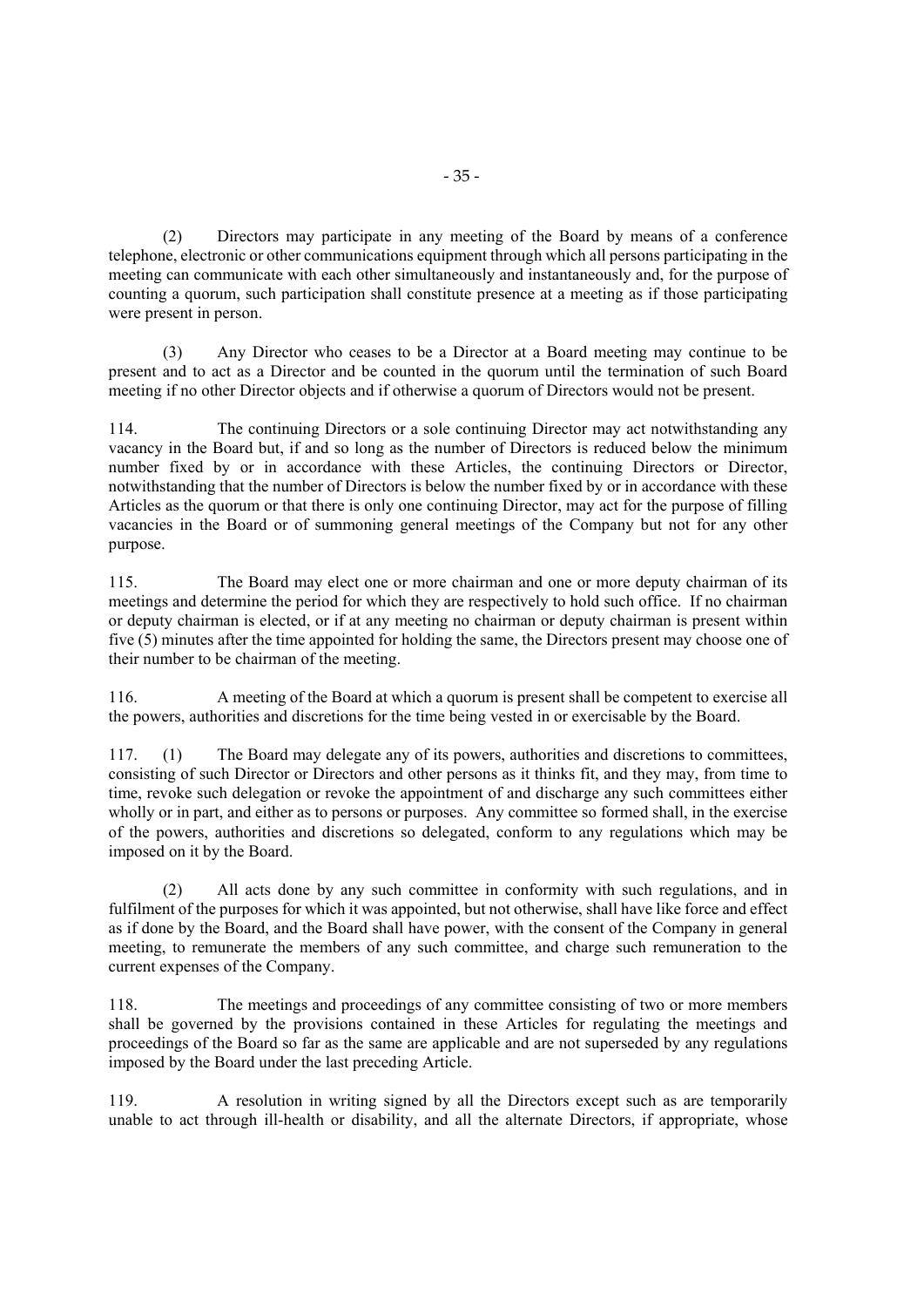(2) Directors may participate in any meeting of the Board by means of a conference telephone, electronic or other communications equipment through which all persons participating in the meeting can communicate with each other simultaneously and instantaneously and, for the purpose of counting a quorum, such participation shall constitute presence at a meeting as if those participating were present in person.

(3) Any Director who ceases to be a Director at a Board meeting may continue to be present and to act as a Director and be counted in the quorum until the termination of such Board meeting if no other Director objects and if otherwise a quorum of Directors would not be present.

114. The continuing Directors or a sole continuing Director may act notwithstanding any vacancy in the Board but, if and so long as the number of Directors is reduced below the minimum number fixed by or in accordance with these Articles, the continuing Directors or Director, notwithstanding that the number of Directors is below the number fixed by or in accordance with these Articles as the quorum or that there is only one continuing Director, may act for the purpose of filling vacancies in the Board or of summoning general meetings of the Company but not for any other purpose.

115. The Board may elect one or more chairman and one or more deputy chairman of its meetings and determine the period for which they are respectively to hold such office. If no chairman or deputy chairman is elected, or if at any meeting no chairman or deputy chairman is present within five (5) minutes after the time appointed for holding the same, the Directors present may choose one of their number to be chairman of the meeting.

116. A meeting of the Board at which a quorum is present shall be competent to exercise all the powers, authorities and discretions for the time being vested in or exercisable by the Board.

117. (1) The Board may delegate any of its powers, authorities and discretions to committees, consisting of such Director or Directors and other persons as it thinks fit, and they may, from time to time, revoke such delegation or revoke the appointment of and discharge any such committees either wholly or in part, and either as to persons or purposes. Any committee so formed shall, in the exercise of the powers, authorities and discretions so delegated, conform to any regulations which may be imposed on it by the Board.

(2) All acts done by any such committee in conformity with such regulations, and in fulfilment of the purposes for which it was appointed, but not otherwise, shall have like force and effect as if done by the Board, and the Board shall have power, with the consent of the Company in general meeting, to remunerate the members of any such committee, and charge such remuneration to the current expenses of the Company.

118. The meetings and proceedings of any committee consisting of two or more members shall be governed by the provisions contained in these Articles for regulating the meetings and proceedings of the Board so far as the same are applicable and are not superseded by any regulations imposed by the Board under the last preceding Article.

119. A resolution in writing signed by all the Directors except such as are temporarily unable to act through ill-health or disability, and all the alternate Directors, if appropriate, whose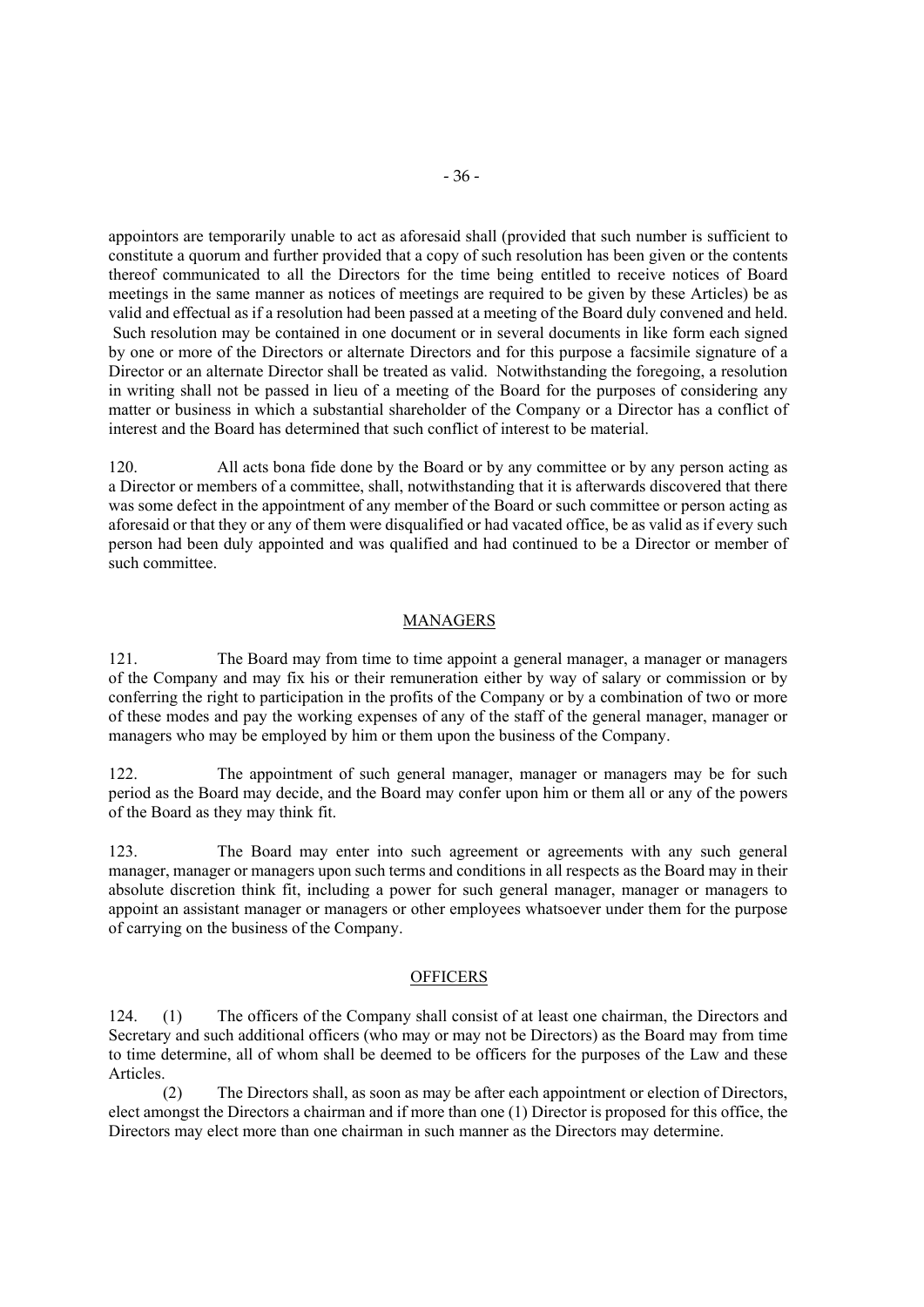appointors are temporarily unable to act as aforesaid shall (provided that such number is sufficient to constitute a quorum and further provided that a copy of such resolution has been given or the contents thereof communicated to all the Directors for the time being entitled to receive notices of Board meetings in the same manner as notices of meetings are required to be given by these Articles) be as valid and effectual as if a resolution had been passed at a meeting of the Board duly convened and held. Such resolution may be contained in one document or in several documents in like form each signed by one or more of the Directors or alternate Directors and for this purpose a facsimile signature of a Director or an alternate Director shall be treated as valid. Notwithstanding the foregoing, a resolution in writing shall not be passed in lieu of a meeting of the Board for the purposes of considering any matter or business in which a substantial shareholder of the Company or a Director has a conflict of interest and the Board has determined that such conflict of interest to be material.

120. All acts bona fide done by the Board or by any committee or by any person acting as a Director or members of a committee, shall, notwithstanding that it is afterwards discovered that there was some defect in the appointment of any member of the Board or such committee or person acting as aforesaid or that they or any of them were disqualified or had vacated office, be as valid as if every such person had been duly appointed and was qualified and had continued to be a Director or member of such committee.

# MANAGERS

121. The Board may from time to time appoint a general manager, a manager or managers of the Company and may fix his or their remuneration either by way of salary or commission or by conferring the right to participation in the profits of the Company or by a combination of two or more of these modes and pay the working expenses of any of the staff of the general manager, manager or managers who may be employed by him or them upon the business of the Company.

122. The appointment of such general manager, manager or managers may be for such period as the Board may decide, and the Board may confer upon him or them all or any of the powers of the Board as they may think fit.

123. The Board may enter into such agreement or agreements with any such general manager, manager or managers upon such terms and conditions in all respects as the Board may in their absolute discretion think fit, including a power for such general manager, manager or managers to appoint an assistant manager or managers or other employees whatsoever under them for the purpose of carrying on the business of the Company.

### **OFFICERS**

124. (1) The officers of the Company shall consist of at least one chairman, the Directors and Secretary and such additional officers (who may or may not be Directors) as the Board may from time to time determine, all of whom shall be deemed to be officers for the purposes of the Law and these Articles.

(2) The Directors shall, as soon as may be after each appointment or election of Directors, elect amongst the Directors a chairman and if more than one (1) Director is proposed for this office, the Directors may elect more than one chairman in such manner as the Directors may determine.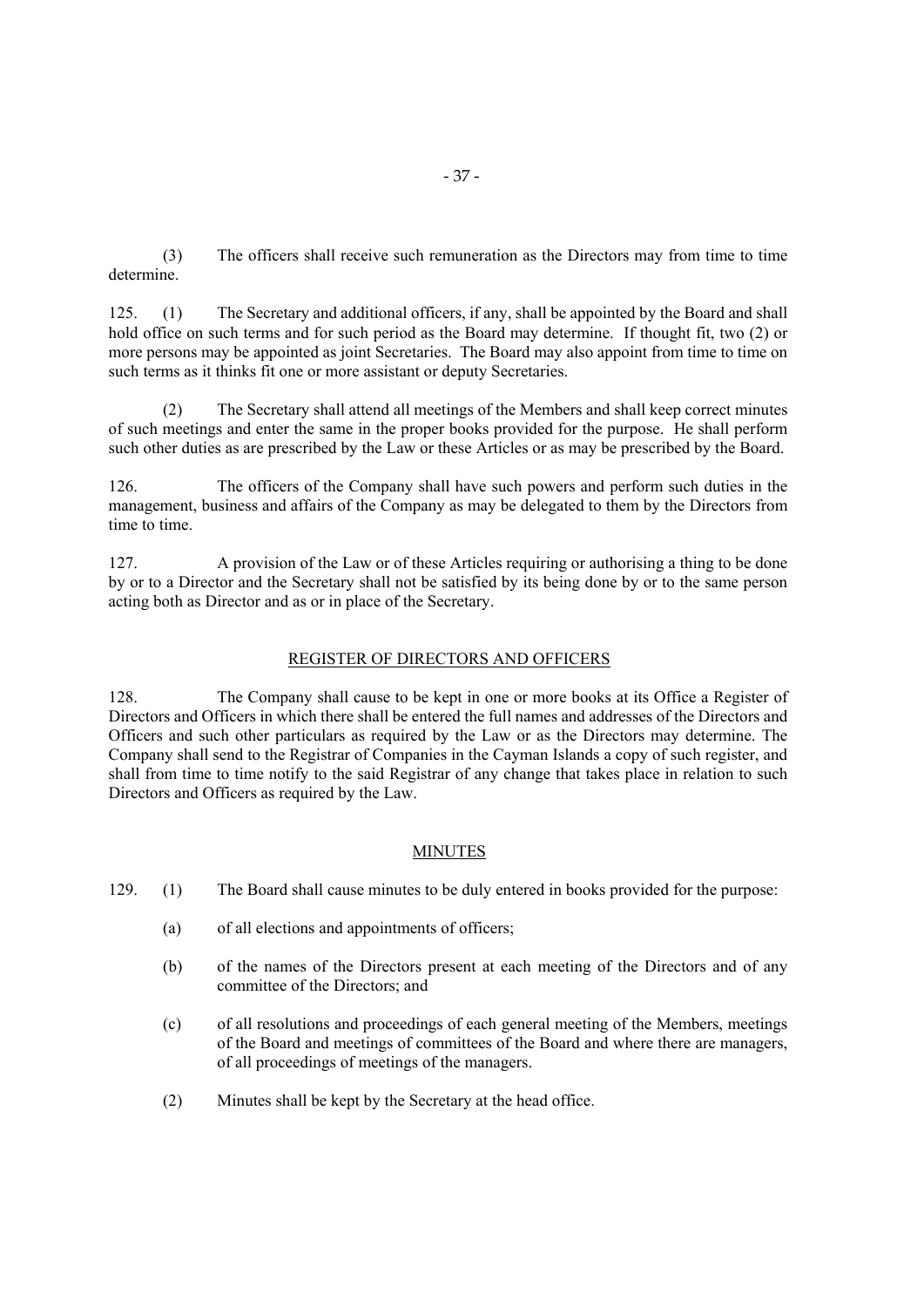(3) The officers shall receive such remuneration as the Directors may from time to time determine.

125. (1) The Secretary and additional officers, if any, shall be appointed by the Board and shall hold office on such terms and for such period as the Board may determine. If thought fit, two (2) or more persons may be appointed as joint Secretaries. The Board may also appoint from time to time on such terms as it thinks fit one or more assistant or deputy Secretaries.

(2) The Secretary shall attend all meetings of the Members and shall keep correct minutes of such meetings and enter the same in the proper books provided for the purpose. He shall perform such other duties as are prescribed by the Law or these Articles or as may be prescribed by the Board.

126. The officers of the Company shall have such powers and perform such duties in the management, business and affairs of the Company as may be delegated to them by the Directors from time to time.

127. A provision of the Law or of these Articles requiring or authorising a thing to be done by or to a Director and the Secretary shall not be satisfied by its being done by or to the same person acting both as Director and as or in place of the Secretary.

#### REGISTER OF DIRECTORS AND OFFICERS

128. The Company shall cause to be kept in one or more books at its Office a Register of Directors and Officers in which there shall be entered the full names and addresses of the Directors and Officers and such other particulars as required by the Law or as the Directors may determine. The Company shall send to the Registrar of Companies in the Cayman Islands a copy of such register, and shall from time to time notify to the said Registrar of any change that takes place in relation to such Directors and Officers as required by the Law.

#### MINUTES

- 129. (1) The Board shall cause minutes to be duly entered in books provided for the purpose:
	- (a) of all elections and appointments of officers;
	- (b) of the names of the Directors present at each meeting of the Directors and of any committee of the Directors; and
	- (c) of all resolutions and proceedings of each general meeting of the Members, meetings of the Board and meetings of committees of the Board and where there are managers, of all proceedings of meetings of the managers.
	- (2) Minutes shall be kept by the Secretary at the head office.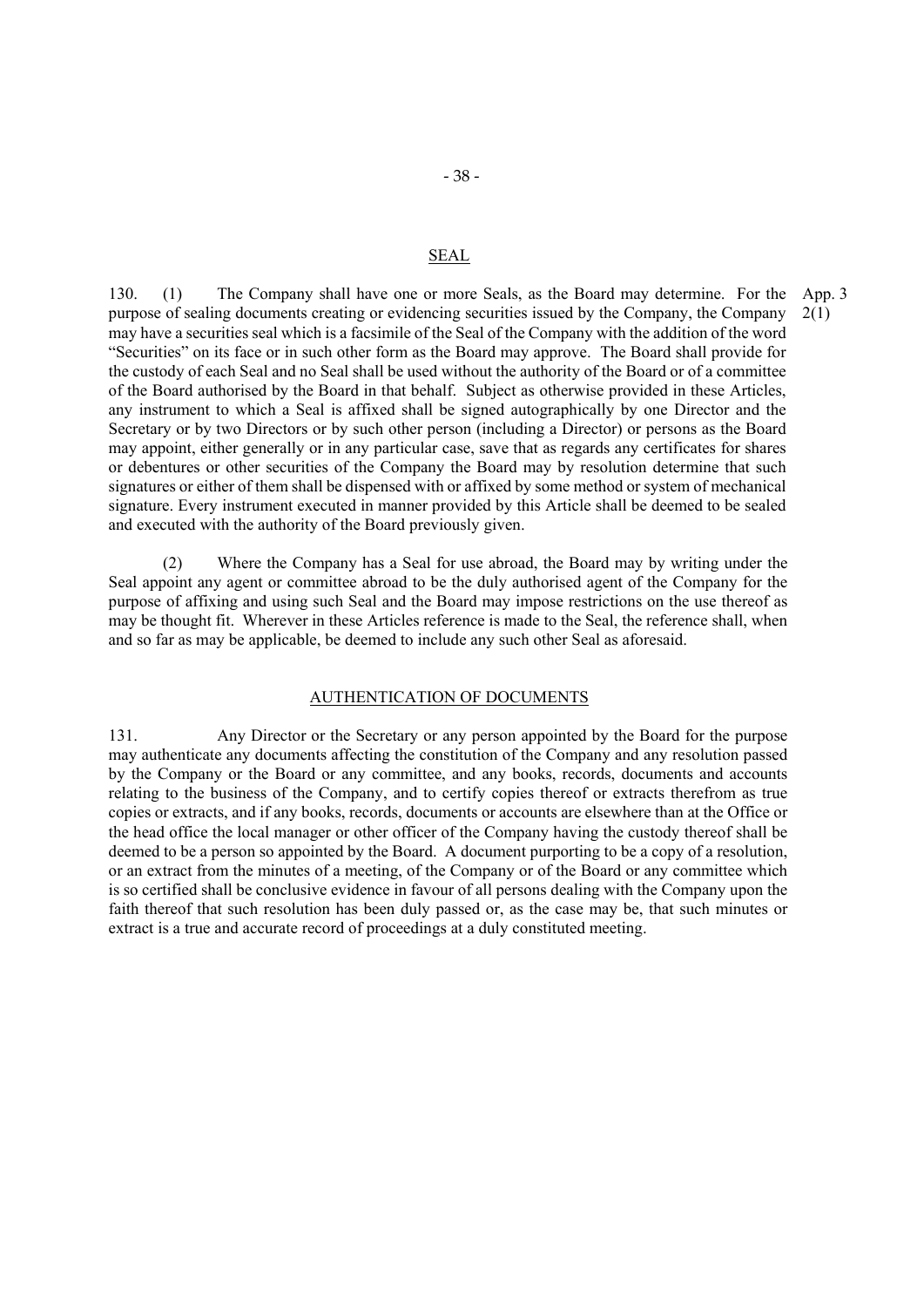#### SEAL

130. (1) The Company shall have one or more Seals, as the Board may determine. For the purpose of sealing documents creating or evidencing securities issued by the Company, the Company may have a securities seal which is a facsimile of the Seal of the Company with the addition of the word "Securities" on its face or in such other form as the Board may approve. The Board shall provide for the custody of each Seal and no Seal shall be used without the authority of the Board or of a committee of the Board authorised by the Board in that behalf. Subject as otherwise provided in these Articles, any instrument to which a Seal is affixed shall be signed autographically by one Director and the Secretary or by two Directors or by such other person (including a Director) or persons as the Board may appoint, either generally or in any particular case, save that as regards any certificates for shares or debentures or other securities of the Company the Board may by resolution determine that such signatures or either of them shall be dispensed with or affixed by some method or system of mechanical signature. Every instrument executed in manner provided by this Article shall be deemed to be sealed and executed with the authority of the Board previously given. App. 3 2(1)

(2) Where the Company has a Seal for use abroad, the Board may by writing under the Seal appoint any agent or committee abroad to be the duly authorised agent of the Company for the purpose of affixing and using such Seal and the Board may impose restrictions on the use thereof as may be thought fit. Wherever in these Articles reference is made to the Seal, the reference shall, when and so far as may be applicable, be deemed to include any such other Seal as aforesaid.

#### AUTHENTICATION OF DOCUMENTS

131. Any Director or the Secretary or any person appointed by the Board for the purpose may authenticate any documents affecting the constitution of the Company and any resolution passed by the Company or the Board or any committee, and any books, records, documents and accounts relating to the business of the Company, and to certify copies thereof or extracts therefrom as true copies or extracts, and if any books, records, documents or accounts are elsewhere than at the Office or the head office the local manager or other officer of the Company having the custody thereof shall be deemed to be a person so appointed by the Board. A document purporting to be a copy of a resolution, or an extract from the minutes of a meeting, of the Company or of the Board or any committee which is so certified shall be conclusive evidence in favour of all persons dealing with the Company upon the faith thereof that such resolution has been duly passed or, as the case may be, that such minutes or extract is a true and accurate record of proceedings at a duly constituted meeting.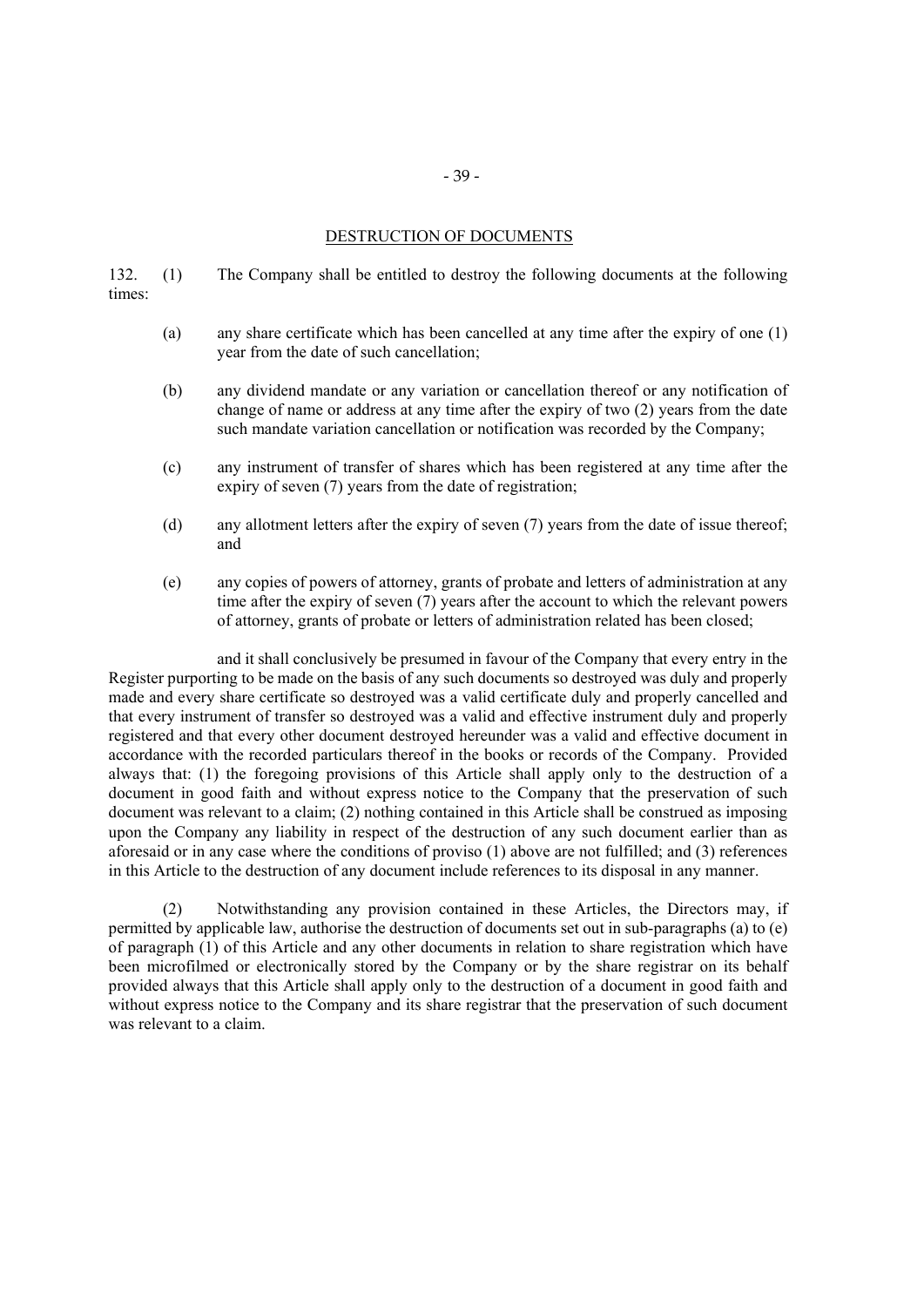# DESTRUCTION OF DOCUMENTS

132. (1) The Company shall be entitled to destroy the following documents at the following times:

- (a) any share certificate which has been cancelled at any time after the expiry of one (1) year from the date of such cancellation;
- (b) any dividend mandate or any variation or cancellation thereof or any notification of change of name or address at any time after the expiry of two (2) years from the date such mandate variation cancellation or notification was recorded by the Company;
- (c) any instrument of transfer of shares which has been registered at any time after the expiry of seven (7) years from the date of registration;
- (d) any allotment letters after the expiry of seven (7) years from the date of issue thereof; and
- (e) any copies of powers of attorney, grants of probate and letters of administration at any time after the expiry of seven (7) years after the account to which the relevant powers of attorney, grants of probate or letters of administration related has been closed;

and it shall conclusively be presumed in favour of the Company that every entry in the Register purporting to be made on the basis of any such documents so destroyed was duly and properly made and every share certificate so destroyed was a valid certificate duly and properly cancelled and that every instrument of transfer so destroyed was a valid and effective instrument duly and properly registered and that every other document destroyed hereunder was a valid and effective document in accordance with the recorded particulars thereof in the books or records of the Company. Provided always that: (1) the foregoing provisions of this Article shall apply only to the destruction of a document in good faith and without express notice to the Company that the preservation of such document was relevant to a claim; (2) nothing contained in this Article shall be construed as imposing upon the Company any liability in respect of the destruction of any such document earlier than as aforesaid or in any case where the conditions of proviso (1) above are not fulfilled; and (3) references in this Article to the destruction of any document include references to its disposal in any manner.

(2) Notwithstanding any provision contained in these Articles, the Directors may, if permitted by applicable law, authorise the destruction of documents set out in sub-paragraphs (a) to (e) of paragraph (1) of this Article and any other documents in relation to share registration which have been microfilmed or electronically stored by the Company or by the share registrar on its behalf provided always that this Article shall apply only to the destruction of a document in good faith and without express notice to the Company and its share registrar that the preservation of such document was relevant to a claim.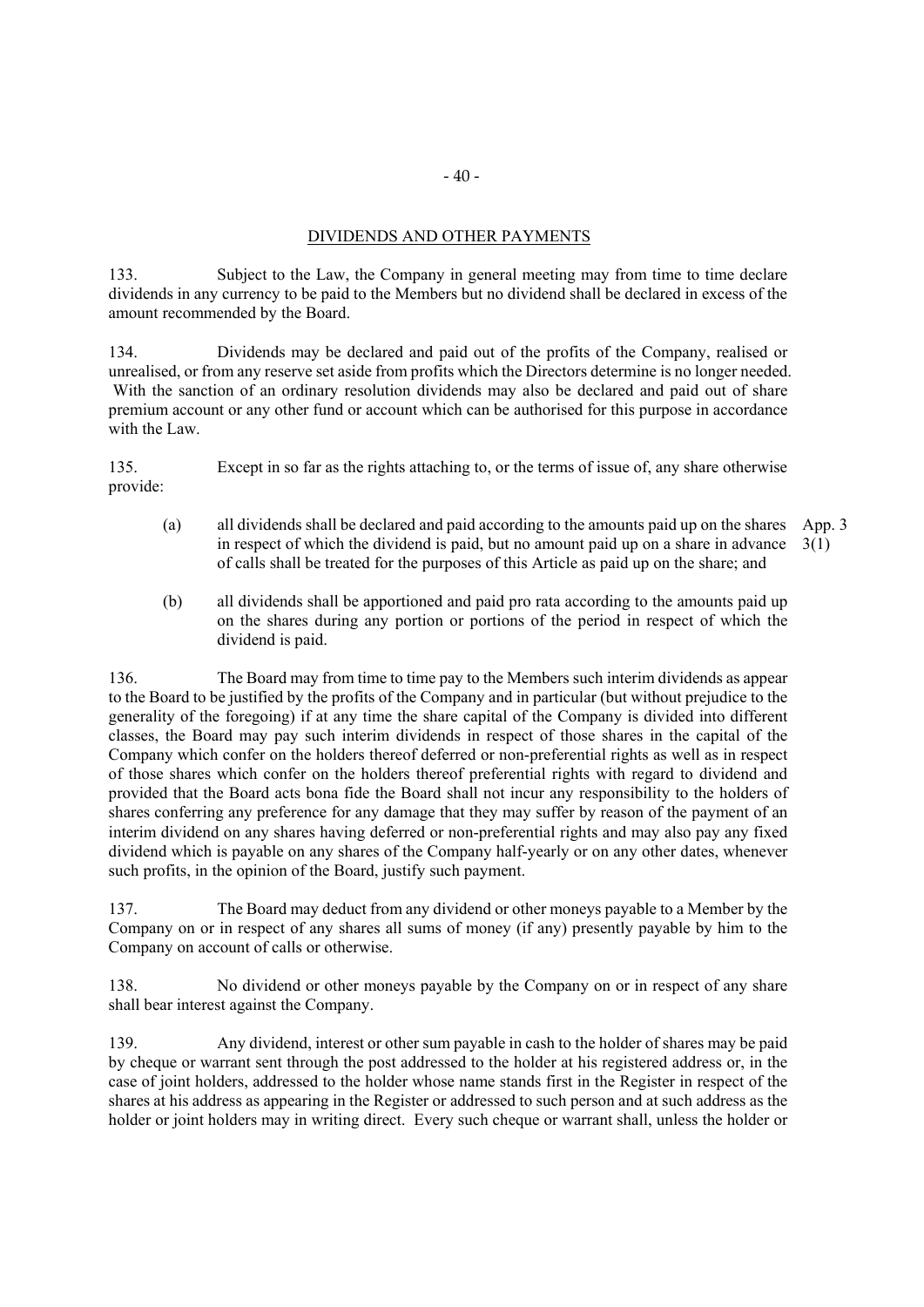# DIVIDENDS AND OTHER PAYMENTS

133. Subject to the Law, the Company in general meeting may from time to time declare dividends in any currency to be paid to the Members but no dividend shall be declared in excess of the amount recommended by the Board.

134. Dividends may be declared and paid out of the profits of the Company, realised or unrealised, or from any reserve set aside from profits which the Directors determine is no longer needed. With the sanction of an ordinary resolution dividends may also be declared and paid out of share premium account or any other fund or account which can be authorised for this purpose in accordance with the Law.

135. Except in so far as the rights attaching to, or the terms of issue of, any share otherwise provide:

- (a) all dividends shall be declared and paid according to the amounts paid up on the shares App. 3 in respect of which the dividend is paid, but no amount paid up on a share in advance  $3(1)$ of calls shall be treated for the purposes of this Article as paid up on the share; and
- (b) all dividends shall be apportioned and paid pro rata according to the amounts paid up on the shares during any portion or portions of the period in respect of which the dividend is paid.

136. The Board may from time to time pay to the Members such interim dividends as appear to the Board to be justified by the profits of the Company and in particular (but without prejudice to the generality of the foregoing) if at any time the share capital of the Company is divided into different classes, the Board may pay such interim dividends in respect of those shares in the capital of the Company which confer on the holders thereof deferred or non-preferential rights as well as in respect of those shares which confer on the holders thereof preferential rights with regard to dividend and provided that the Board acts bona fide the Board shall not incur any responsibility to the holders of shares conferring any preference for any damage that they may suffer by reason of the payment of an interim dividend on any shares having deferred or non-preferential rights and may also pay any fixed dividend which is payable on any shares of the Company half-yearly or on any other dates, whenever such profits, in the opinion of the Board, justify such payment.

137. The Board may deduct from any dividend or other moneys payable to a Member by the Company on or in respect of any shares all sums of money (if any) presently payable by him to the Company on account of calls or otherwise.

138. No dividend or other moneys payable by the Company on or in respect of any share shall bear interest against the Company.

139. Any dividend, interest or other sum payable in cash to the holder of shares may be paid by cheque or warrant sent through the post addressed to the holder at his registered address or, in the case of joint holders, addressed to the holder whose name stands first in the Register in respect of the shares at his address as appearing in the Register or addressed to such person and at such address as the holder or joint holders may in writing direct. Every such cheque or warrant shall, unless the holder or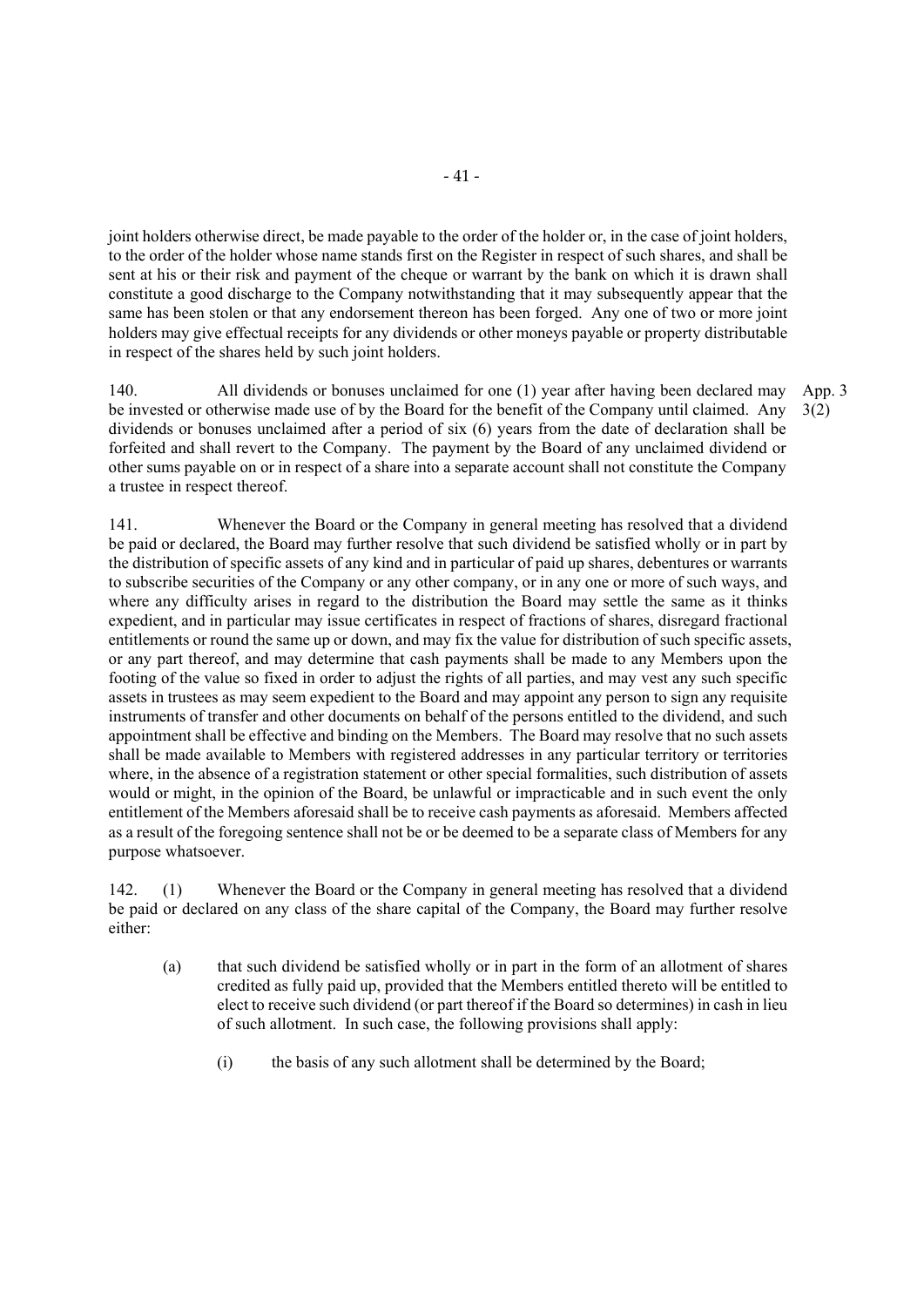joint holders otherwise direct, be made payable to the order of the holder or, in the case of joint holders, to the order of the holder whose name stands first on the Register in respect of such shares, and shall be sent at his or their risk and payment of the cheque or warrant by the bank on which it is drawn shall constitute a good discharge to the Company notwithstanding that it may subsequently appear that the same has been stolen or that any endorsement thereon has been forged. Any one of two or more joint holders may give effectual receipts for any dividends or other moneys payable or property distributable in respect of the shares held by such joint holders.

140. All dividends or bonuses unclaimed for one (1) year after having been declared may be invested or otherwise made use of by the Board for the benefit of the Company until claimed. Any dividends or bonuses unclaimed after a period of six (6) years from the date of declaration shall be forfeited and shall revert to the Company. The payment by the Board of any unclaimed dividend or other sums payable on or in respect of a share into a separate account shall not constitute the Company a trustee in respect thereof. App. 3 3(2)

141. Whenever the Board or the Company in general meeting has resolved that a dividend be paid or declared, the Board may further resolve that such dividend be satisfied wholly or in part by the distribution of specific assets of any kind and in particular of paid up shares, debentures or warrants to subscribe securities of the Company or any other company, or in any one or more of such ways, and where any difficulty arises in regard to the distribution the Board may settle the same as it thinks expedient, and in particular may issue certificates in respect of fractions of shares, disregard fractional entitlements or round the same up or down, and may fix the value for distribution of such specific assets, or any part thereof, and may determine that cash payments shall be made to any Members upon the footing of the value so fixed in order to adjust the rights of all parties, and may vest any such specific assets in trustees as may seem expedient to the Board and may appoint any person to sign any requisite instruments of transfer and other documents on behalf of the persons entitled to the dividend, and such appointment shall be effective and binding on the Members. The Board may resolve that no such assets shall be made available to Members with registered addresses in any particular territory or territories where, in the absence of a registration statement or other special formalities, such distribution of assets would or might, in the opinion of the Board, be unlawful or impracticable and in such event the only entitlement of the Members aforesaid shall be to receive cash payments as aforesaid. Members affected as a result of the foregoing sentence shall not be or be deemed to be a separate class of Members for any purpose whatsoever.

142. (1) Whenever the Board or the Company in general meeting has resolved that a dividend be paid or declared on any class of the share capital of the Company, the Board may further resolve either:

- (a) that such dividend be satisfied wholly or in part in the form of an allotment of shares credited as fully paid up, provided that the Members entitled thereto will be entitled to elect to receive such dividend (or part thereof if the Board so determines) in cash in lieu of such allotment. In such case, the following provisions shall apply:
	- (i) the basis of any such allotment shall be determined by the Board;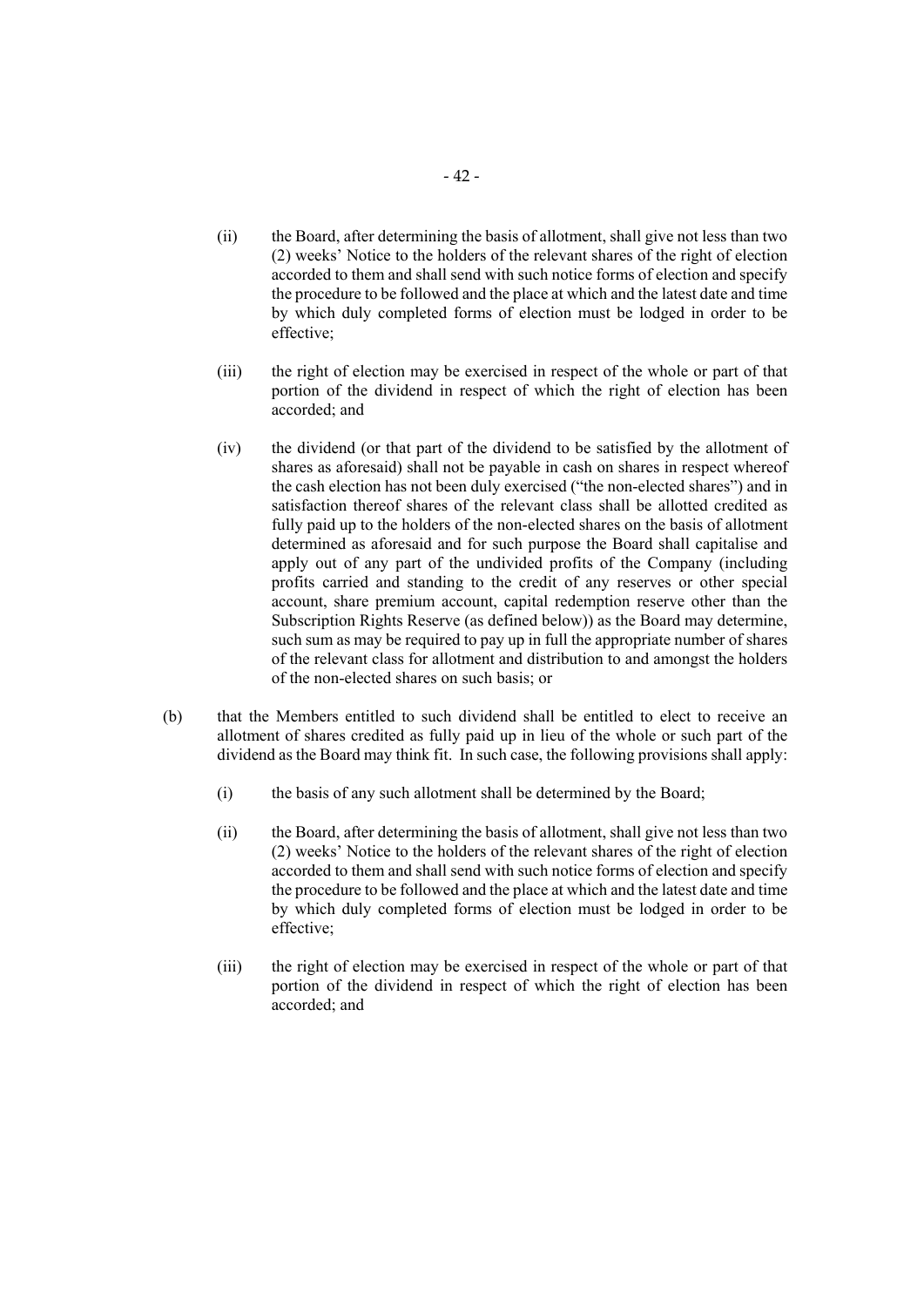- (ii) the Board, after determining the basis of allotment, shall give not less than two (2) weeks' Notice to the holders of the relevant shares of the right of election accorded to them and shall send with such notice forms of election and specify the procedure to be followed and the place at which and the latest date and time by which duly completed forms of election must be lodged in order to be effective;
- (iii) the right of election may be exercised in respect of the whole or part of that portion of the dividend in respect of which the right of election has been accorded; and
- (iv) the dividend (or that part of the dividend to be satisfied by the allotment of shares as aforesaid) shall not be payable in cash on shares in respect whereof the cash election has not been duly exercised ("the non-elected shares") and in satisfaction thereof shares of the relevant class shall be allotted credited as fully paid up to the holders of the non-elected shares on the basis of allotment determined as aforesaid and for such purpose the Board shall capitalise and apply out of any part of the undivided profits of the Company (including profits carried and standing to the credit of any reserves or other special account, share premium account, capital redemption reserve other than the Subscription Rights Reserve (as defined below)) as the Board may determine, such sum as may be required to pay up in full the appropriate number of shares of the relevant class for allotment and distribution to and amongst the holders of the non-elected shares on such basis; or
- (b) that the Members entitled to such dividend shall be entitled to elect to receive an allotment of shares credited as fully paid up in lieu of the whole or such part of the dividend as the Board may think fit. In such case, the following provisions shall apply:
	- (i) the basis of any such allotment shall be determined by the Board;
	- (ii) the Board, after determining the basis of allotment, shall give not less than two (2) weeks' Notice to the holders of the relevant shares of the right of election accorded to them and shall send with such notice forms of election and specify the procedure to be followed and the place at which and the latest date and time by which duly completed forms of election must be lodged in order to be effective;
	- (iii) the right of election may be exercised in respect of the whole or part of that portion of the dividend in respect of which the right of election has been accorded; and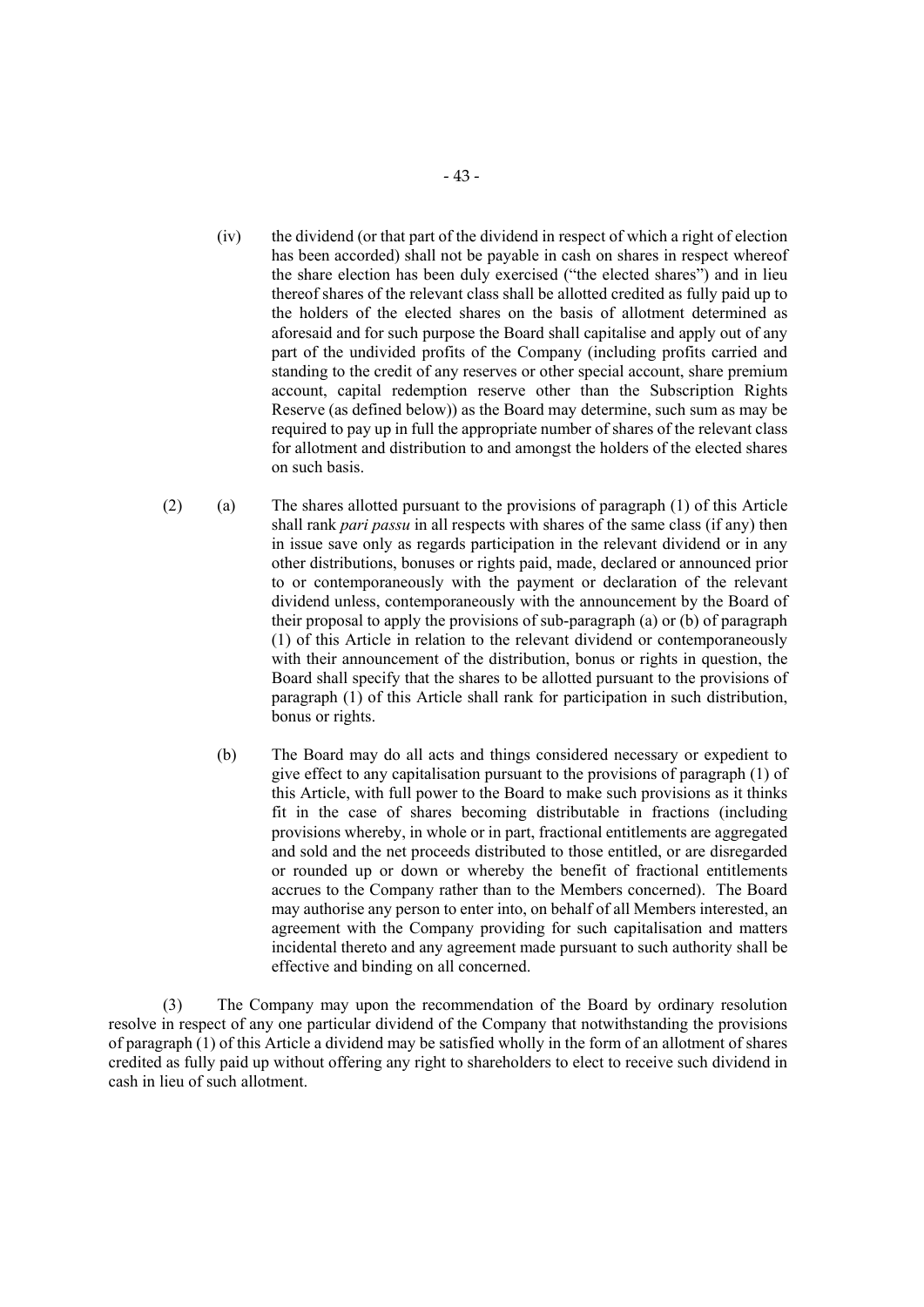- (iv) the dividend (or that part of the dividend in respect of which a right of election has been accorded) shall not be payable in cash on shares in respect whereof the share election has been duly exercised ("the elected shares") and in lieu thereof shares of the relevant class shall be allotted credited as fully paid up to the holders of the elected shares on the basis of allotment determined as aforesaid and for such purpose the Board shall capitalise and apply out of any part of the undivided profits of the Company (including profits carried and standing to the credit of any reserves or other special account, share premium account, capital redemption reserve other than the Subscription Rights Reserve (as defined below)) as the Board may determine, such sum as may be required to pay up in full the appropriate number of shares of the relevant class for allotment and distribution to and amongst the holders of the elected shares on such basis.
- (2) (a) The shares allotted pursuant to the provisions of paragraph (1) of this Article shall rank *pari passu* in all respects with shares of the same class (if any) then in issue save only as regards participation in the relevant dividend or in any other distributions, bonuses or rights paid, made, declared or announced prior to or contemporaneously with the payment or declaration of the relevant dividend unless, contemporaneously with the announcement by the Board of their proposal to apply the provisions of sub-paragraph (a) or (b) of paragraph (1) of this Article in relation to the relevant dividend or contemporaneously with their announcement of the distribution, bonus or rights in question, the Board shall specify that the shares to be allotted pursuant to the provisions of paragraph (1) of this Article shall rank for participation in such distribution, bonus or rights.
	- (b) The Board may do all acts and things considered necessary or expedient to give effect to any capitalisation pursuant to the provisions of paragraph (1) of this Article, with full power to the Board to make such provisions as it thinks fit in the case of shares becoming distributable in fractions (including provisions whereby, in whole or in part, fractional entitlements are aggregated and sold and the net proceeds distributed to those entitled, or are disregarded or rounded up or down or whereby the benefit of fractional entitlements accrues to the Company rather than to the Members concerned). The Board may authorise any person to enter into, on behalf of all Members interested, an agreement with the Company providing for such capitalisation and matters incidental thereto and any agreement made pursuant to such authority shall be effective and binding on all concerned.

(3) The Company may upon the recommendation of the Board by ordinary resolution resolve in respect of any one particular dividend of the Company that notwithstanding the provisions of paragraph (1) of this Article a dividend may be satisfied wholly in the form of an allotment of shares credited as fully paid up without offering any right to shareholders to elect to receive such dividend in cash in lieu of such allotment.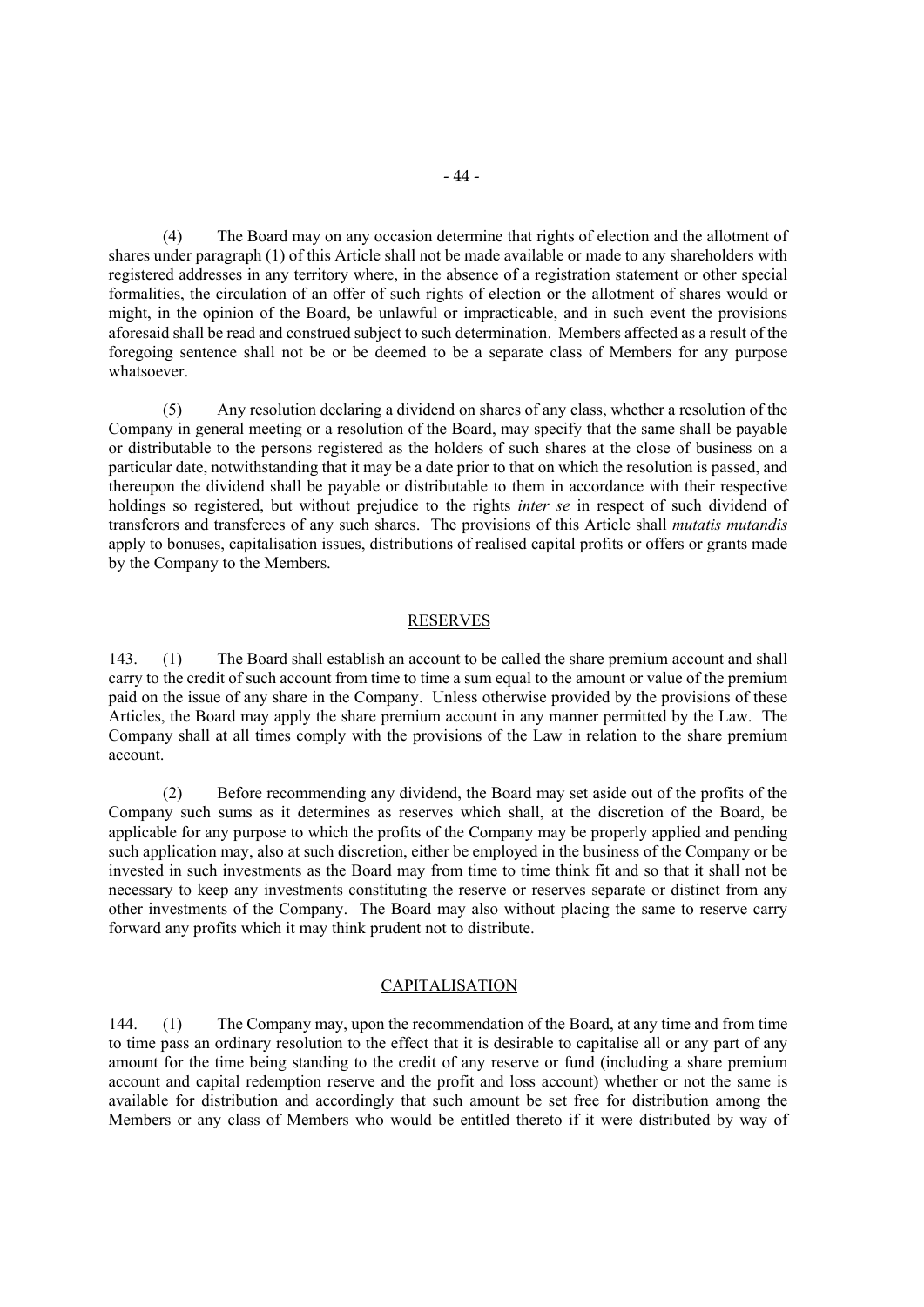(4) The Board may on any occasion determine that rights of election and the allotment of shares under paragraph (1) of this Article shall not be made available or made to any shareholders with registered addresses in any territory where, in the absence of a registration statement or other special formalities, the circulation of an offer of such rights of election or the allotment of shares would or might, in the opinion of the Board, be unlawful or impracticable, and in such event the provisions aforesaid shall be read and construed subject to such determination. Members affected as a result of the foregoing sentence shall not be or be deemed to be a separate class of Members for any purpose whatsoever.

(5) Any resolution declaring a dividend on shares of any class, whether a resolution of the Company in general meeting or a resolution of the Board, may specify that the same shall be payable or distributable to the persons registered as the holders of such shares at the close of business on a particular date, notwithstanding that it may be a date prior to that on which the resolution is passed, and thereupon the dividend shall be payable or distributable to them in accordance with their respective holdings so registered, but without prejudice to the rights *inter se* in respect of such dividend of transferors and transferees of any such shares. The provisions of this Article shall *mutatis mutandis* apply to bonuses, capitalisation issues, distributions of realised capital profits or offers or grants made by the Company to the Members.

### RESERVES

143. (1) The Board shall establish an account to be called the share premium account and shall carry to the credit of such account from time to time a sum equal to the amount or value of the premium paid on the issue of any share in the Company. Unless otherwise provided by the provisions of these Articles, the Board may apply the share premium account in any manner permitted by the Law. The Company shall at all times comply with the provisions of the Law in relation to the share premium account.

(2) Before recommending any dividend, the Board may set aside out of the profits of the Company such sums as it determines as reserves which shall, at the discretion of the Board, be applicable for any purpose to which the profits of the Company may be properly applied and pending such application may, also at such discretion, either be employed in the business of the Company or be invested in such investments as the Board may from time to time think fit and so that it shall not be necessary to keep any investments constituting the reserve or reserves separate or distinct from any other investments of the Company. The Board may also without placing the same to reserve carry forward any profits which it may think prudent not to distribute.

#### CAPITALISATION

144. (1) The Company may, upon the recommendation of the Board, at any time and from time to time pass an ordinary resolution to the effect that it is desirable to capitalise all or any part of any amount for the time being standing to the credit of any reserve or fund (including a share premium account and capital redemption reserve and the profit and loss account) whether or not the same is available for distribution and accordingly that such amount be set free for distribution among the Members or any class of Members who would be entitled thereto if it were distributed by way of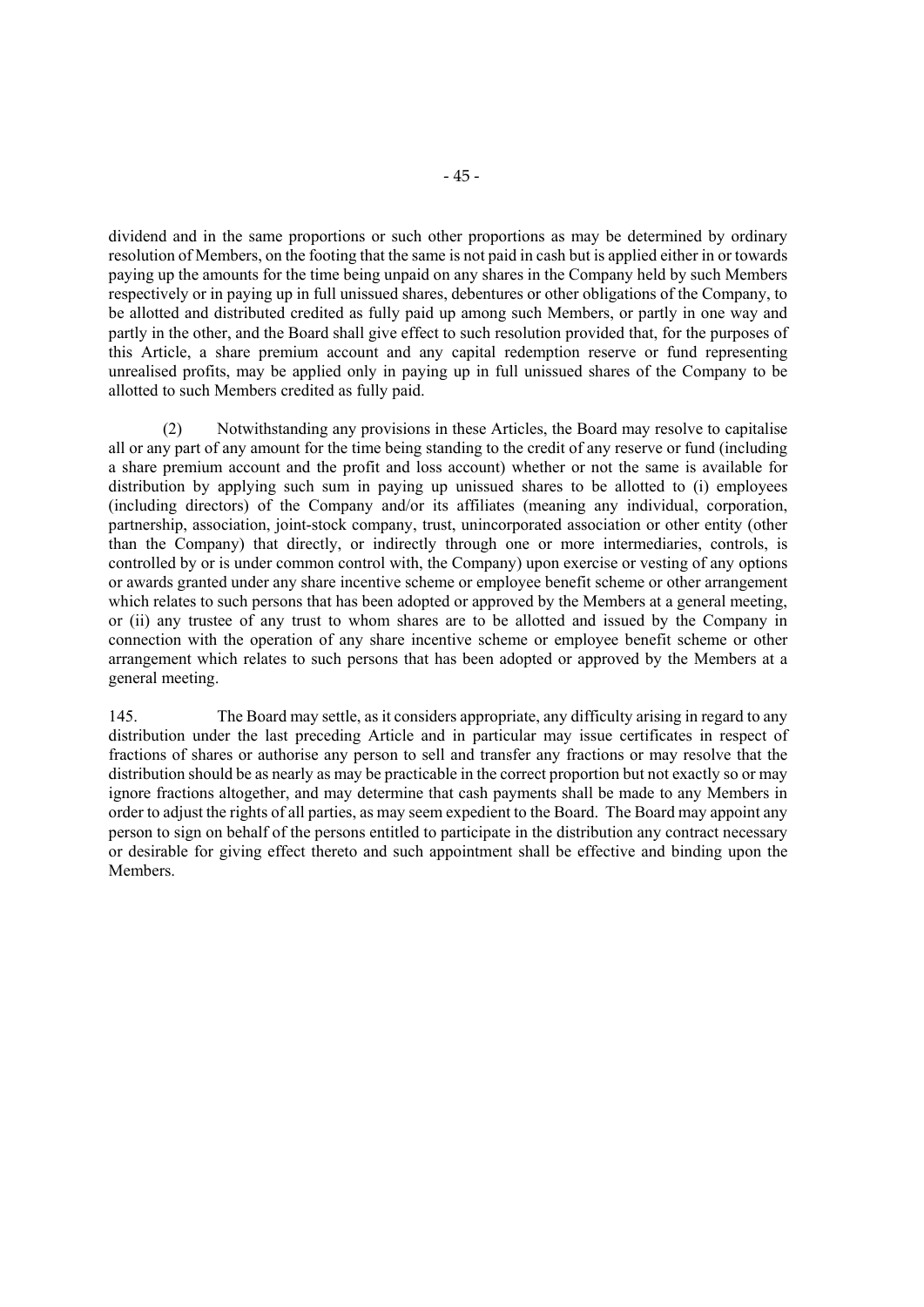dividend and in the same proportions or such other proportions as may be determined by ordinary resolution of Members, on the footing that the same is not paid in cash but is applied either in or towards paying up the amounts for the time being unpaid on any shares in the Company held by such Members respectively or in paying up in full unissued shares, debentures or other obligations of the Company, to be allotted and distributed credited as fully paid up among such Members, or partly in one way and partly in the other, and the Board shall give effect to such resolution provided that, for the purposes of this Article, a share premium account and any capital redemption reserve or fund representing unrealised profits, may be applied only in paying up in full unissued shares of the Company to be allotted to such Members credited as fully paid.

 (2) Notwithstanding any provisions in these Articles, the Board may resolve to capitalise all or any part of any amount for the time being standing to the credit of any reserve or fund (including a share premium account and the profit and loss account) whether or not the same is available for distribution by applying such sum in paying up unissued shares to be allotted to (i) employees (including directors) of the Company and/or its affiliates (meaning any individual, corporation, partnership, association, joint-stock company, trust, unincorporated association or other entity (other than the Company) that directly, or indirectly through one or more intermediaries, controls, is controlled by or is under common control with, the Company) upon exercise or vesting of any options or awards granted under any share incentive scheme or employee benefit scheme or other arrangement which relates to such persons that has been adopted or approved by the Members at a general meeting, or (ii) any trustee of any trust to whom shares are to be allotted and issued by the Company in connection with the operation of any share incentive scheme or employee benefit scheme or other arrangement which relates to such persons that has been adopted or approved by the Members at a general meeting.

145. The Board may settle, as it considers appropriate, any difficulty arising in regard to any distribution under the last preceding Article and in particular may issue certificates in respect of fractions of shares or authorise any person to sell and transfer any fractions or may resolve that the distribution should be as nearly as may be practicable in the correct proportion but not exactly so or may ignore fractions altogether, and may determine that cash payments shall be made to any Members in order to adjust the rights of all parties, as may seem expedient to the Board. The Board may appoint any person to sign on behalf of the persons entitled to participate in the distribution any contract necessary or desirable for giving effect thereto and such appointment shall be effective and binding upon the Members.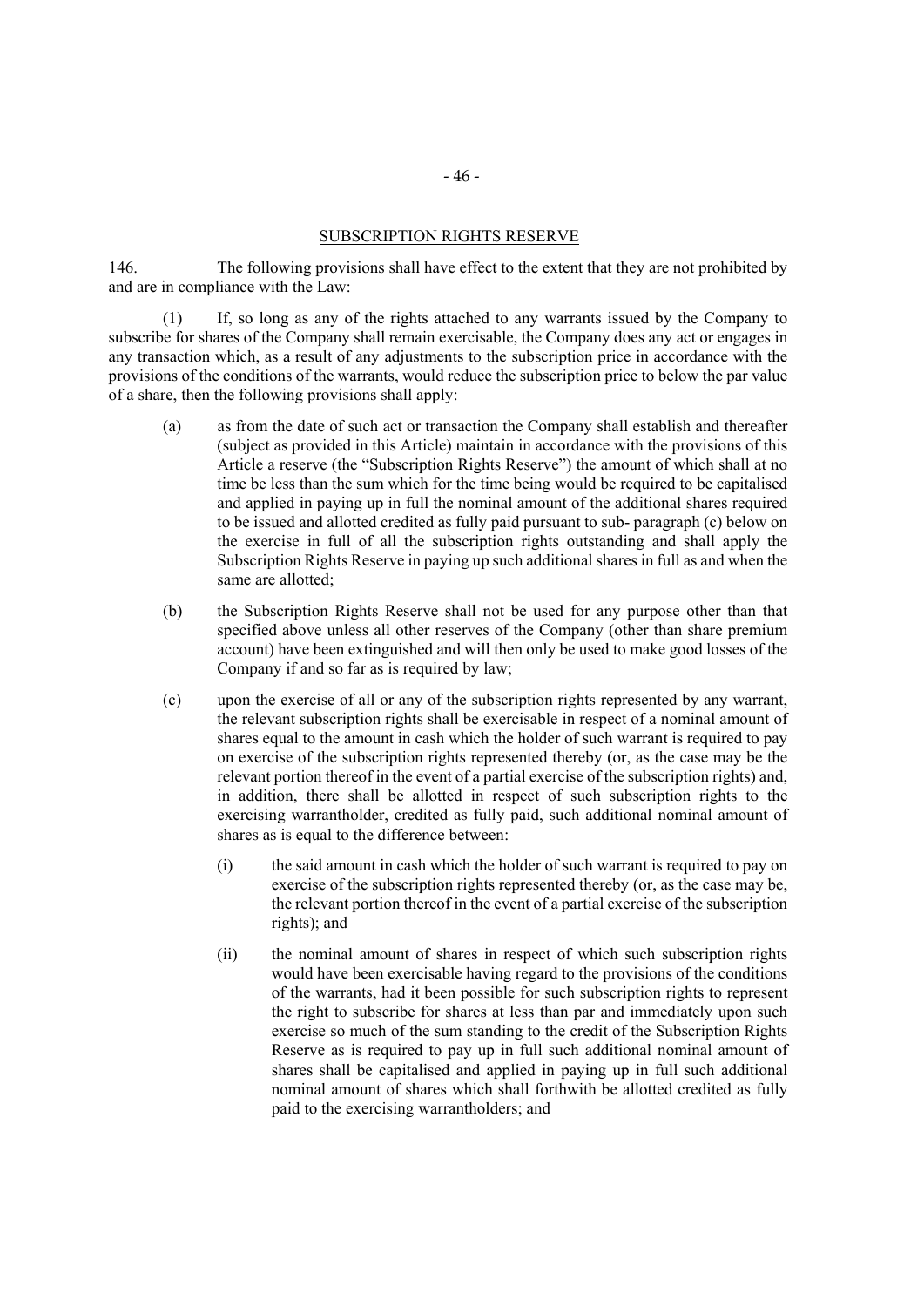#### SUBSCRIPTION RIGHTS RESERVE

146. The following provisions shall have effect to the extent that they are not prohibited by and are in compliance with the Law:

(1) If, so long as any of the rights attached to any warrants issued by the Company to subscribe for shares of the Company shall remain exercisable, the Company does any act or engages in any transaction which, as a result of any adjustments to the subscription price in accordance with the provisions of the conditions of the warrants, would reduce the subscription price to below the par value of a share, then the following provisions shall apply:

- (a) as from the date of such act or transaction the Company shall establish and thereafter (subject as provided in this Article) maintain in accordance with the provisions of this Article a reserve (the "Subscription Rights Reserve") the amount of which shall at no time be less than the sum which for the time being would be required to be capitalised and applied in paying up in full the nominal amount of the additional shares required to be issued and allotted credited as fully paid pursuant to sub- paragraph (c) below on the exercise in full of all the subscription rights outstanding and shall apply the Subscription Rights Reserve in paying up such additional shares in full as and when the same are allotted;
- (b) the Subscription Rights Reserve shall not be used for any purpose other than that specified above unless all other reserves of the Company (other than share premium account) have been extinguished and will then only be used to make good losses of the Company if and so far as is required by law;
- (c) upon the exercise of all or any of the subscription rights represented by any warrant, the relevant subscription rights shall be exercisable in respect of a nominal amount of shares equal to the amount in cash which the holder of such warrant is required to pay on exercise of the subscription rights represented thereby (or, as the case may be the relevant portion thereof in the event of a partial exercise of the subscription rights) and, in addition, there shall be allotted in respect of such subscription rights to the exercising warrantholder, credited as fully paid, such additional nominal amount of shares as is equal to the difference between:
	- (i) the said amount in cash which the holder of such warrant is required to pay on exercise of the subscription rights represented thereby (or, as the case may be, the relevant portion thereof in the event of a partial exercise of the subscription rights); and
	- (ii) the nominal amount of shares in respect of which such subscription rights would have been exercisable having regard to the provisions of the conditions of the warrants, had it been possible for such subscription rights to represent the right to subscribe for shares at less than par and immediately upon such exercise so much of the sum standing to the credit of the Subscription Rights Reserve as is required to pay up in full such additional nominal amount of shares shall be capitalised and applied in paying up in full such additional nominal amount of shares which shall forthwith be allotted credited as fully paid to the exercising warrantholders; and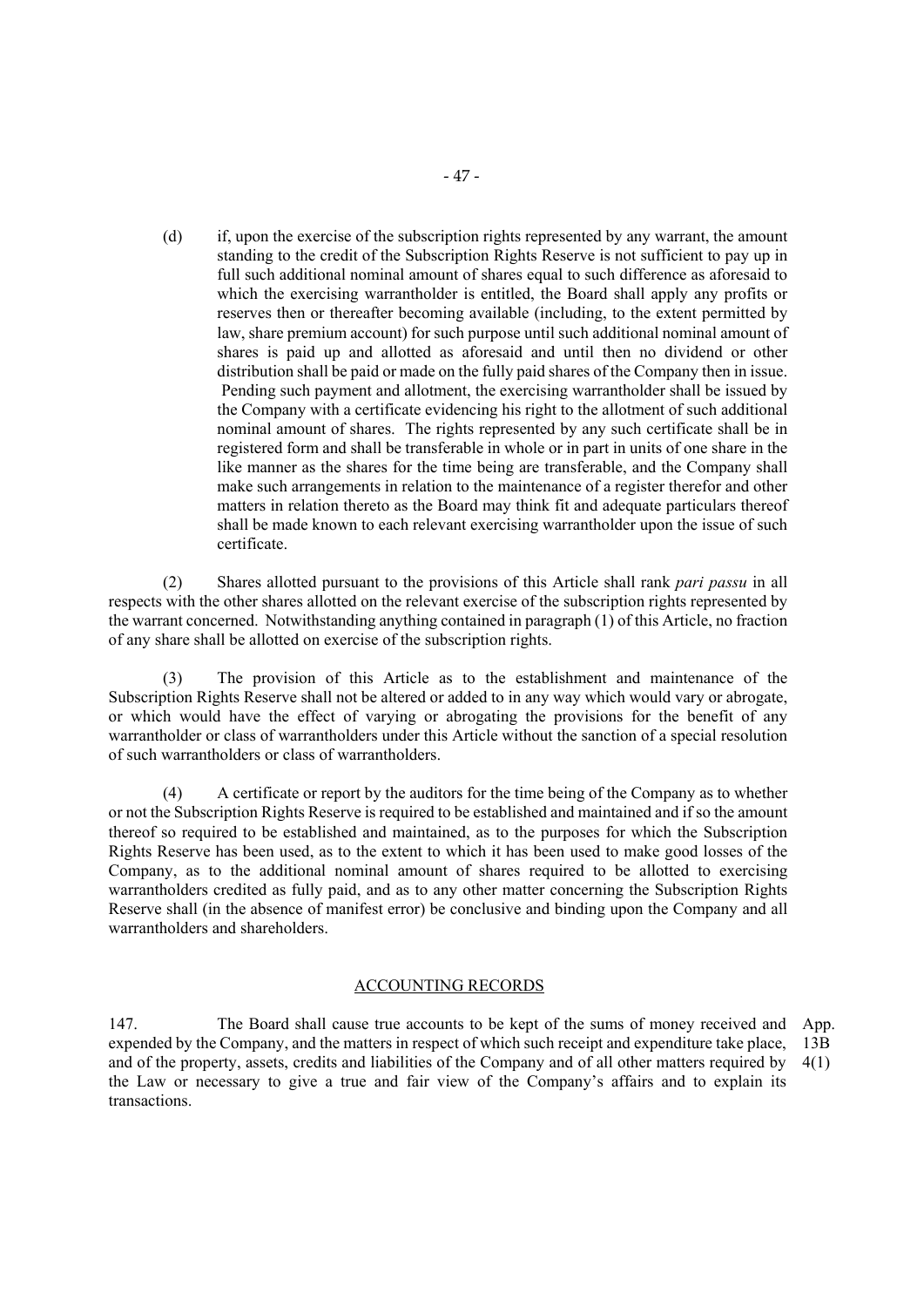(d) if, upon the exercise of the subscription rights represented by any warrant, the amount standing to the credit of the Subscription Rights Reserve is not sufficient to pay up in full such additional nominal amount of shares equal to such difference as aforesaid to which the exercising warrantholder is entitled, the Board shall apply any profits or reserves then or thereafter becoming available (including, to the extent permitted by law, share premium account) for such purpose until such additional nominal amount of shares is paid up and allotted as aforesaid and until then no dividend or other distribution shall be paid or made on the fully paid shares of the Company then in issue. Pending such payment and allotment, the exercising warrantholder shall be issued by the Company with a certificate evidencing his right to the allotment of such additional nominal amount of shares. The rights represented by any such certificate shall be in registered form and shall be transferable in whole or in part in units of one share in the like manner as the shares for the time being are transferable, and the Company shall make such arrangements in relation to the maintenance of a register therefor and other matters in relation thereto as the Board may think fit and adequate particulars thereof shall be made known to each relevant exercising warrantholder upon the issue of such certificate.

(2) Shares allotted pursuant to the provisions of this Article shall rank *pari passu* in all respects with the other shares allotted on the relevant exercise of the subscription rights represented by the warrant concerned. Notwithstanding anything contained in paragraph (1) of this Article, no fraction of any share shall be allotted on exercise of the subscription rights.

(3) The provision of this Article as to the establishment and maintenance of the Subscription Rights Reserve shall not be altered or added to in any way which would vary or abrogate, or which would have the effect of varying or abrogating the provisions for the benefit of any warrantholder or class of warrantholders under this Article without the sanction of a special resolution of such warrantholders or class of warrantholders.

(4) A certificate or report by the auditors for the time being of the Company as to whether or not the Subscription Rights Reserve is required to be established and maintained and if so the amount thereof so required to be established and maintained, as to the purposes for which the Subscription Rights Reserve has been used, as to the extent to which it has been used to make good losses of the Company, as to the additional nominal amount of shares required to be allotted to exercising warrantholders credited as fully paid, and as to any other matter concerning the Subscription Rights Reserve shall (in the absence of manifest error) be conclusive and binding upon the Company and all warrantholders and shareholders.

#### ACCOUNTING RECORDS

147. The Board shall cause true accounts to be kept of the sums of money received and expended by the Company, and the matters in respect of which such receipt and expenditure take place, and of the property, assets, credits and liabilities of the Company and of all other matters required by the Law or necessary to give a true and fair view of the Company's affairs and to explain its transactions. App. 13B 4(1)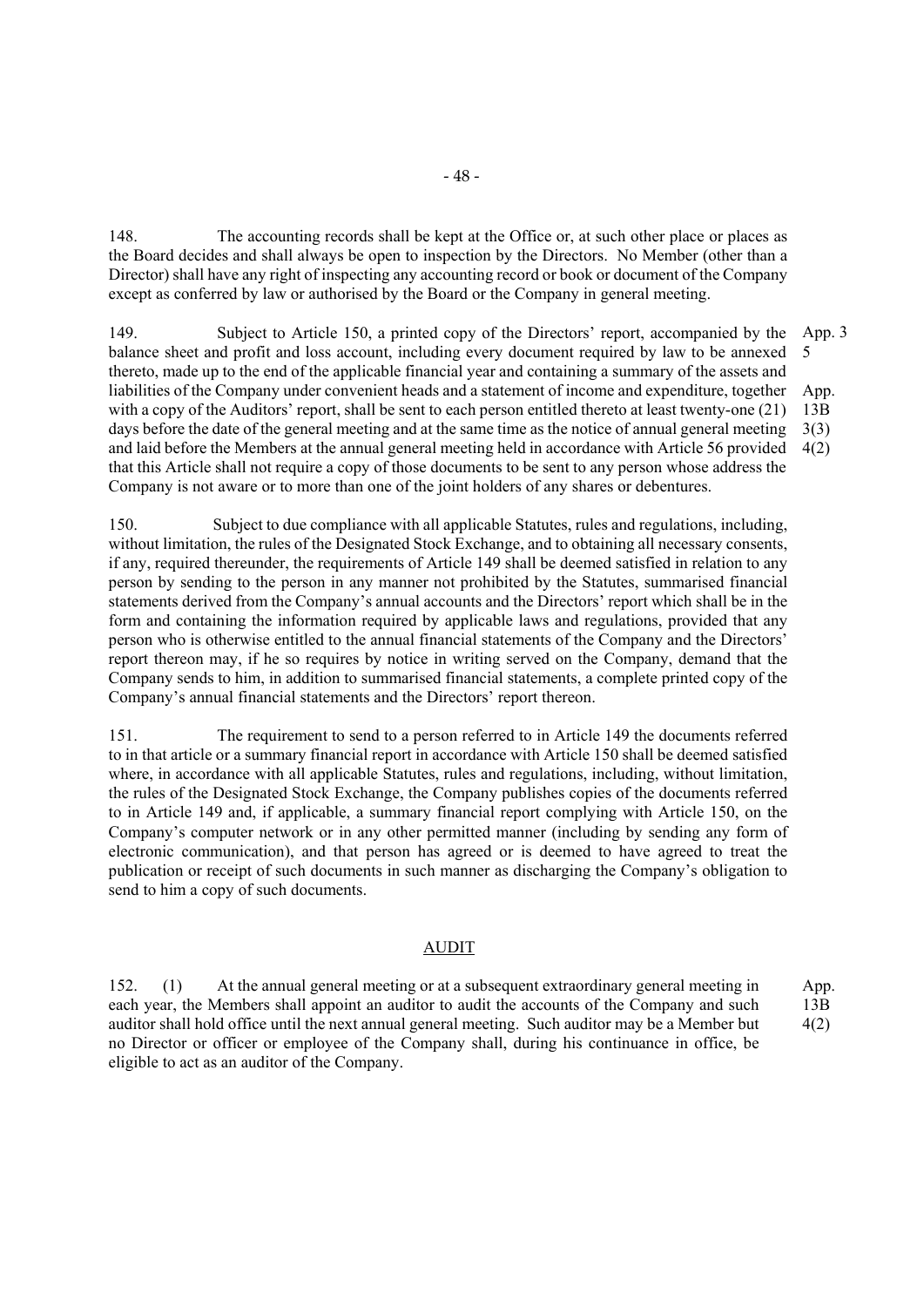148. The accounting records shall be kept at the Office or, at such other place or places as the Board decides and shall always be open to inspection by the Directors. No Member (other than a Director) shall have any right of inspecting any accounting record or book or document of the Company except as conferred by law or authorised by the Board or the Company in general meeting.

149. Subject to Article 150, a printed copy of the Directors' report, accompanied by the balance sheet and profit and loss account, including every document required by law to be annexed thereto, made up to the end of the applicable financial year and containing a summary of the assets and liabilities of the Company under convenient heads and a statement of income and expenditure, together with a copy of the Auditors' report, shall be sent to each person entitled thereto at least twenty-one (21) days before the date of the general meeting and at the same time as the notice of annual general meeting and laid before the Members at the annual general meeting held in accordance with Article 56 provided that this Article shall not require a copy of those documents to be sent to any person whose address the Company is not aware or to more than one of the joint holders of any shares or debentures. App. 3 5 App. 13B 3(3) 4(2)

150. Subject to due compliance with all applicable Statutes, rules and regulations, including, without limitation, the rules of the Designated Stock Exchange, and to obtaining all necessary consents, if any, required thereunder, the requirements of Article 149 shall be deemed satisfied in relation to any person by sending to the person in any manner not prohibited by the Statutes, summarised financial statements derived from the Company's annual accounts and the Directors' report which shall be in the form and containing the information required by applicable laws and regulations, provided that any person who is otherwise entitled to the annual financial statements of the Company and the Directors' report thereon may, if he so requires by notice in writing served on the Company, demand that the Company sends to him, in addition to summarised financial statements, a complete printed copy of the Company's annual financial statements and the Directors' report thereon.

151. The requirement to send to a person referred to in Article 149 the documents referred to in that article or a summary financial report in accordance with Article 150 shall be deemed satisfied where, in accordance with all applicable Statutes, rules and regulations, including, without limitation, the rules of the Designated Stock Exchange, the Company publishes copies of the documents referred to in Article 149 and, if applicable, a summary financial report complying with Article 150, on the Company's computer network or in any other permitted manner (including by sending any form of electronic communication), and that person has agreed or is deemed to have agreed to treat the publication or receipt of such documents in such manner as discharging the Company's obligation to send to him a copy of such documents.

# AUDIT

152. (1) At the annual general meeting or at a subsequent extraordinary general meeting in each year, the Members shall appoint an auditor to audit the accounts of the Company and such auditor shall hold office until the next annual general meeting. Such auditor may be a Member but no Director or officer or employee of the Company shall, during his continuance in office, be eligible to act as an auditor of the Company. App. 13B 4(2)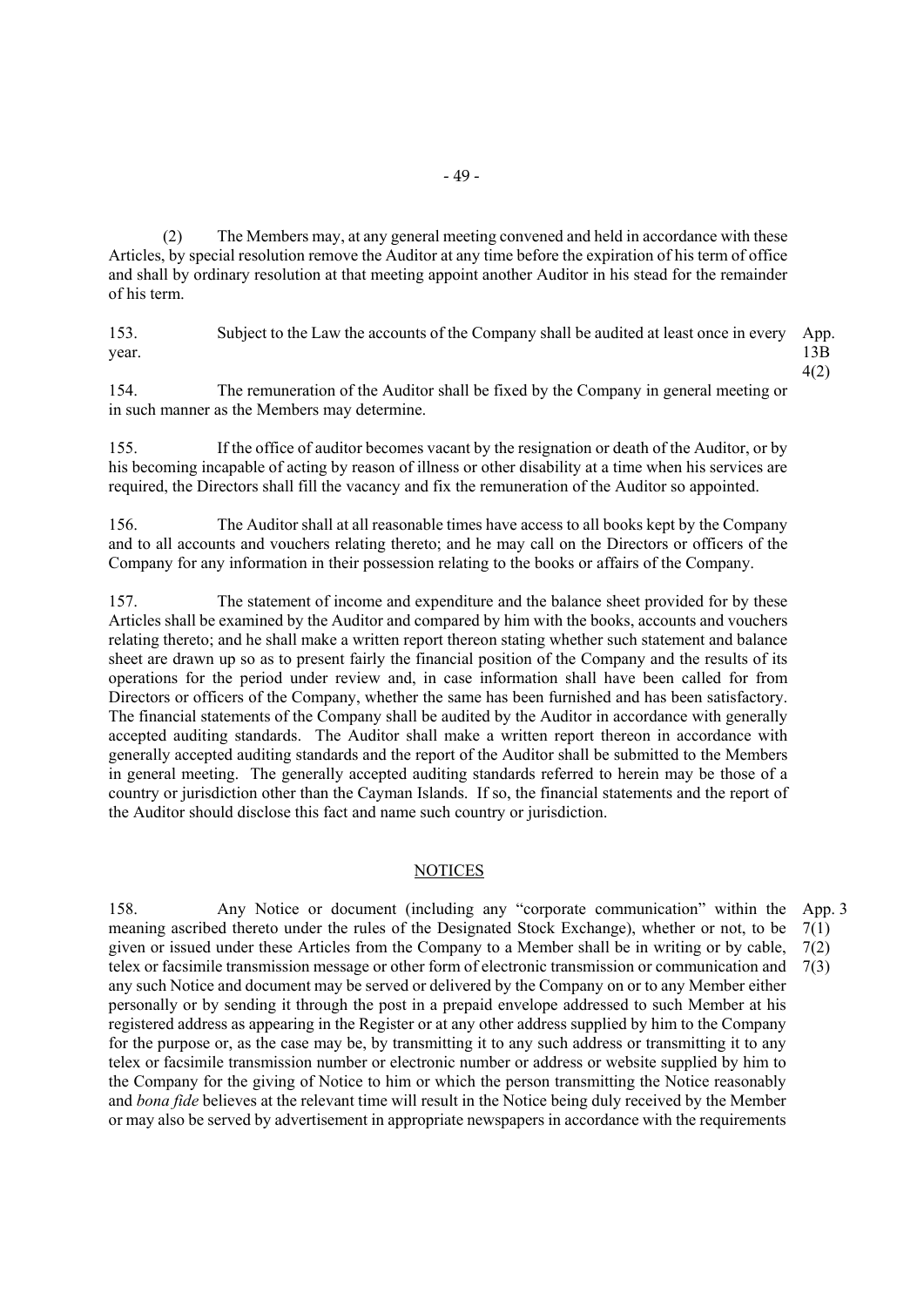(2) The Members may, at any general meeting convened and held in accordance with these Articles, by special resolution remove the Auditor at any time before the expiration of his term of office and shall by ordinary resolution at that meeting appoint another Auditor in his stead for the remainder of his term.

153. Subject to the Law the accounts of the Company shall be audited at least once in every year. App. 13B

4(2)

154. The remuneration of the Auditor shall be fixed by the Company in general meeting or in such manner as the Members may determine.

155. If the office of auditor becomes vacant by the resignation or death of the Auditor, or by his becoming incapable of acting by reason of illness or other disability at a time when his services are required, the Directors shall fill the vacancy and fix the remuneration of the Auditor so appointed.

156. The Auditor shall at all reasonable times have access to all books kept by the Company and to all accounts and vouchers relating thereto; and he may call on the Directors or officers of the Company for any information in their possession relating to the books or affairs of the Company.

157. The statement of income and expenditure and the balance sheet provided for by these Articles shall be examined by the Auditor and compared by him with the books, accounts and vouchers relating thereto; and he shall make a written report thereon stating whether such statement and balance sheet are drawn up so as to present fairly the financial position of the Company and the results of its operations for the period under review and, in case information shall have been called for from Directors or officers of the Company, whether the same has been furnished and has been satisfactory. The financial statements of the Company shall be audited by the Auditor in accordance with generally accepted auditing standards. The Auditor shall make a written report thereon in accordance with generally accepted auditing standards and the report of the Auditor shall be submitted to the Members in general meeting. The generally accepted auditing standards referred to herein may be those of a country or jurisdiction other than the Cayman Islands. If so, the financial statements and the report of the Auditor should disclose this fact and name such country or jurisdiction.

#### NOTICES

158. Any Notice or document (including any "corporate communication" within the App. 3 meaning ascribed thereto under the rules of the Designated Stock Exchange), whether or not, to be given or issued under these Articles from the Company to a Member shall be in writing or by cable, telex or facsimile transmission message or other form of electronic transmission or communication and any such Notice and document may be served or delivered by the Company on or to any Member either personally or by sending it through the post in a prepaid envelope addressed to such Member at his registered address as appearing in the Register or at any other address supplied by him to the Company for the purpose or, as the case may be, by transmitting it to any such address or transmitting it to any telex or facsimile transmission number or electronic number or address or website supplied by him to the Company for the giving of Notice to him or which the person transmitting the Notice reasonably and *bona fide* believes at the relevant time will result in the Notice being duly received by the Member or may also be served by advertisement in appropriate newspapers in accordance with the requirements 7(1) 7(2) 7(3)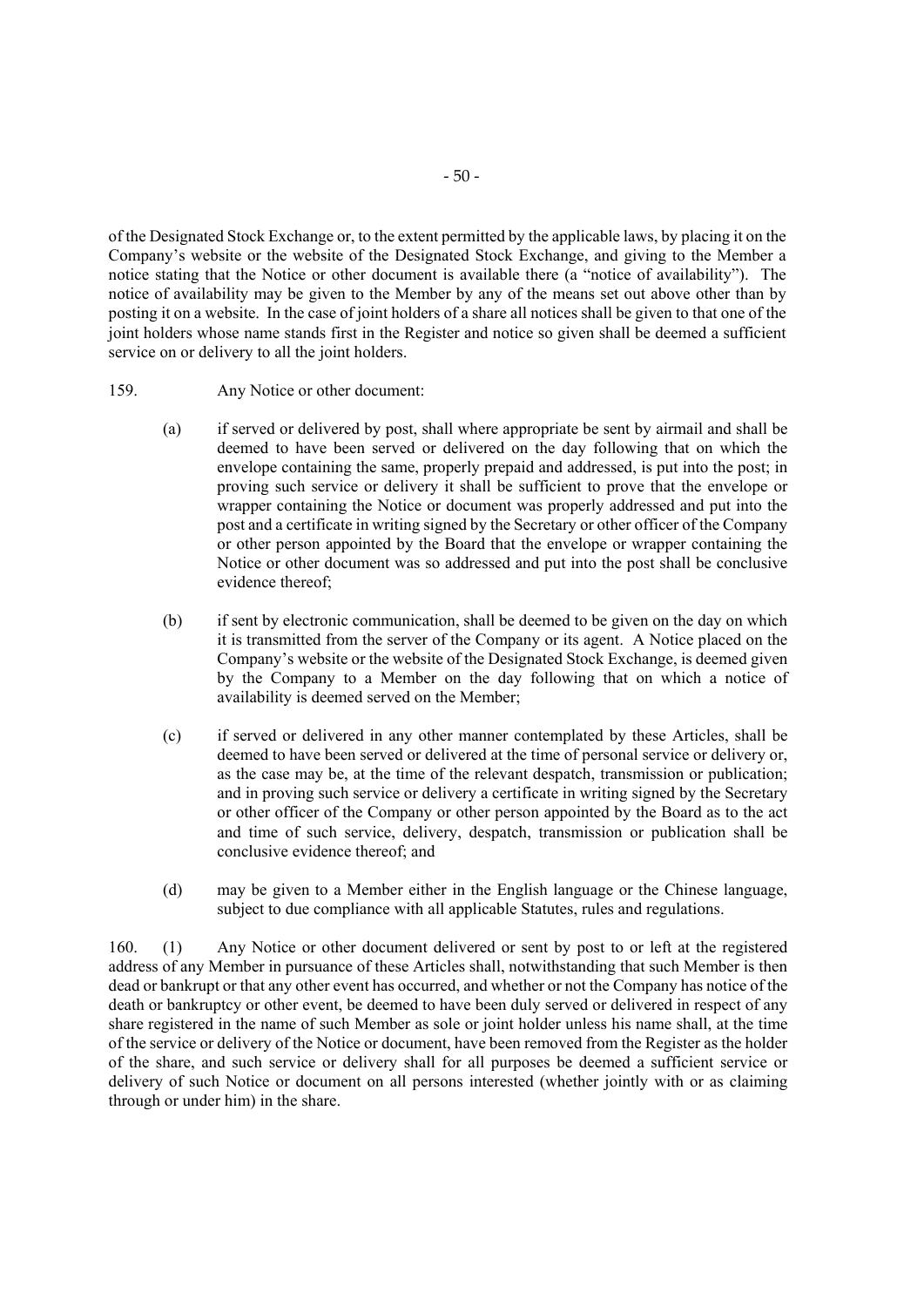of the Designated Stock Exchange or, to the extent permitted by the applicable laws, by placing it on the Company's website or the website of the Designated Stock Exchange, and giving to the Member a notice stating that the Notice or other document is available there (a "notice of availability"). The notice of availability may be given to the Member by any of the means set out above other than by posting it on a website. In the case of joint holders of a share all notices shall be given to that one of the joint holders whose name stands first in the Register and notice so given shall be deemed a sufficient service on or delivery to all the joint holders.

- 159. Any Notice or other document:
	- (a) if served or delivered by post, shall where appropriate be sent by airmail and shall be deemed to have been served or delivered on the day following that on which the envelope containing the same, properly prepaid and addressed, is put into the post; in proving such service or delivery it shall be sufficient to prove that the envelope or wrapper containing the Notice or document was properly addressed and put into the post and a certificate in writing signed by the Secretary or other officer of the Company or other person appointed by the Board that the envelope or wrapper containing the Notice or other document was so addressed and put into the post shall be conclusive evidence thereof;
	- (b) if sent by electronic communication, shall be deemed to be given on the day on which it is transmitted from the server of the Company or its agent. A Notice placed on the Company's website or the website of the Designated Stock Exchange, is deemed given by the Company to a Member on the day following that on which a notice of availability is deemed served on the Member;
	- (c) if served or delivered in any other manner contemplated by these Articles, shall be deemed to have been served or delivered at the time of personal service or delivery or, as the case may be, at the time of the relevant despatch, transmission or publication; and in proving such service or delivery a certificate in writing signed by the Secretary or other officer of the Company or other person appointed by the Board as to the act and time of such service, delivery, despatch, transmission or publication shall be conclusive evidence thereof; and
	- (d) may be given to a Member either in the English language or the Chinese language, subject to due compliance with all applicable Statutes, rules and regulations.

160. (1) Any Notice or other document delivered or sent by post to or left at the registered address of any Member in pursuance of these Articles shall, notwithstanding that such Member is then dead or bankrupt or that any other event has occurred, and whether or not the Company has notice of the death or bankruptcy or other event, be deemed to have been duly served or delivered in respect of any share registered in the name of such Member as sole or joint holder unless his name shall, at the time of the service or delivery of the Notice or document, have been removed from the Register as the holder of the share, and such service or delivery shall for all purposes be deemed a sufficient service or delivery of such Notice or document on all persons interested (whether jointly with or as claiming through or under him) in the share.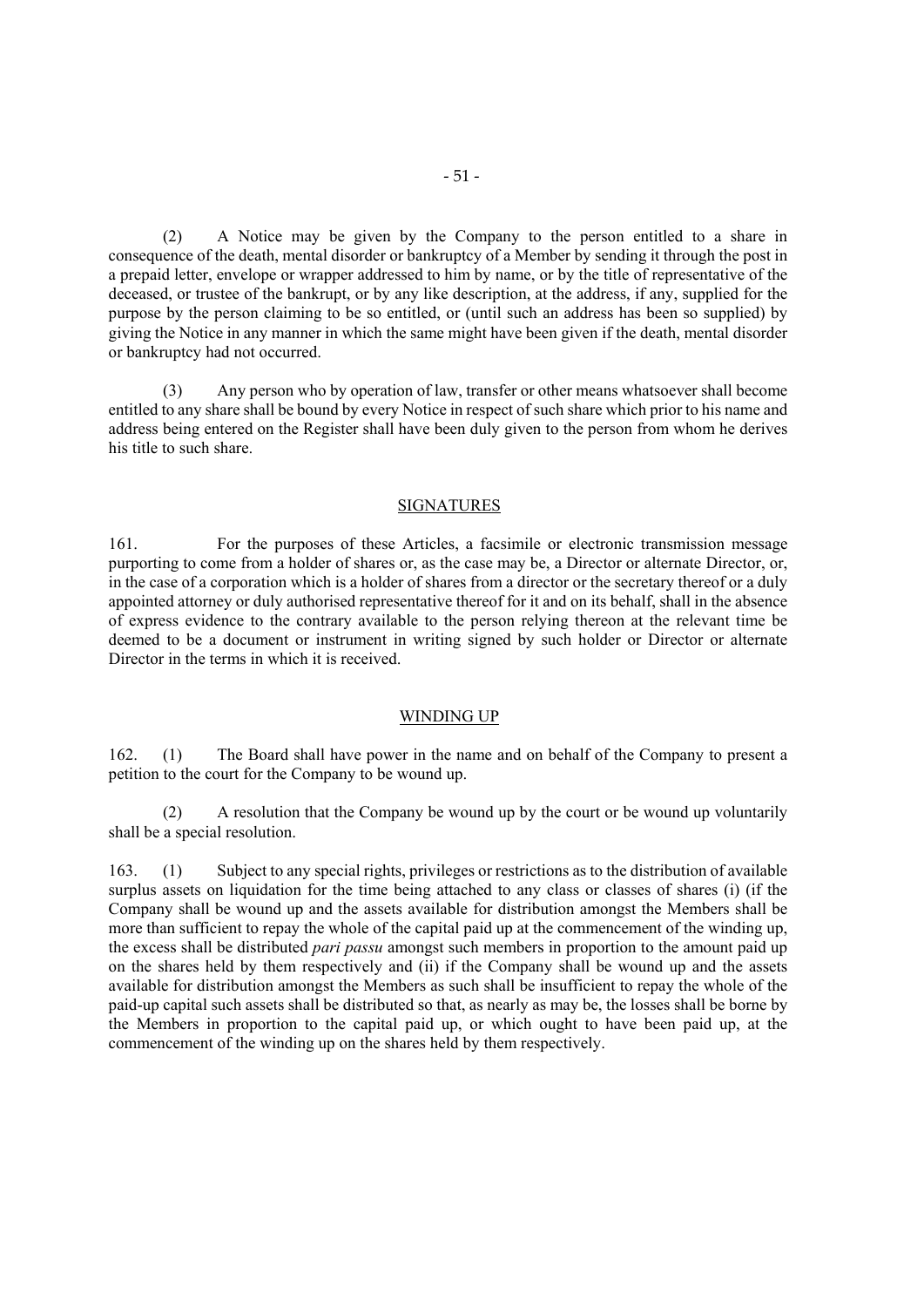(2) A Notice may be given by the Company to the person entitled to a share in consequence of the death, mental disorder or bankruptcy of a Member by sending it through the post in a prepaid letter, envelope or wrapper addressed to him by name, or by the title of representative of the deceased, or trustee of the bankrupt, or by any like description, at the address, if any, supplied for the purpose by the person claiming to be so entitled, or (until such an address has been so supplied) by giving the Notice in any manner in which the same might have been given if the death, mental disorder or bankruptcy had not occurred.

(3) Any person who by operation of law, transfer or other means whatsoever shall become entitled to any share shall be bound by every Notice in respect of such share which prior to his name and address being entered on the Register shall have been duly given to the person from whom he derives his title to such share.

#### **SIGNATURES**

161. For the purposes of these Articles, a facsimile or electronic transmission message purporting to come from a holder of shares or, as the case may be, a Director or alternate Director, or, in the case of a corporation which is a holder of shares from a director or the secretary thereof or a duly appointed attorney or duly authorised representative thereof for it and on its behalf, shall in the absence of express evidence to the contrary available to the person relying thereon at the relevant time be deemed to be a document or instrument in writing signed by such holder or Director or alternate Director in the terms in which it is received.

#### WINDING UP

162. (1) The Board shall have power in the name and on behalf of the Company to present a petition to the court for the Company to be wound up.

(2) A resolution that the Company be wound up by the court or be wound up voluntarily shall be a special resolution.

163. (1) Subject to any special rights, privileges or restrictions as to the distribution of available surplus assets on liquidation for the time being attached to any class or classes of shares (i) (if the Company shall be wound up and the assets available for distribution amongst the Members shall be more than sufficient to repay the whole of the capital paid up at the commencement of the winding up, the excess shall be distributed *pari passu* amongst such members in proportion to the amount paid up on the shares held by them respectively and (ii) if the Company shall be wound up and the assets available for distribution amongst the Members as such shall be insufficient to repay the whole of the paid-up capital such assets shall be distributed so that, as nearly as may be, the losses shall be borne by the Members in proportion to the capital paid up, or which ought to have been paid up, at the commencement of the winding up on the shares held by them respectively.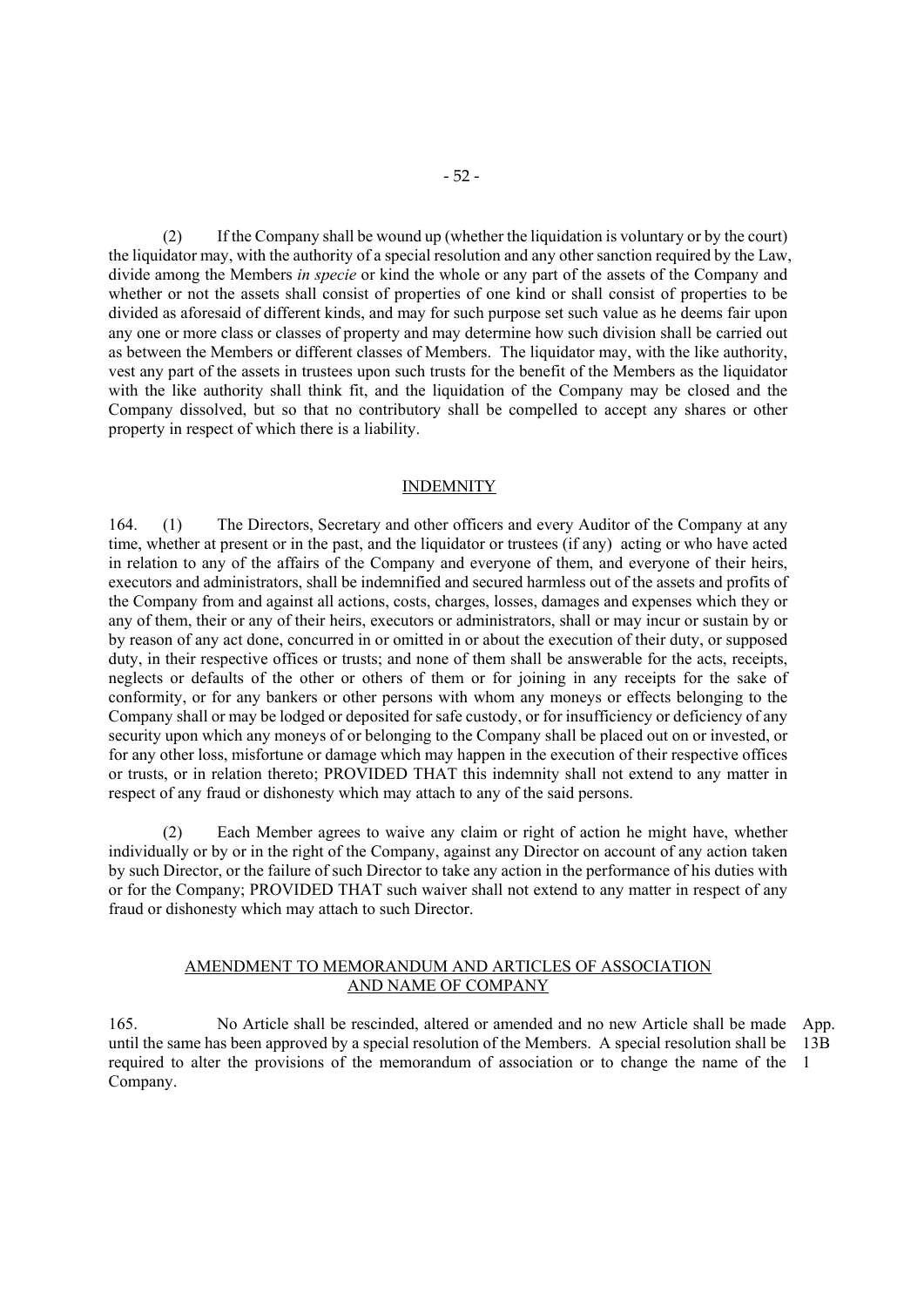(2) If the Company shall be wound up (whether the liquidation is voluntary or by the court) the liquidator may, with the authority of a special resolution and any other sanction required by the Law, divide among the Members *in specie* or kind the whole or any part of the assets of the Company and whether or not the assets shall consist of properties of one kind or shall consist of properties to be divided as aforesaid of different kinds, and may for such purpose set such value as he deems fair upon any one or more class or classes of property and may determine how such division shall be carried out as between the Members or different classes of Members. The liquidator may, with the like authority, vest any part of the assets in trustees upon such trusts for the benefit of the Members as the liquidator with the like authority shall think fit, and the liquidation of the Company may be closed and the Company dissolved, but so that no contributory shall be compelled to accept any shares or other property in respect of which there is a liability.

#### INDEMNITY

164. (1) The Directors, Secretary and other officers and every Auditor of the Company at any time, whether at present or in the past, and the liquidator or trustees (if any) acting or who have acted in relation to any of the affairs of the Company and everyone of them, and everyone of their heirs, executors and administrators, shall be indemnified and secured harmless out of the assets and profits of the Company from and against all actions, costs, charges, losses, damages and expenses which they or any of them, their or any of their heirs, executors or administrators, shall or may incur or sustain by or by reason of any act done, concurred in or omitted in or about the execution of their duty, or supposed duty, in their respective offices or trusts; and none of them shall be answerable for the acts, receipts, neglects or defaults of the other or others of them or for joining in any receipts for the sake of conformity, or for any bankers or other persons with whom any moneys or effects belonging to the Company shall or may be lodged or deposited for safe custody, or for insufficiency or deficiency of any security upon which any moneys of or belonging to the Company shall be placed out on or invested, or for any other loss, misfortune or damage which may happen in the execution of their respective offices or trusts, or in relation thereto; PROVIDED THAT this indemnity shall not extend to any matter in respect of any fraud or dishonesty which may attach to any of the said persons.

(2) Each Member agrees to waive any claim or right of action he might have, whether individually or by or in the right of the Company, against any Director on account of any action taken by such Director, or the failure of such Director to take any action in the performance of his duties with or for the Company; PROVIDED THAT such waiver shall not extend to any matter in respect of any fraud or dishonesty which may attach to such Director.

#### AMENDMENT TO MEMORANDUM AND ARTICLES OF ASSOCIATION AND NAME OF COMPANY

165. No Article shall be rescinded, altered or amended and no new Article shall be made App. until the same has been approved by a special resolution of the Members. A special resolution shall be 13B required to alter the provisions of the memorandum of association or to change the name of the 1 Company.